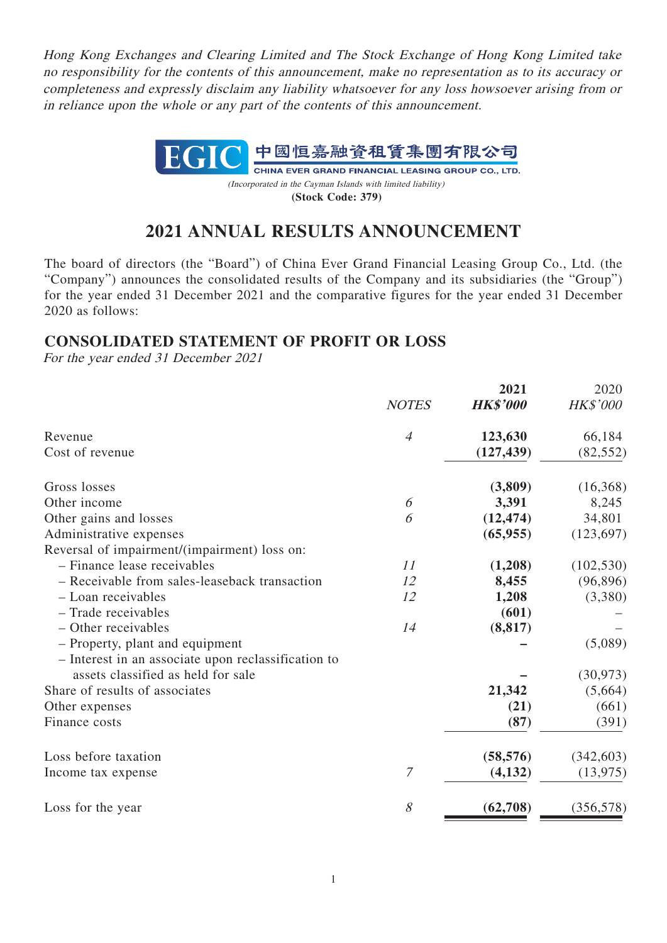Hong Kong Exchanges and Clearing Limited and The Stock Exchange of Hong Kong Limited take no responsibility for the contents of this announcement, make no representation as to its accuracy or completeness and expressly disclaim any liability whatsoever for any loss howsoever arising from or in reliance upon the whole or any part of the contents of this announcement.



**2021 ANNUAL RESULTS ANNOUNCEMENT**

The board of directors (the "Board") of China Ever Grand Financial Leasing Group Co., Ltd. (the "Company") announces the consolidated results of the Company and its subsidiaries (the "Group") for the year ended 31 December 2021 and the comparative figures for the year ended 31 December 2020 as follows:

# **CONSOLIDATED STATEMENT OF PROFIT OR LOSS**

For the year ended 31 December 2021

|                |                 | 2020              |
|----------------|-----------------|-------------------|
| <b>NOTES</b>   | <b>HK\$'000</b> | HK\$'000          |
| $\overline{4}$ | 123,630         | 66,184            |
|                | (127, 439)      | (82, 552)         |
|                | (3,809)         | (16,368)          |
| 6              | 3,391           | 8,245             |
| 6              | (12, 474)       | 34,801            |
|                | (65, 955)       | (123, 697)        |
|                |                 |                   |
| 11             | (1,208)         | (102, 530)        |
| 12             | 8,455           | (96, 896)         |
| 12             | 1,208           | (3,380)           |
|                | (601)           |                   |
| 14             | (8, 817)        |                   |
|                |                 | (5,089)           |
|                |                 |                   |
|                |                 | (30, 973)         |
|                | 21,342          | (5,664)           |
|                | (21)            | (661)             |
|                | (87)            | (391)             |
|                |                 | (342, 603)        |
| 7              | (4,132)         | (13, 975)         |
| 8              | (62,708)        | (356, 578)        |
|                |                 | 2021<br>(58, 576) |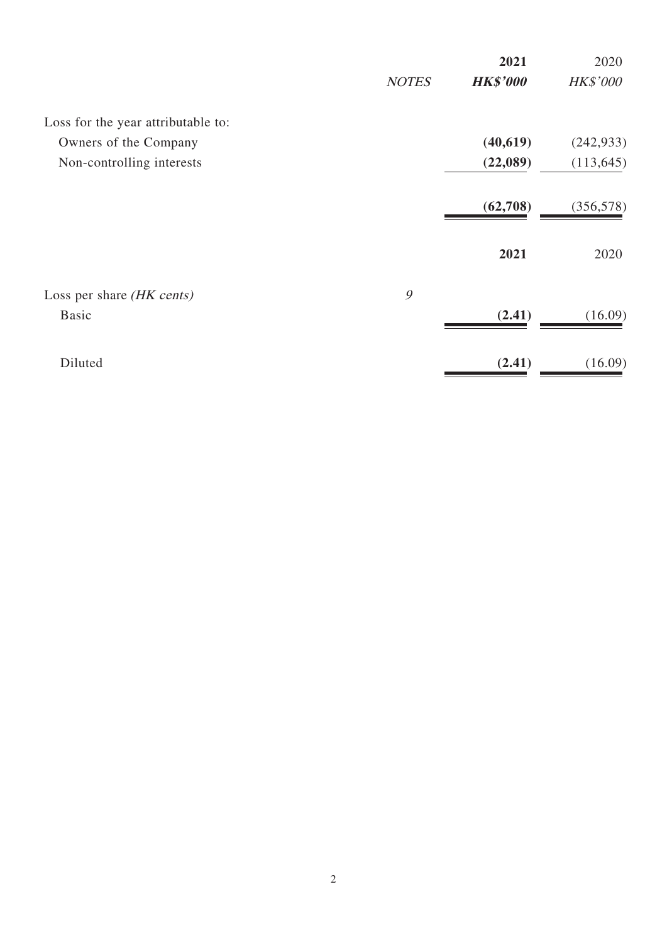|              | 2021            | 2020            |
|--------------|-----------------|-----------------|
| <b>NOTES</b> | <b>HK\$'000</b> | <b>HK\$'000</b> |
|              |                 |                 |
|              | (40,619)        | (242, 933)      |
|              | (22,089)        | (113, 645)      |
|              | (62,708)        | (356, 578)      |
|              | 2021            | 2020            |
|              |                 |                 |
|              | (2.41)          | (16.09)         |
|              | (2.41)          | (16.09)         |
|              | 9               |                 |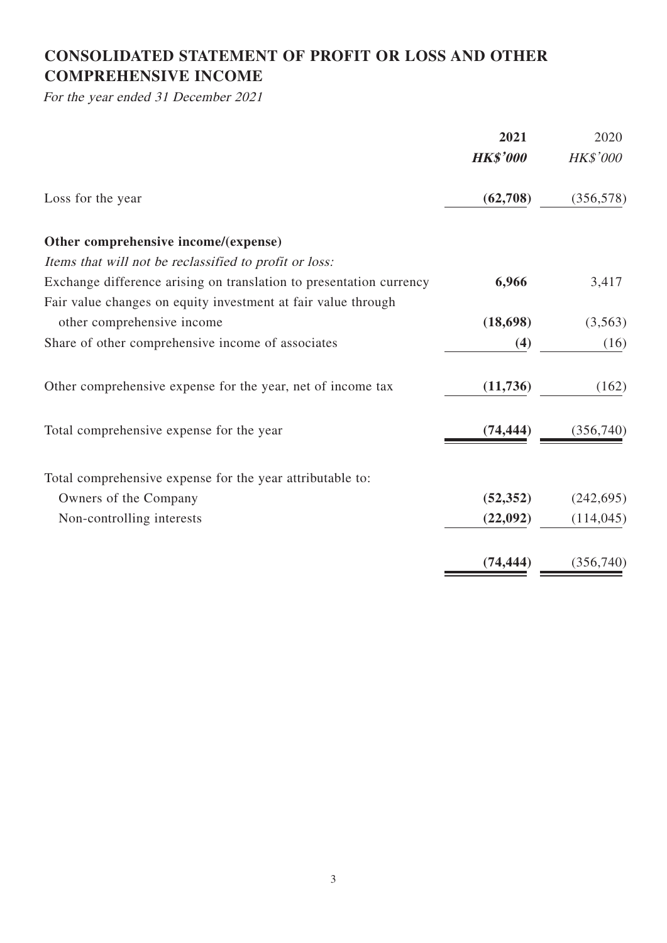# **CONSOLIDATED STATEMENT OF PROFIT OR LOSS AND OTHER COMPREHENSIVE INCOME**

For the year ended 31 December 2021

|                                                                     | 2021            | 2020            |
|---------------------------------------------------------------------|-----------------|-----------------|
|                                                                     | <b>HK\$'000</b> | <b>HK\$'000</b> |
| Loss for the year                                                   | (62,708)        | (356, 578)      |
| Other comprehensive income/(expense)                                |                 |                 |
| Items that will not be reclassified to profit or loss:              |                 |                 |
| Exchange difference arising on translation to presentation currency | 6,966           | 3,417           |
| Fair value changes on equity investment at fair value through       |                 |                 |
| other comprehensive income                                          | (18, 698)       | (3,563)         |
| Share of other comprehensive income of associates                   | (4)             | (16)            |
| Other comprehensive expense for the year, net of income tax         | (11, 736)       | (162)           |
| Total comprehensive expense for the year                            | (74, 444)       | (356,740)       |
| Total comprehensive expense for the year attributable to:           |                 |                 |
| Owners of the Company                                               | (52, 352)       | (242, 695)      |
| Non-controlling interests                                           | (22,092)        | (114, 045)      |
|                                                                     | (74, 444)       | (356, 740)      |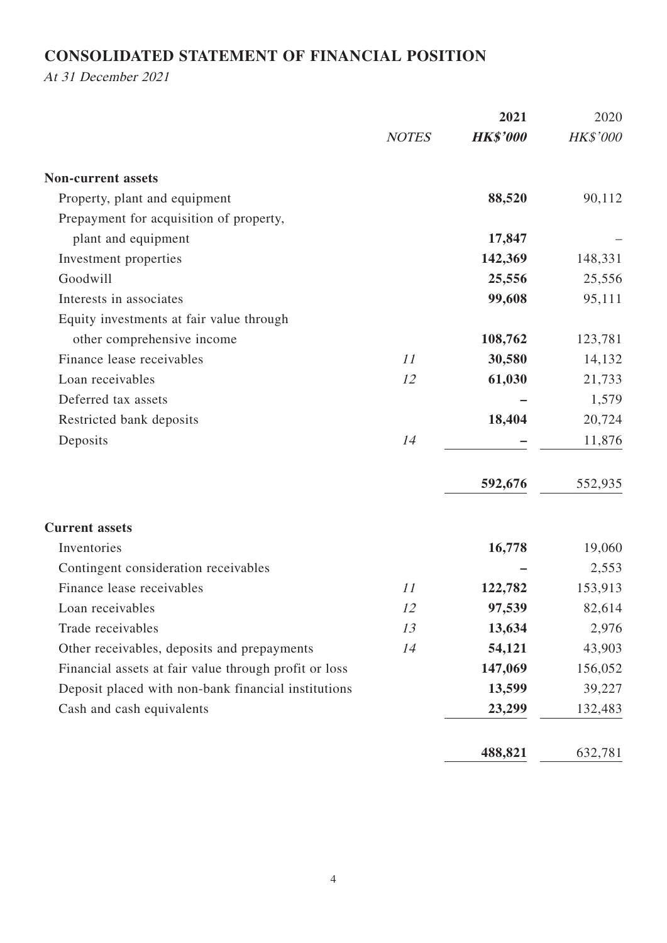# **CONSOLIDATED STATEMENT OF FINANCIAL POSITION**

At 31 December 2021

|                                                       |              | 2021            | 2020     |
|-------------------------------------------------------|--------------|-----------------|----------|
|                                                       | <b>NOTES</b> | <b>HK\$'000</b> | HK\$'000 |
| <b>Non-current assets</b>                             |              |                 |          |
| Property, plant and equipment                         |              | 88,520          | 90,112   |
| Prepayment for acquisition of property,               |              |                 |          |
| plant and equipment                                   |              | 17,847          |          |
| Investment properties                                 |              | 142,369         | 148,331  |
| Goodwill                                              |              | 25,556          | 25,556   |
| Interests in associates                               |              | 99,608          | 95,111   |
| Equity investments at fair value through              |              |                 |          |
| other comprehensive income                            |              | 108,762         | 123,781  |
| Finance lease receivables                             | 11           | 30,580          | 14,132   |
| Loan receivables                                      | 12           | 61,030          | 21,733   |
| Deferred tax assets                                   |              |                 | 1,579    |
| Restricted bank deposits                              |              | 18,404          | 20,724   |
| Deposits                                              | 14           |                 | 11,876   |
|                                                       |              | 592,676         | 552,935  |
| <b>Current assets</b>                                 |              |                 |          |
| Inventories                                           |              | 16,778          | 19,060   |
| Contingent consideration receivables                  |              |                 | 2,553    |
| Finance lease receivables                             | 11           | 122,782         | 153,913  |
| Loan receivables                                      | 12           | 97,539          | 82,614   |
| Trade receivables                                     | 13           | 13,634          | 2,976    |
| Other receivables, deposits and prepayments           | 14           | 54,121          | 43,903   |
| Financial assets at fair value through profit or loss |              | 147,069         | 156,052  |
| Deposit placed with non-bank financial institutions   |              | 13,599          | 39,227   |
| Cash and cash equivalents                             |              | 23,299          | 132,483  |
|                                                       |              | 488,821         | 632,781  |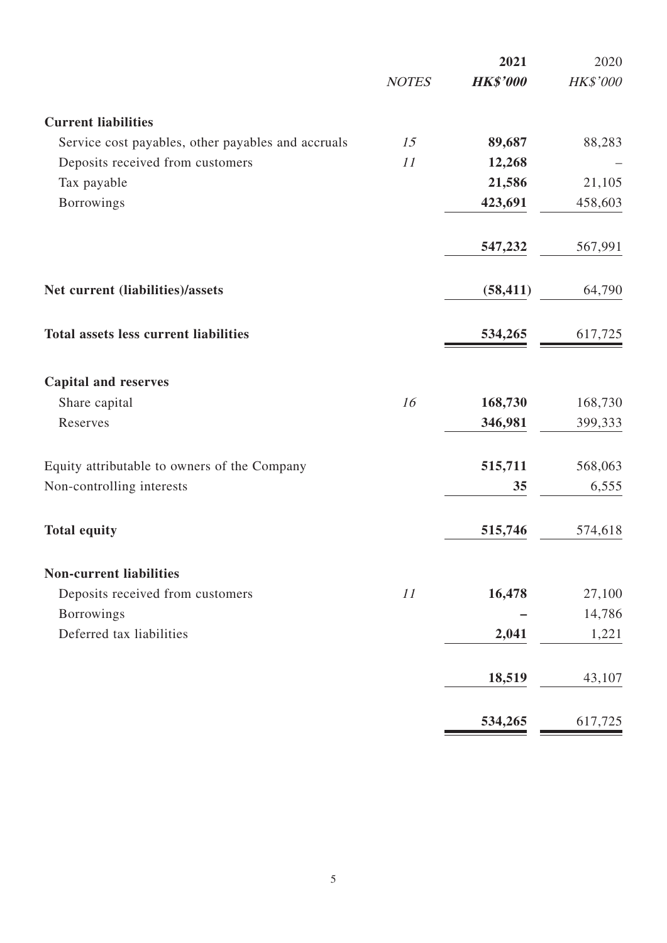|                                                    |              | 2021            | 2020     |
|----------------------------------------------------|--------------|-----------------|----------|
|                                                    | <b>NOTES</b> | <b>HK\$'000</b> | HK\$'000 |
| <b>Current liabilities</b>                         |              |                 |          |
| Service cost payables, other payables and accruals | 15           | 89,687          | 88,283   |
| Deposits received from customers                   | 11           | 12,268          |          |
| Tax payable                                        |              | 21,586          | 21,105   |
| <b>Borrowings</b>                                  |              | 423,691         | 458,603  |
|                                                    |              | 547,232         | 567,991  |
| Net current (liabilities)/assets                   |              | (58, 411)       | 64,790   |
| <b>Total assets less current liabilities</b>       |              | 534,265         | 617,725  |
| <b>Capital and reserves</b>                        |              |                 |          |
| Share capital                                      | 16           | 168,730         | 168,730  |
| Reserves                                           |              | 346,981         | 399,333  |
| Equity attributable to owners of the Company       |              | 515,711         | 568,063  |
| Non-controlling interests                          |              | 35              | 6,555    |
| <b>Total equity</b>                                |              | 515,746         | 574,618  |
| <b>Non-current liabilities</b>                     |              |                 |          |
| Deposits received from customers                   | 11           | 16,478          | 27,100   |
| <b>Borrowings</b>                                  |              |                 | 14,786   |
| Deferred tax liabilities                           |              | 2,041           | 1,221    |
|                                                    |              | 18,519          | 43,107   |
|                                                    |              | 534,265         | 617,725  |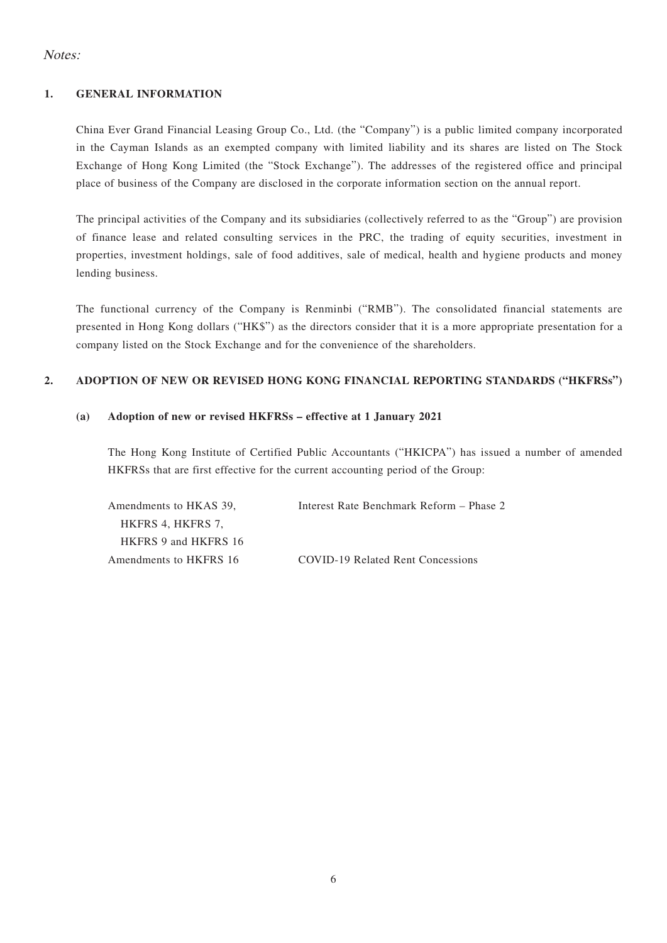### Notes:

### **1. GENERAL INFORMATION**

China Ever Grand Financial Leasing Group Co., Ltd. (the "Company") is a public limited company incorporated in the Cayman Islands as an exempted company with limited liability and its shares are listed on The Stock Exchange of Hong Kong Limited (the "Stock Exchange"). The addresses of the registered office and principal place of business of the Company are disclosed in the corporate information section on the annual report.

The principal activities of the Company and its subsidiaries (collectively referred to as the "Group") are provision of finance lease and related consulting services in the PRC, the trading of equity securities, investment in properties, investment holdings, sale of food additives, sale of medical, health and hygiene products and money lending business.

The functional currency of the Company is Renminbi ("RMB"). The consolidated financial statements are presented in Hong Kong dollars ("HK\$") as the directors consider that it is a more appropriate presentation for a company listed on the Stock Exchange and for the convenience of the shareholders.

### **2. ADOPTION OF NEW OR REVISED HONG KONG FINANCIAL REPORTING STANDARDS ("HKFRSs")**

### **(a) Adoption of new or revised HKFRSs – effective at 1 January 2021**

The Hong Kong Institute of Certified Public Accountants ("HKICPA") has issued a number of amended HKFRSs that are first effective for the current accounting period of the Group:

| Amendments to HKAS 39. | Interest Rate Benchmark Reform – Phase 2 |
|------------------------|------------------------------------------|
| HKFRS 4, HKFRS 7,      |                                          |
| HKFRS 9 and HKFRS 16   |                                          |
| Amendments to HKFRS 16 | COVID-19 Related Rent Concessions        |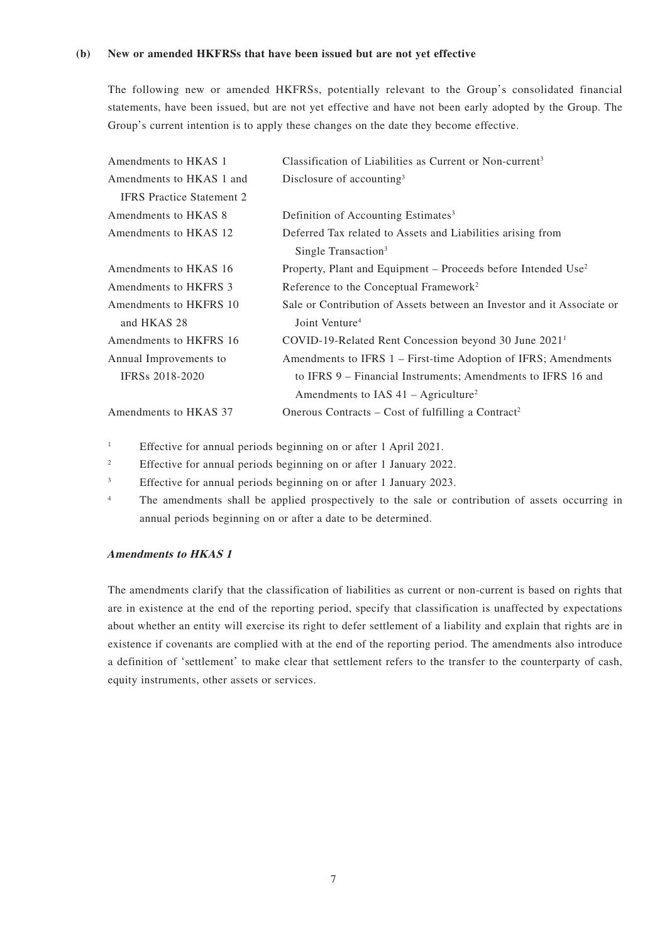#### **(b) New or amended HKFRSs that have been issued but are not yet effective**

The following new or amended HKFRSs, potentially relevant to the Group's consolidated financial statements, have been issued, but are not yet effective and have not been early adopted by the Group. The Group's current intention is to apply these changes on the date they become effective.

| Amendments to HKAS 1             | Classification of Liabilities as Current or Non-current <sup>3</sup>   |
|----------------------------------|------------------------------------------------------------------------|
| Amendments to HKAS 1 and         | Disclosure of accounting $3$                                           |
| <b>IFRS</b> Practice Statement 2 |                                                                        |
| Amendments to HKAS 8             | Definition of Accounting Estimates <sup>3</sup>                        |
| Amendments to HKAS 12            | Deferred Tax related to Assets and Liabilities arising from            |
|                                  | Single Transaction <sup>3</sup>                                        |
| Amendments to HKAS 16            | Property, Plant and Equipment – Proceeds before Intended $Use2$        |
| Amendments to HKFRS 3            | Reference to the Conceptual Framework <sup>2</sup>                     |
| Amendments to HKFRS 10           | Sale or Contribution of Assets between an Investor and it Associate or |
| and HKAS 28                      | Joint Venture <sup>4</sup>                                             |
| Amendments to HKFRS 16           | COVID-19-Related Rent Concession beyond 30 June 2021 <sup>1</sup>      |
| Annual Improvements to           | Amendments to IFRS 1 – First-time Adoption of IFRS; Amendments         |
| <b>IFRSs 2018-2020</b>           | to IFRS 9 – Financial Instruments; Amendments to IFRS 16 and           |
|                                  | Amendments to IAS $41 - \text{Agriculture}^2$                          |
| Amendments to HKAS 37            | Onerous Contracts – Cost of fulfilling a Contract <sup>2</sup>         |

<sup>1</sup> Effective for annual periods beginning on or after 1 April 2021.

<sup>2</sup> Effective for annual periods beginning on or after 1 January 2022.

<sup>3</sup> Effective for annual periods beginning on or after 1 January 2023.

<sup>4</sup> The amendments shall be applied prospectively to the sale or contribution of assets occurring in annual periods beginning on or after a date to be determined.

#### **Amendments to HKAS 1**

The amendments clarify that the classification of liabilities as current or non-current is based on rights that are in existence at the end of the reporting period, specify that classification is unaffected by expectations about whether an entity will exercise its right to defer settlement of a liability and explain that rights are in existence if covenants are complied with at the end of the reporting period. The amendments also introduce a definition of 'settlement' to make clear that settlement refers to the transfer to the counterparty of cash, equity instruments, other assets or services.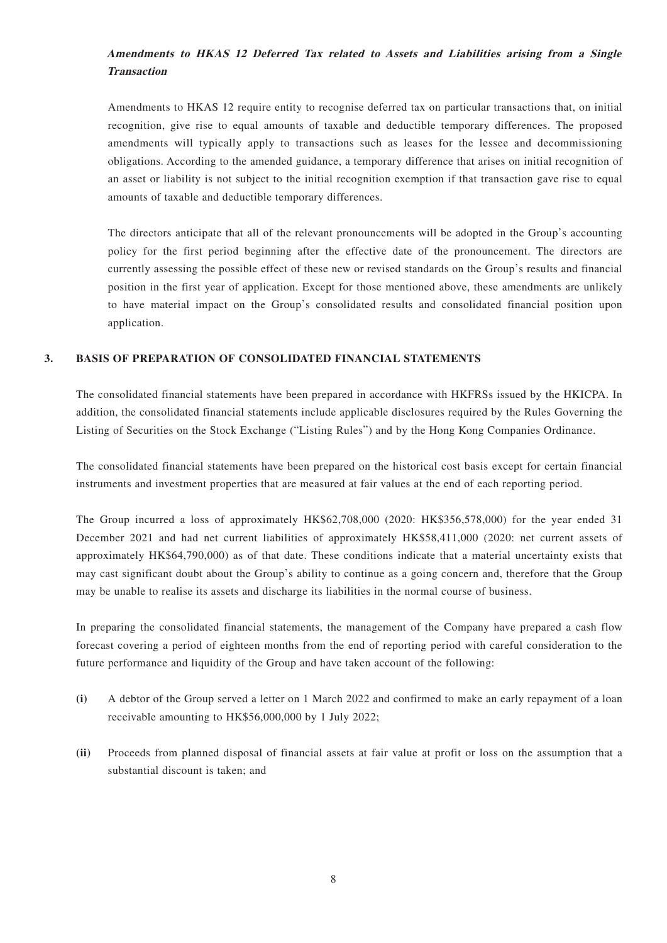## **Amendments to HKAS 12 Deferred Tax related to Assets and Liabilities arising from a Single Transaction**

Amendments to HKAS 12 require entity to recognise deferred tax on particular transactions that, on initial recognition, give rise to equal amounts of taxable and deductible temporary differences. The proposed amendments will typically apply to transactions such as leases for the lessee and decommissioning obligations. According to the amended guidance, a temporary difference that arises on initial recognition of an asset or liability is not subject to the initial recognition exemption if that transaction gave rise to equal amounts of taxable and deductible temporary differences.

The directors anticipate that all of the relevant pronouncements will be adopted in the Group's accounting policy for the first period beginning after the effective date of the pronouncement. The directors are currently assessing the possible effect of these new or revised standards on the Group's results and financial position in the first year of application. Except for those mentioned above, these amendments are unlikely to have material impact on the Group's consolidated results and consolidated financial position upon application.

#### **3. BASIS OF PREPARATION OF CONSOLIDATED FINANCIAL STATEMENTS**

The consolidated financial statements have been prepared in accordance with HKFRSs issued by the HKICPA. In addition, the consolidated financial statements include applicable disclosures required by the Rules Governing the Listing of Securities on the Stock Exchange ("Listing Rules") and by the Hong Kong Companies Ordinance.

The consolidated financial statements have been prepared on the historical cost basis except for certain financial instruments and investment properties that are measured at fair values at the end of each reporting period.

The Group incurred a loss of approximately HK\$62,708,000 (2020: HK\$356,578,000) for the year ended 31 December 2021 and had net current liabilities of approximately HK\$58,411,000 (2020: net current assets of approximately HK\$64,790,000) as of that date. These conditions indicate that a material uncertainty exists that may cast significant doubt about the Group's ability to continue as a going concern and, therefore that the Group may be unable to realise its assets and discharge its liabilities in the normal course of business.

In preparing the consolidated financial statements, the management of the Company have prepared a cash flow forecast covering a period of eighteen months from the end of reporting period with careful consideration to the future performance and liquidity of the Group and have taken account of the following:

- **(i)** A debtor of the Group served a letter on 1 March 2022 and confirmed to make an early repayment of a loan receivable amounting to HK\$56,000,000 by 1 July 2022;
- **(ii)** Proceeds from planned disposal of financial assets at fair value at profit or loss on the assumption that a substantial discount is taken; and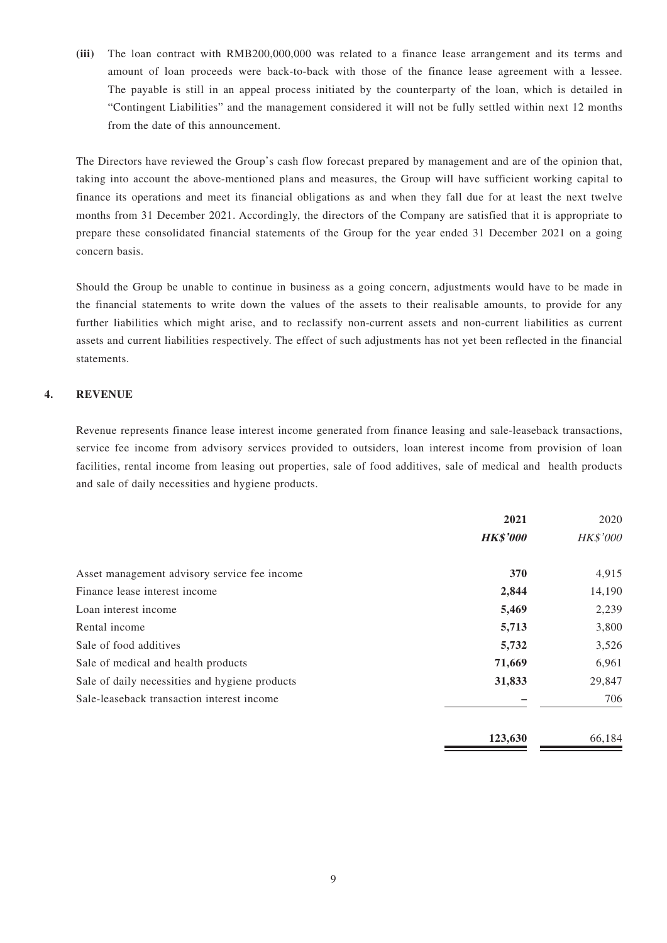**(iii)** The loan contract with RMB200,000,000 was related to a finance lease arrangement and its terms and amount of loan proceeds were back-to-back with those of the finance lease agreement with a lessee. The payable is still in an appeal process initiated by the counterparty of the loan, which is detailed in "Contingent Liabilities" and the management considered it will not be fully settled within next 12 months from the date of this announcement.

The Directors have reviewed the Group's cash flow forecast prepared by management and are of the opinion that, taking into account the above-mentioned plans and measures, the Group will have sufficient working capital to finance its operations and meet its financial obligations as and when they fall due for at least the next twelve months from 31 December 2021. Accordingly, the directors of the Company are satisfied that it is appropriate to prepare these consolidated financial statements of the Group for the year ended 31 December 2021 on a going concern basis.

Should the Group be unable to continue in business as a going concern, adjustments would have to be made in the financial statements to write down the values of the assets to their realisable amounts, to provide for any further liabilities which might arise, and to reclassify non-current assets and non-current liabilities as current assets and current liabilities respectively. The effect of such adjustments has not yet been reflected in the financial statements.

### **4. REVENUE**

Revenue represents finance lease interest income generated from finance leasing and sale-leaseback transactions, service fee income from advisory services provided to outsiders, loan interest income from provision of loan facilities, rental income from leasing out properties, sale of food additives, sale of medical and health products and sale of daily necessities and hygiene products.

|                                                | 2021<br><b>HK\$'000</b> | 2020<br><b>HK\$'000</b> |
|------------------------------------------------|-------------------------|-------------------------|
| Asset management advisory service fee income   | 370                     | 4,915                   |
| Finance lease interest income                  | 2,844                   | 14,190                  |
| Loan interest income                           | 5,469                   | 2,239                   |
| Rental income                                  | 5,713                   | 3,800                   |
| Sale of food additives                         | 5,732                   | 3,526                   |
| Sale of medical and health products            | 71,669                  | 6,961                   |
| Sale of daily necessities and hygiene products | 31,833                  | 29,847                  |
| Sale-leaseback transaction interest income     |                         | 706                     |
|                                                | 123,630                 | 66,184                  |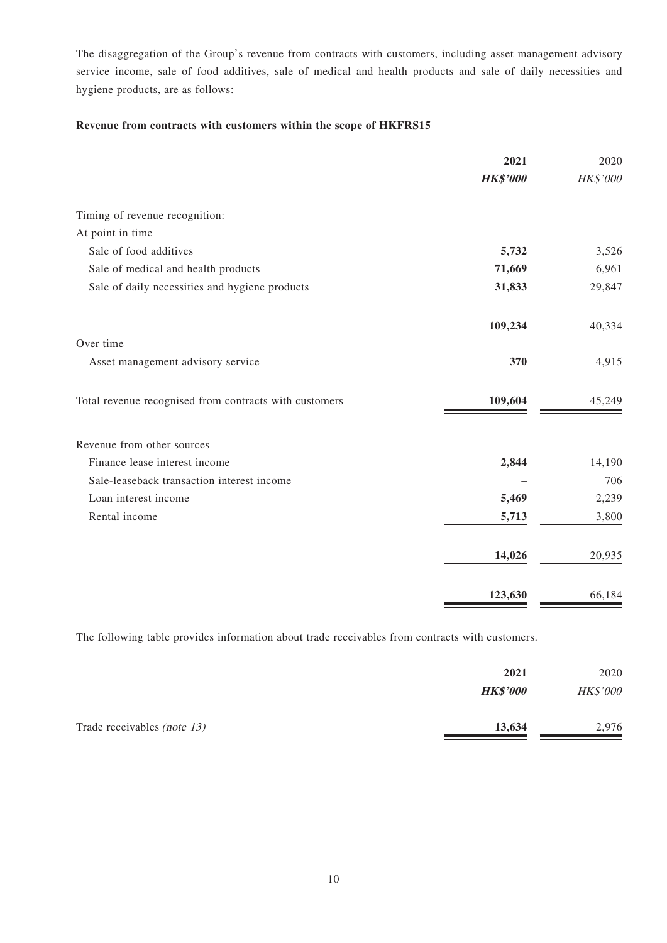The disaggregation of the Group's revenue from contracts with customers, including asset management advisory service income, sale of food additives, sale of medical and health products and sale of daily necessities and hygiene products, are as follows:

### **Revenue from contracts with customers within the scope of HKFRS15**

|                                                        | 2021            | 2020     |
|--------------------------------------------------------|-----------------|----------|
|                                                        | <b>HK\$'000</b> | HK\$'000 |
| Timing of revenue recognition:                         |                 |          |
| At point in time                                       |                 |          |
| Sale of food additives                                 | 5,732           | 3,526    |
| Sale of medical and health products                    | 71,669          | 6,961    |
| Sale of daily necessities and hygiene products         | 31,833          | 29,847   |
|                                                        | 109,234         | 40,334   |
| Over time                                              |                 |          |
| Asset management advisory service                      | 370             | 4,915    |
| Total revenue recognised from contracts with customers | 109,604         | 45,249   |
| Revenue from other sources                             |                 |          |
| Finance lease interest income                          | 2,844           | 14,190   |
| Sale-leaseback transaction interest income             |                 | 706      |
| Loan interest income                                   | 5,469           | 2,239    |
| Rental income                                          | 5,713           | 3,800    |
|                                                        | 14,026          | 20,935   |
|                                                        | 123,630         | 66,184   |

The following table provides information about trade receivables from contracts with customers.

|                                    | 2021            | 2020     |
|------------------------------------|-----------------|----------|
|                                    | <b>HK\$'000</b> | HK\$'000 |
| Trade receivables <i>(note 13)</i> | 13,634          | 2,976    |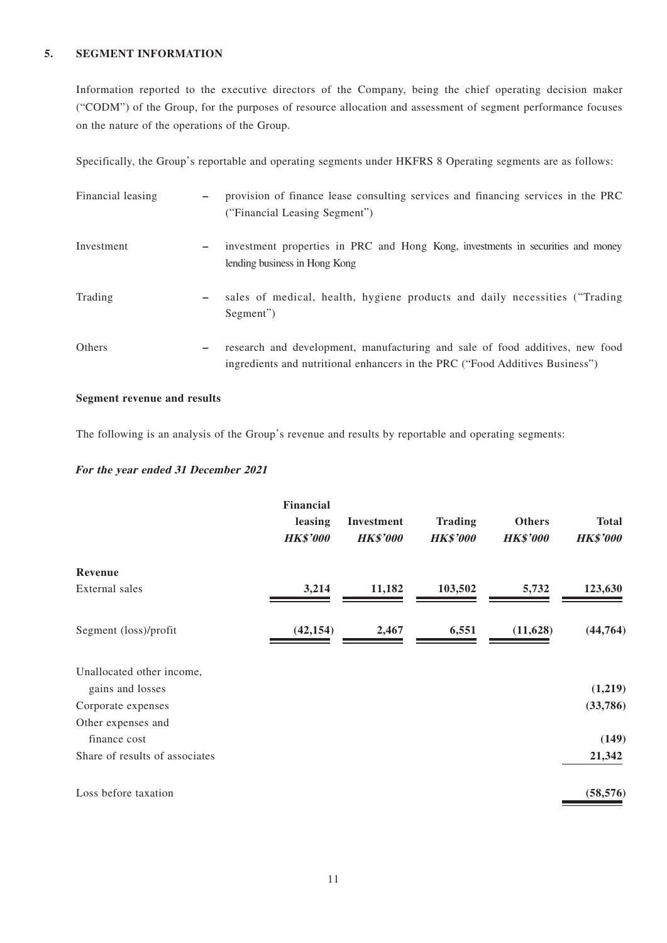### **5. SEGMENT INFORMATION**

Information reported to the executive directors of the Company, being the chief operating decision maker ("CODM") of the Group, for the purposes of resource allocation and assessment of segment performance focuses on the nature of the operations of the Group.

Specifically, the Group's reportable and operating segments under HKFRS 8 Operating segments are as follows:

| Financial leasing | provision of finance lease consulting services and financing services in the PRC<br>("Financial Leasing Segment")                                                                        |
|-------------------|------------------------------------------------------------------------------------------------------------------------------------------------------------------------------------------|
| Investment        | investment properties in PRC and Hong Kong, investments in securities and money<br>$\overline{\phantom{m}}$<br>lending business in Hong Kong                                             |
| Trading           | sales of medical, health, hygiene products and daily necessities ("Trading")<br>—<br>Segment")                                                                                           |
| Others            | research and development, manufacturing and sale of food additives, new food<br>$\overline{\phantom{m}}$<br>ingredients and nutritional enhancers in the PRC ("Food Additives Business") |

### **Segment revenue and results**

The following is an analysis of the Group's revenue and results by reportable and operating segments:

#### **For the year ended 31 December 2021**

|                                | Financial<br>leasing<br><b>HK\$'000</b> | Investment<br><b>HK\$'000</b> | <b>Trading</b><br><b>HK\$'000</b> | <b>Others</b><br><b>HK\$'000</b> | <b>Total</b><br><b>HK\$'000</b> |
|--------------------------------|-----------------------------------------|-------------------------------|-----------------------------------|----------------------------------|---------------------------------|
| Revenue                        |                                         |                               |                                   |                                  |                                 |
| External sales                 | 3,214                                   | 11,182                        | 103,502                           | 5,732                            | 123,630                         |
| Segment (loss)/profit          | (42, 154)                               | 2,467                         | 6,551                             | (11, 628)                        | (44, 764)                       |
| Unallocated other income,      |                                         |                               |                                   |                                  |                                 |
| gains and losses               |                                         |                               |                                   |                                  | (1,219)                         |
| Corporate expenses             |                                         |                               |                                   |                                  | (33,786)                        |
| Other expenses and             |                                         |                               |                                   |                                  |                                 |
| finance cost                   |                                         |                               |                                   |                                  | (149)                           |
| Share of results of associates |                                         |                               |                                   |                                  | 21,342                          |
| Loss before taxation           |                                         |                               |                                   |                                  | (58, 576)                       |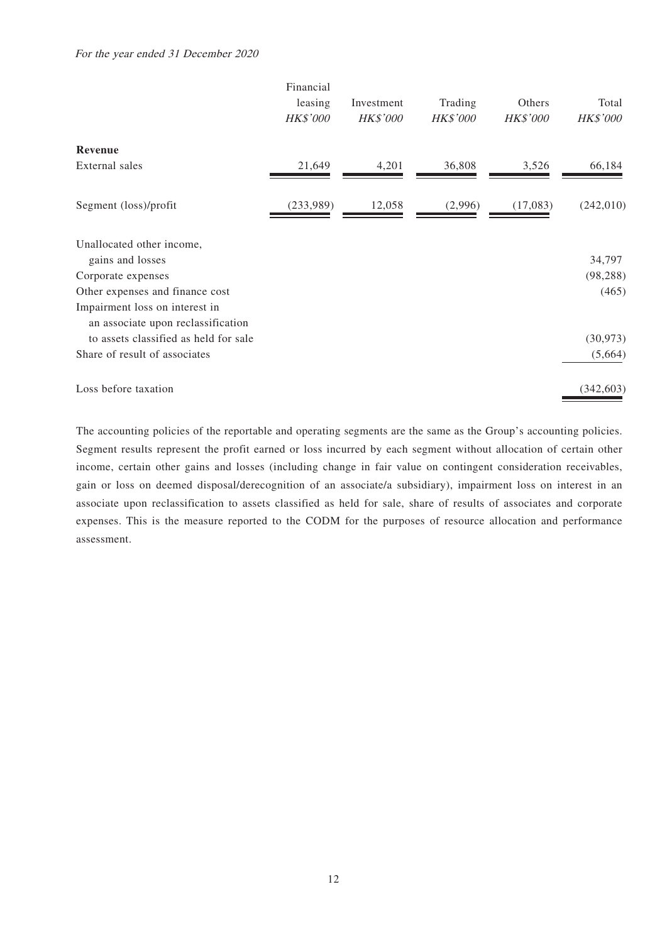#### For the year ended 31 December 2020

|                                                                      | Financial<br>leasing<br><b>HK\$'000</b> | Investment<br>HK\$'000 | Trading<br><b>HK\$'000</b> | Others<br>HK\$'000 | Total<br>HK\$'000 |
|----------------------------------------------------------------------|-----------------------------------------|------------------------|----------------------------|--------------------|-------------------|
| Revenue                                                              |                                         |                        |                            |                    |                   |
| External sales                                                       | 21,649                                  | 4,201                  | 36,808                     | 3,526              | 66,184            |
| Segment (loss)/profit                                                | (233,989)                               | 12,058                 | (2,996)                    | (17,083)           | (242,010)         |
| Unallocated other income,<br>gains and losses                        |                                         |                        |                            |                    | 34,797            |
| Corporate expenses                                                   |                                         |                        |                            |                    | (98, 288)         |
| Other expenses and finance cost                                      |                                         |                        |                            |                    | (465)             |
| Impairment loss on interest in<br>an associate upon reclassification |                                         |                        |                            |                    |                   |
| to assets classified as held for sale                                |                                         |                        |                            |                    | (30, 973)         |
| Share of result of associates                                        |                                         |                        |                            |                    | (5,664)           |
| Loss before taxation                                                 |                                         |                        |                            |                    | (342, 603)        |

The accounting policies of the reportable and operating segments are the same as the Group's accounting policies. Segment results represent the profit earned or loss incurred by each segment without allocation of certain other income, certain other gains and losses (including change in fair value on contingent consideration receivables, gain or loss on deemed disposal/derecognition of an associate/a subsidiary), impairment loss on interest in an associate upon reclassification to assets classified as held for sale, share of results of associates and corporate expenses. This is the measure reported to the CODM for the purposes of resource allocation and performance assessment.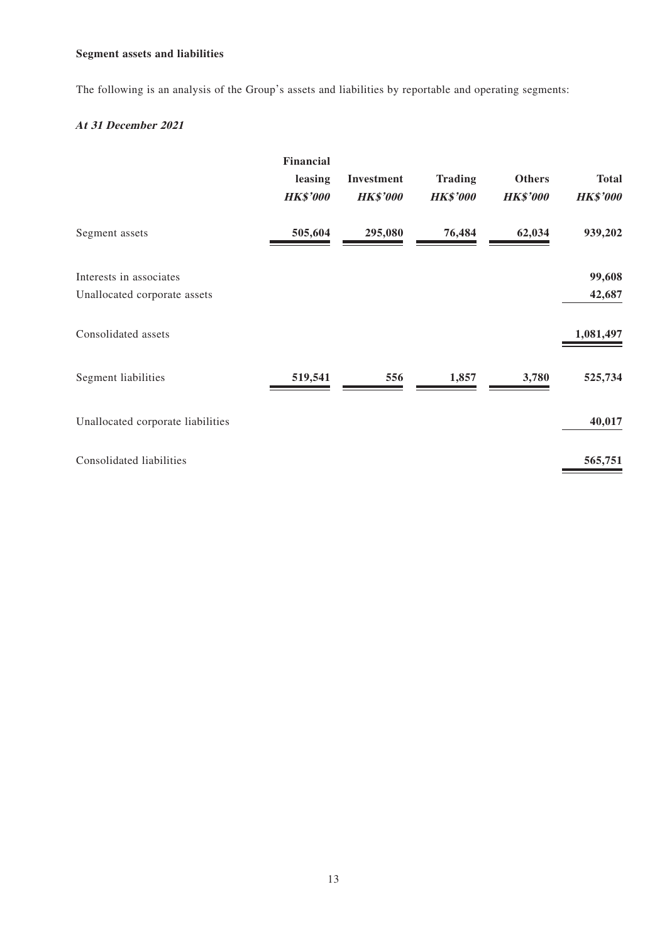## **Segment assets and liabilities**

The following is an analysis of the Group's assets and liabilities by reportable and operating segments:

## **At 31 December 2021**

|                                   | Financial<br>leasing<br><b>HK\$'000</b> | Investment<br><b>HK\$'000</b> | <b>Trading</b><br><b>HK\$'000</b> | <b>Others</b><br><b>HK\$'000</b> | <b>Total</b><br><b>HK\$'000</b> |
|-----------------------------------|-----------------------------------------|-------------------------------|-----------------------------------|----------------------------------|---------------------------------|
| Segment assets                    | 505,604                                 | 295,080                       | 76,484                            | 62,034                           | 939,202                         |
| Interests in associates           |                                         |                               |                                   |                                  | 99,608                          |
| Unallocated corporate assets      |                                         |                               |                                   |                                  | 42,687                          |
| Consolidated assets               |                                         |                               |                                   |                                  | 1,081,497                       |
| Segment liabilities               | 519,541                                 | 556                           | 1,857                             | 3,780                            | 525,734                         |
| Unallocated corporate liabilities |                                         |                               |                                   |                                  | 40,017                          |
| Consolidated liabilities          |                                         |                               |                                   |                                  | 565,751                         |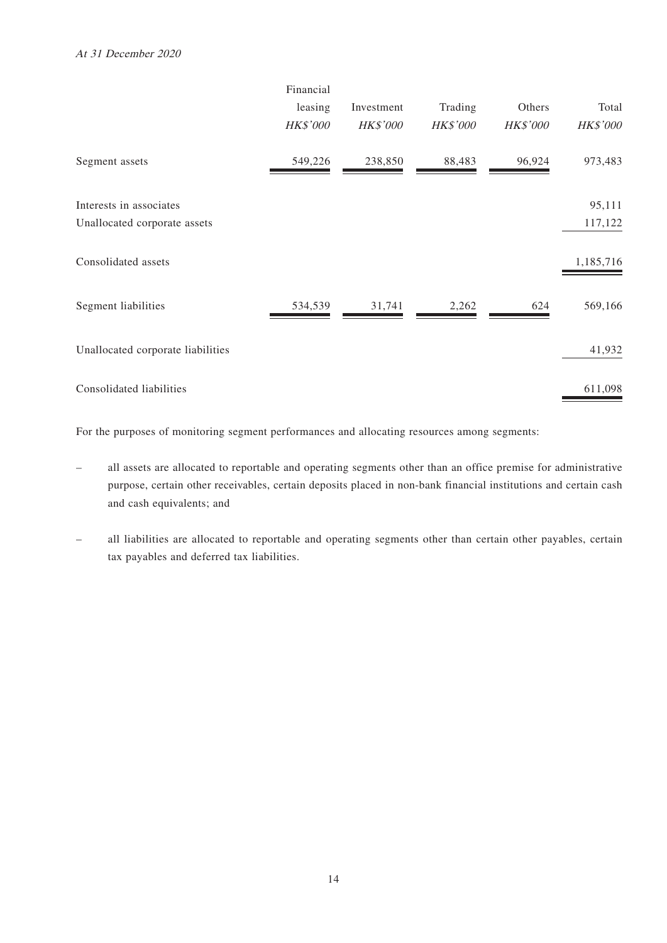|                                   | Financial<br>leasing<br>HK\$'000 | Investment<br><b>HK\$'000</b> | Trading<br><b>HK\$'000</b> | Others<br>HK\$'000 | Total<br>HK\$'000 |
|-----------------------------------|----------------------------------|-------------------------------|----------------------------|--------------------|-------------------|
| Segment assets                    | 549,226                          | 238,850                       | 88,483                     | 96,924             | 973,483           |
| Interests in associates           |                                  |                               |                            |                    | 95,111            |
| Unallocated corporate assets      |                                  |                               |                            |                    | 117,122           |
| Consolidated assets               |                                  |                               |                            |                    | 1,185,716         |
| Segment liabilities               | 534,539                          | 31,741                        | 2,262                      | 624                | 569,166           |
| Unallocated corporate liabilities |                                  |                               |                            |                    | 41,932            |
| Consolidated liabilities          |                                  |                               |                            |                    | 611,098           |

For the purposes of monitoring segment performances and allocating resources among segments:

- all assets are allocated to reportable and operating segments other than an office premise for administrative purpose, certain other receivables, certain deposits placed in non-bank financial institutions and certain cash and cash equivalents; and
- all liabilities are allocated to reportable and operating segments other than certain other payables, certain tax payables and deferred tax liabilities.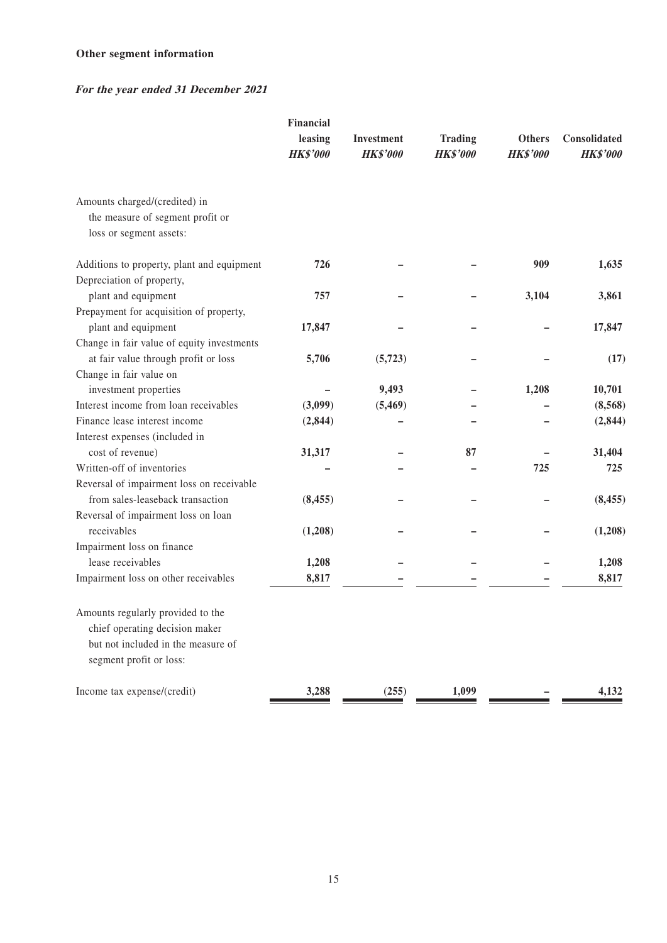## **Other segment information**

## **For the year ended 31 December 2021**

|                                                                   | Financial<br>leasing<br><b>HK\$'000</b> | Investment<br><b>HK\$'000</b> | <b>Trading</b><br><b>HK\$'000</b> | <b>Others</b><br><b>HK\$'000</b> | Consolidated<br><b>HK\$'000</b> |
|-------------------------------------------------------------------|-----------------------------------------|-------------------------------|-----------------------------------|----------------------------------|---------------------------------|
|                                                                   |                                         |                               |                                   |                                  |                                 |
| Amounts charged/(credited) in<br>the measure of segment profit or |                                         |                               |                                   |                                  |                                 |
| loss or segment assets:                                           |                                         |                               |                                   |                                  |                                 |
| Additions to property, plant and equipment                        | 726                                     |                               |                                   | 909                              | 1,635                           |
| Depreciation of property,                                         |                                         |                               |                                   |                                  |                                 |
| plant and equipment                                               | 757                                     |                               |                                   | 3,104                            | 3,861                           |
| Prepayment for acquisition of property,                           |                                         |                               |                                   |                                  |                                 |
| plant and equipment                                               | 17,847                                  |                               |                                   |                                  | 17,847                          |
| Change in fair value of equity investments                        |                                         |                               |                                   |                                  |                                 |
| at fair value through profit or loss                              | 5,706                                   | (5, 723)                      |                                   |                                  | (17)                            |
| Change in fair value on                                           |                                         |                               |                                   |                                  |                                 |
| investment properties                                             |                                         | 9,493                         |                                   | 1,208                            | 10,701                          |
| Interest income from loan receivables                             | (3,099)                                 | (5, 469)                      |                                   |                                  | (8,568)                         |
| Finance lease interest income                                     | (2,844)                                 |                               |                                   |                                  | (2, 844)                        |
| Interest expenses (included in                                    |                                         |                               |                                   |                                  |                                 |
| cost of revenue)                                                  | 31,317                                  |                               | 87                                |                                  | 31,404                          |
| Written-off of inventories                                        |                                         |                               |                                   | 725                              | 725                             |
| Reversal of impairment loss on receivable                         |                                         |                               |                                   |                                  |                                 |
| from sales-leaseback transaction                                  | (8, 455)                                |                               |                                   |                                  | (8, 455)                        |
| Reversal of impairment loss on loan                               |                                         |                               |                                   |                                  |                                 |
| receivables                                                       | (1,208)                                 |                               |                                   |                                  | (1,208)                         |
| Impairment loss on finance                                        |                                         |                               |                                   |                                  |                                 |
| lease receivables                                                 | 1,208                                   |                               |                                   |                                  | 1,208                           |
| Impairment loss on other receivables                              | 8,817                                   |                               |                                   |                                  | 8,817                           |
| Amounts regularly provided to the                                 |                                         |                               |                                   |                                  |                                 |
| chief operating decision maker                                    |                                         |                               |                                   |                                  |                                 |
| but not included in the measure of                                |                                         |                               |                                   |                                  |                                 |
| segment profit or loss:                                           |                                         |                               |                                   |                                  |                                 |
| Income tax expense/(credit)                                       | 3,288                                   | (255)                         | 1,099                             |                                  | 4,132                           |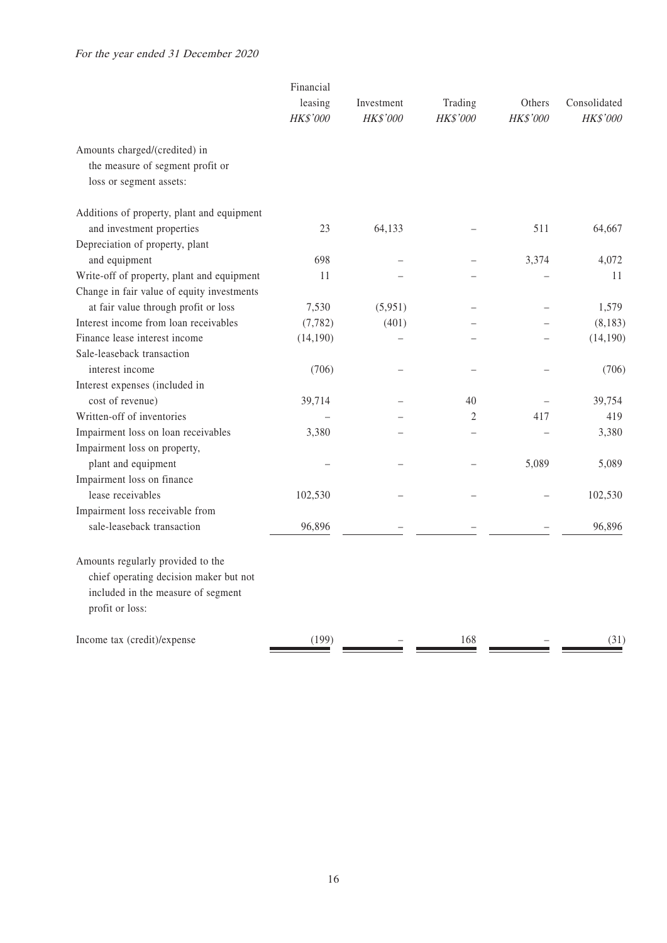### For the year ended 31 December 2020

|                                            | Financial<br>leasing<br>HK\$'000 | Investment<br>HK\$'000 | Trading<br>HK\$'000 | Others<br>HK\$'000 | Consolidated<br>HK\$'000 |
|--------------------------------------------|----------------------------------|------------------------|---------------------|--------------------|--------------------------|
| Amounts charged/(credited) in              |                                  |                        |                     |                    |                          |
| the measure of segment profit or           |                                  |                        |                     |                    |                          |
| loss or segment assets:                    |                                  |                        |                     |                    |                          |
| Additions of property, plant and equipment |                                  |                        |                     |                    |                          |
| and investment properties                  | 23                               | 64,133                 |                     | 511                | 64,667                   |
| Depreciation of property, plant            |                                  |                        |                     |                    |                          |
| and equipment                              | 698                              |                        |                     | 3,374              | 4,072                    |
| Write-off of property, plant and equipment | 11                               |                        |                     |                    | 11                       |
| Change in fair value of equity investments |                                  |                        |                     |                    |                          |
| at fair value through profit or loss       | 7,530                            | (5,951)                |                     |                    | 1,579                    |
| Interest income from loan receivables      | (7, 782)                         | (401)                  |                     |                    | (8,183)                  |
| Finance lease interest income              | (14, 190)                        |                        |                     |                    | (14, 190)                |
| Sale-leaseback transaction                 |                                  |                        |                     |                    |                          |
| interest income                            | (706)                            |                        |                     |                    | (706)                    |
| Interest expenses (included in             |                                  |                        |                     |                    |                          |
| cost of revenue)                           | 39,714                           |                        | 40                  |                    | 39,754                   |
| Written-off of inventories                 |                                  |                        | $\overline{2}$      | 417                | 419                      |
| Impairment loss on loan receivables        | 3,380                            |                        |                     |                    | 3,380                    |
| Impairment loss on property,               |                                  |                        |                     |                    |                          |
| plant and equipment                        |                                  |                        |                     | 5,089              | 5,089                    |
| Impairment loss on finance                 |                                  |                        |                     |                    |                          |
| lease receivables                          | 102,530                          |                        |                     |                    | 102,530                  |
| Impairment loss receivable from            |                                  |                        |                     |                    |                          |
| sale-leaseback transaction                 | 96,896                           |                        |                     |                    | 96,896                   |
| Amounts regularly provided to the          |                                  |                        |                     |                    |                          |
| chief operating decision maker but not     |                                  |                        |                     |                    |                          |
| included in the measure of segment         |                                  |                        |                     |                    |                          |
| profit or loss:                            |                                  |                        |                     |                    |                          |
| Income tax (credit)/expense                | (199)                            |                        | 168                 |                    | (31)                     |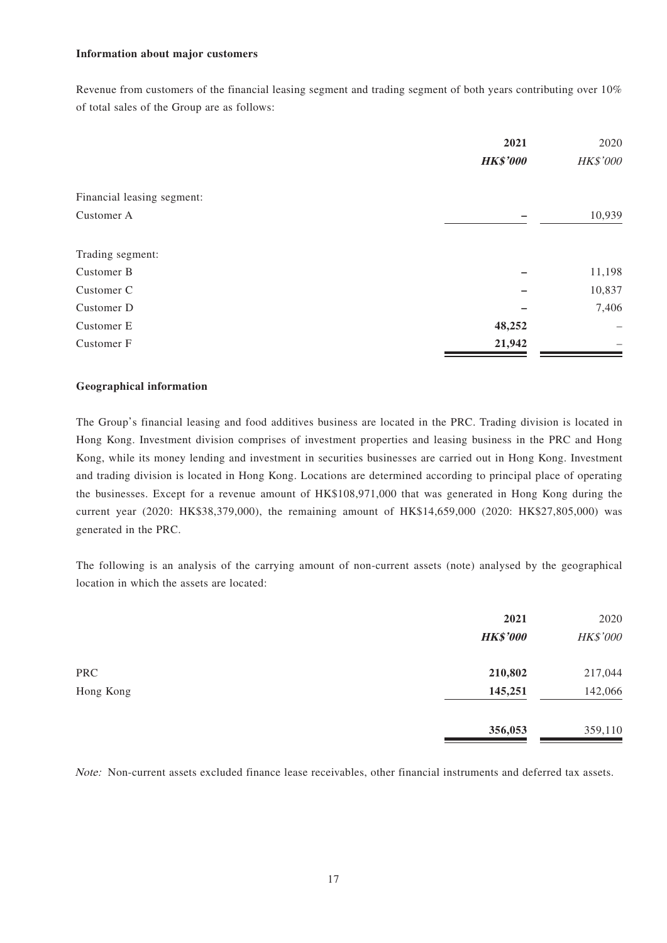#### **Information about major customers**

Revenue from customers of the financial leasing segment and trading segment of both years contributing over 10% of total sales of the Group are as follows:

|                            | 2021            | 2020     |
|----------------------------|-----------------|----------|
|                            | <b>HK\$'000</b> | HK\$'000 |
| Financial leasing segment: |                 |          |
| Customer A                 |                 | 10,939   |
| Trading segment:           |                 |          |
| Customer B                 |                 | 11,198   |
| Customer C                 |                 | 10,837   |
| Customer D                 |                 | 7,406    |
| Customer E                 | 48,252          |          |
| Customer F                 | 21,942          |          |

#### **Geographical information**

The Group's financial leasing and food additives business are located in the PRC. Trading division is located in Hong Kong. Investment division comprises of investment properties and leasing business in the PRC and Hong Kong, while its money lending and investment in securities businesses are carried out in Hong Kong. Investment and trading division is located in Hong Kong. Locations are determined according to principal place of operating the businesses. Except for a revenue amount of HK\$108,971,000 that was generated in Hong Kong during the current year (2020: HK\$38,379,000), the remaining amount of HK\$14,659,000 (2020: HK\$27,805,000) was generated in the PRC.

The following is an analysis of the carrying amount of non-current assets (note) analysed by the geographical location in which the assets are located:

|            | 2021<br><b>HK\$'000</b> | 2020<br>HK\$'000 |
|------------|-------------------------|------------------|
| <b>PRC</b> | 210,802                 | 217,044          |
| Hong Kong  | 145,251                 | 142,066          |
|            | 356,053                 | 359,110          |

Note: Non-current assets excluded finance lease receivables, other financial instruments and deferred tax assets.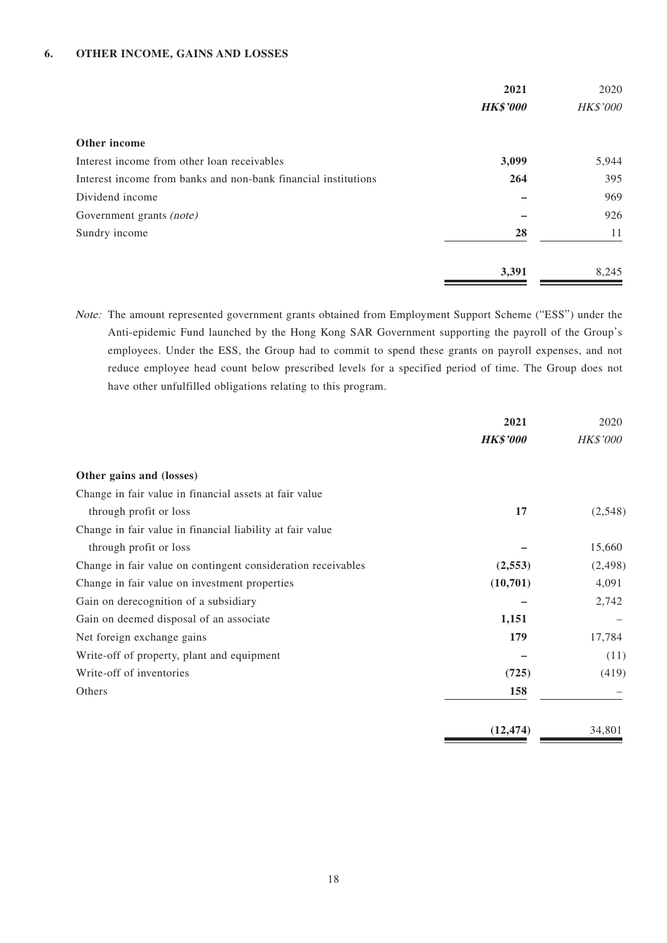### **6. OTHER INCOME, GAINS AND LOSSES**

|                                                                | 2021            | 2020     |
|----------------------------------------------------------------|-----------------|----------|
|                                                                | <b>HK\$'000</b> | HK\$'000 |
| Other income                                                   |                 |          |
| Interest income from other loan receivables                    | 3,099           | 5,944    |
| Interest income from banks and non-bank financial institutions | 264             | 395      |
| Dividend income                                                |                 | 969      |
| Government grants (note)                                       |                 | 926      |
| Sundry income                                                  | 28              | 11       |
|                                                                | 3,391           | 8,245    |

Note: The amount represented government grants obtained from Employment Support Scheme ("ESS") under the Anti-epidemic Fund launched by the Hong Kong SAR Government supporting the payroll of the Group's employees. Under the ESS, the Group had to commit to spend these grants on payroll expenses, and not reduce employee head count below prescribed levels for a specified period of time. The Group does not have other unfulfilled obligations relating to this program.

|                                                              | 2021            | 2020            |
|--------------------------------------------------------------|-----------------|-----------------|
|                                                              | <b>HK\$'000</b> | <b>HK\$'000</b> |
| Other gains and (losses)                                     |                 |                 |
| Change in fair value in financial assets at fair value       |                 |                 |
| through profit or loss                                       | 17              | (2,548)         |
| Change in fair value in financial liability at fair value    |                 |                 |
| through profit or loss                                       |                 | 15,660          |
| Change in fair value on contingent consideration receivables | (2, 553)        | (2, 498)        |
| Change in fair value on investment properties                | (10,701)        | 4,091           |
| Gain on derecognition of a subsidiary                        |                 | 2,742           |
| Gain on deemed disposal of an associate                      | 1,151           |                 |
| Net foreign exchange gains                                   | 179             | 17,784          |
| Write-off of property, plant and equipment                   |                 | (11)            |
| Write-off of inventories                                     | (725)           | (419)           |
| Others                                                       | 158             |                 |
|                                                              | (12, 474)       | 34,801          |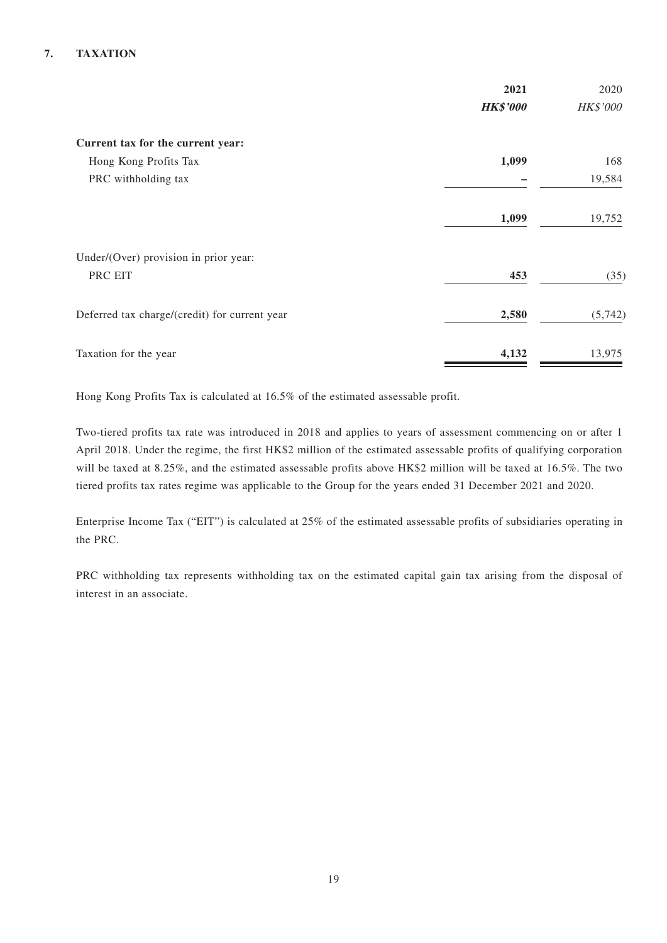### **7. TAXATION**

|                                               | 2021<br><b>HK\$'000</b> | 2020<br>HK\$'000 |
|-----------------------------------------------|-------------------------|------------------|
| Current tax for the current year:             |                         |                  |
| Hong Kong Profits Tax                         | 1,099                   | 168              |
| PRC withholding tax                           |                         | 19,584           |
|                                               | 1,099                   | 19,752           |
| Under/(Over) provision in prior year:         |                         |                  |
| PRC EIT                                       | 453                     | (35)             |
| Deferred tax charge/(credit) for current year | 2,580                   | (5,742)          |
| Taxation for the year                         | 4,132                   | 13,975           |

Hong Kong Profits Tax is calculated at 16.5% of the estimated assessable profit.

Two-tiered profits tax rate was introduced in 2018 and applies to years of assessment commencing on or after 1 April 2018. Under the regime, the first HK\$2 million of the estimated assessable profits of qualifying corporation will be taxed at 8.25%, and the estimated assessable profits above HK\$2 million will be taxed at 16.5%. The two tiered profits tax rates regime was applicable to the Group for the years ended 31 December 2021 and 2020.

Enterprise Income Tax ("EIT") is calculated at 25% of the estimated assessable profits of subsidiaries operating in the PRC.

PRC withholding tax represents withholding tax on the estimated capital gain tax arising from the disposal of interest in an associate.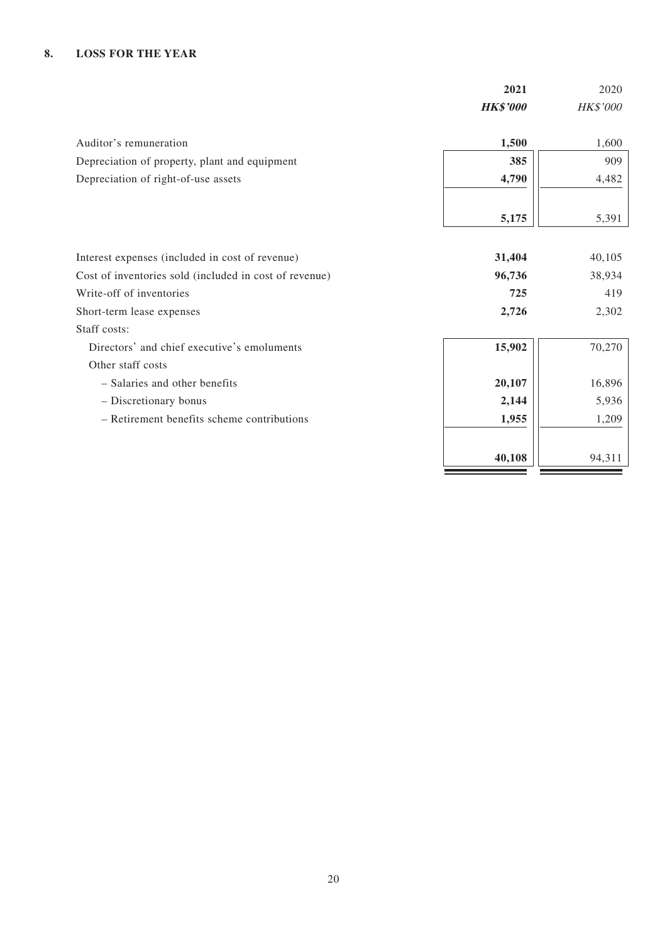### **8. LOSS FOR THE YEAR**

|                                                        | 2021            | 2020     |
|--------------------------------------------------------|-----------------|----------|
|                                                        | <b>HK\$'000</b> | HK\$'000 |
|                                                        |                 |          |
| Auditor's remuneration                                 | 1,500           | 1,600    |
| Depreciation of property, plant and equipment          | 385             | 909      |
| Depreciation of right-of-use assets                    | 4,790           | 4,482    |
|                                                        |                 |          |
|                                                        | 5,175           | 5,391    |
|                                                        |                 |          |
| Interest expenses (included in cost of revenue)        | 31,404          | 40,105   |
| Cost of inventories sold (included in cost of revenue) | 96,736          | 38,934   |
| Write-off of inventories                               | 725             | 419      |
| Short-term lease expenses                              | 2,726           | 2,302    |
| Staff costs:                                           |                 |          |
| Directors' and chief executive's emoluments            | 15,902          | 70,270   |
| Other staff costs                                      |                 |          |
| - Salaries and other benefits                          | 20,107          | 16,896   |
| - Discretionary bonus                                  | 2,144           | 5,936    |
| - Retirement benefits scheme contributions             | 1,955           | 1,209    |
|                                                        |                 |          |
|                                                        | 40,108          | 94,311   |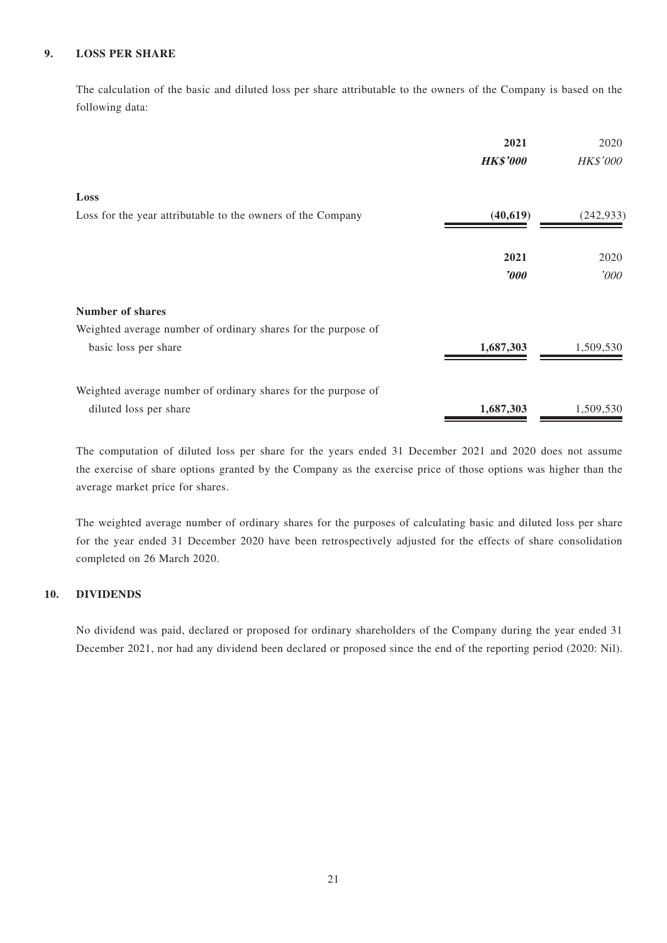### **9. LOSS PER SHARE**

The calculation of the basic and diluted loss per share attributable to the owners of the Company is based on the following data:

|                                                               | 2021<br><b>HK\$'000</b> | 2020<br><b>HK\$'000</b> |
|---------------------------------------------------------------|-------------------------|-------------------------|
| Loss                                                          |                         |                         |
| Loss for the year attributable to the owners of the Company   | (40, 619)               | (242, 933)              |
|                                                               | 2021                    | 2020                    |
|                                                               | $\boldsymbol{v}$        | $^{\prime} 000$         |
| <b>Number of shares</b>                                       |                         |                         |
| Weighted average number of ordinary shares for the purpose of |                         |                         |
| basic loss per share                                          | 1,687,303               | 1,509,530               |
| Weighted average number of ordinary shares for the purpose of |                         |                         |
| diluted loss per share                                        | 1,687,303               | 1,509,530               |

The computation of diluted loss per share for the years ended 31 December 2021 and 2020 does not assume the exercise of share options granted by the Company as the exercise price of those options was higher than the average market price for shares.

The weighted average number of ordinary shares for the purposes of calculating basic and diluted loss per share for the year ended 31 December 2020 have been retrospectively adjusted for the effects of share consolidation completed on 26 March 2020.

### **10. DIVIDENDS**

No dividend was paid, declared or proposed for ordinary shareholders of the Company during the year ended 31 December 2021, nor had any dividend been declared or proposed since the end of the reporting period (2020: Nil).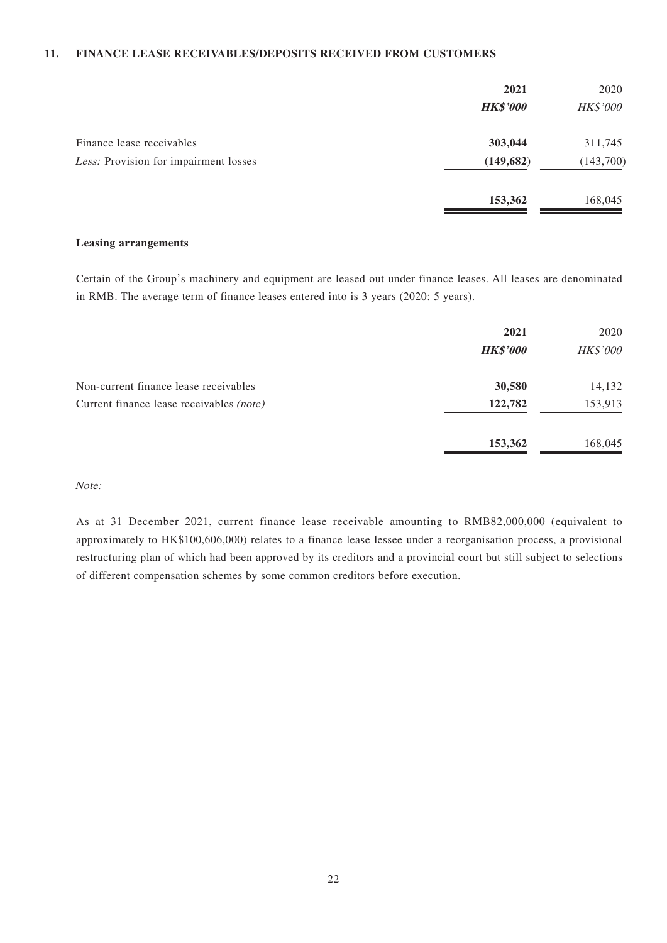### **11. FINANCE LEASE RECEIVABLES/DEPOSITS RECEIVED FROM CUSTOMERS**

|                                       | 2021<br><b>HK\$'000</b> | 2020<br><b>HK\$'000</b> |
|---------------------------------------|-------------------------|-------------------------|
| Finance lease receivables             | 303,044                 | 311,745                 |
| Less: Provision for impairment losses | (149, 682)              | (143,700)               |
|                                       | 153,362                 | 168,045                 |

#### **Leasing arrangements**

Certain of the Group's machinery and equipment are leased out under finance leases. All leases are denominated in RMB. The average term of finance leases entered into is 3 years (2020: 5 years).

|                                          | 2021<br><b>HK\$'000</b> | 2020<br>HK\$'000 |
|------------------------------------------|-------------------------|------------------|
| Non-current finance lease receivables    | 30,580                  | 14,132           |
| Current finance lease receivables (note) | 122,782                 | 153,913          |
|                                          | 153,362                 | 168,045          |

### Note:

As at 31 December 2021, current finance lease receivable amounting to RMB82,000,000 (equivalent to approximately to HK\$100,606,000) relates to a finance lease lessee under a reorganisation process, a provisional restructuring plan of which had been approved by its creditors and a provincial court but still subject to selections of different compensation schemes by some common creditors before execution.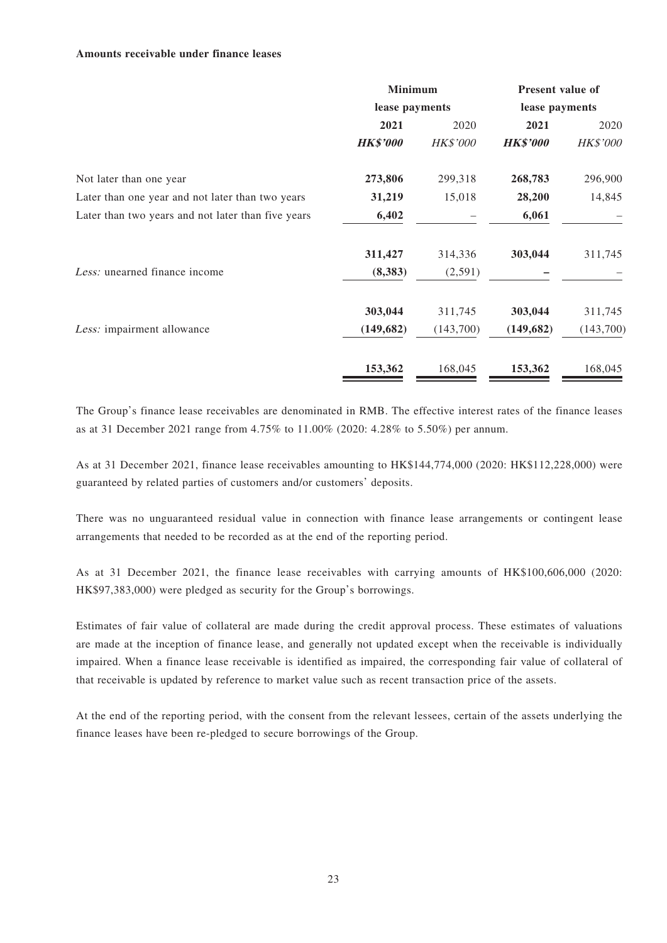#### **Amounts receivable under finance leases**

|                                                    | <b>Minimum</b><br>lease payments |                 | <b>Present value of</b><br>lease payments |                 |
|----------------------------------------------------|----------------------------------|-----------------|-------------------------------------------|-----------------|
|                                                    |                                  |                 |                                           |                 |
|                                                    | 2021                             | 2020            | 2021                                      | 2020            |
|                                                    | <b>HK\$'000</b>                  | <b>HK\$'000</b> | <b>HK\$'000</b>                           | <b>HK\$'000</b> |
| Not later than one year                            | 273,806                          | 299,318         | 268,783                                   | 296,900         |
| Later than one year and not later than two years   | 31,219                           | 15,018          | 28,200                                    | 14,845          |
| Later than two years and not later than five years | 6,402                            |                 | 6,061                                     |                 |
|                                                    | 311,427                          | 314,336         | 303,044                                   | 311,745         |
| Less: unearned finance income                      | (8,383)                          | (2,591)         |                                           |                 |
|                                                    | 303,044                          | 311,745         | 303,044                                   | 311,745         |
| Less: impairment allowance                         | (149, 682)                       | (143,700)       | (149, 682)                                | (143,700)       |
|                                                    | 153,362                          | 168,045         | 153,362                                   | 168,045         |

The Group's finance lease receivables are denominated in RMB. The effective interest rates of the finance leases as at 31 December 2021 range from 4.75% to 11.00% (2020: 4.28% to 5.50%) per annum.

As at 31 December 2021, finance lease receivables amounting to HK\$144,774,000 (2020: HK\$112,228,000) were guaranteed by related parties of customers and/or customers' deposits.

There was no unguaranteed residual value in connection with finance lease arrangements or contingent lease arrangements that needed to be recorded as at the end of the reporting period.

As at 31 December 2021, the finance lease receivables with carrying amounts of HK\$100,606,000 (2020: HK\$97,383,000) were pledged as security for the Group's borrowings.

Estimates of fair value of collateral are made during the credit approval process. These estimates of valuations are made at the inception of finance lease, and generally not updated except when the receivable is individually impaired. When a finance lease receivable is identified as impaired, the corresponding fair value of collateral of that receivable is updated by reference to market value such as recent transaction price of the assets.

At the end of the reporting period, with the consent from the relevant lessees, certain of the assets underlying the finance leases have been re-pledged to secure borrowings of the Group.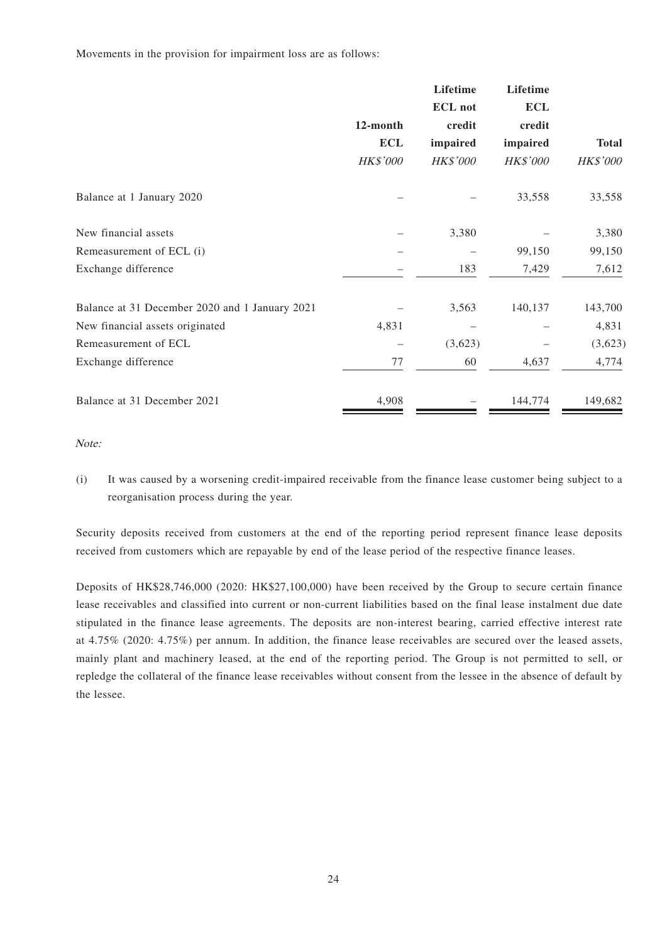Movements in the provision for impairment loss are as follows:

|                                                |                 | Lifetime        | Lifetime        |                 |
|------------------------------------------------|-----------------|-----------------|-----------------|-----------------|
|                                                |                 | <b>ECL</b> not  | <b>ECL</b>      |                 |
|                                                | 12-month        | credit          | credit          |                 |
|                                                | <b>ECL</b>      | impaired        | impaired        | <b>Total</b>    |
|                                                | <b>HK\$'000</b> | <b>HK\$'000</b> | <b>HK\$'000</b> | <b>HK\$'000</b> |
| Balance at 1 January 2020                      |                 |                 | 33,558          | 33,558          |
| New financial assets                           |                 | 3,380           |                 | 3,380           |
| Remeasurement of ECL (i)                       |                 |                 | 99,150          | 99,150          |
| Exchange difference                            |                 | 183             | 7,429           | 7,612           |
| Balance at 31 December 2020 and 1 January 2021 |                 | 3,563           | 140,137         | 143,700         |
| New financial assets originated                | 4,831           |                 |                 | 4,831           |
| Remeasurement of ECL                           |                 | (3,623)         |                 | (3,623)         |
| Exchange difference                            | 77              | 60              | 4,637           | 4,774           |
| Balance at 31 December 2021                    | 4,908           |                 | 144,774         | 149,682         |

Note:

(i) It was caused by a worsening credit-impaired receivable from the finance lease customer being subject to a reorganisation process during the year.

Security deposits received from customers at the end of the reporting period represent finance lease deposits received from customers which are repayable by end of the lease period of the respective finance leases.

Deposits of HK\$28,746,000 (2020: HK\$27,100,000) have been received by the Group to secure certain finance lease receivables and classified into current or non-current liabilities based on the final lease instalment due date stipulated in the finance lease agreements. The deposits are non-interest bearing, carried effective interest rate at 4.75% (2020: 4.75%) per annum. In addition, the finance lease receivables are secured over the leased assets, mainly plant and machinery leased, at the end of the reporting period. The Group is not permitted to sell, or repledge the collateral of the finance lease receivables without consent from the lessee in the absence of default by the lessee.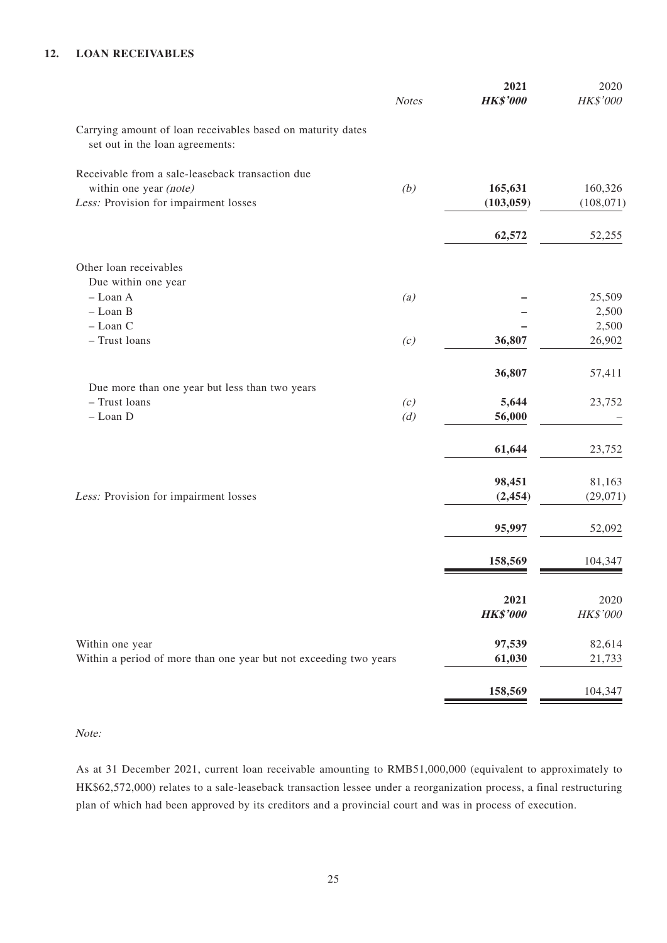### **12. LOAN RECEIVABLES**

|                                                                                                | <b>Notes</b> | 2021<br><b>HK\$'000</b> | 2020<br>HK\$'000      |
|------------------------------------------------------------------------------------------------|--------------|-------------------------|-----------------------|
|                                                                                                |              |                         |                       |
| Carrying amount of loan receivables based on maturity dates<br>set out in the loan agreements: |              |                         |                       |
| Receivable from a sale-leaseback transaction due                                               |              |                         |                       |
| within one year (note)<br>Less: Provision for impairment losses                                | (b)          | 165,631<br>(103, 059)   | 160,326<br>(108, 071) |
|                                                                                                |              |                         |                       |
|                                                                                                |              | 62,572                  | 52,255                |
| Other loan receivables                                                                         |              |                         |                       |
| Due within one year                                                                            |              |                         |                       |
| - Loan A<br>- Loan B                                                                           | (a)          |                         | 25,509<br>2,500       |
| - Loan C                                                                                       |              |                         | 2,500                 |
| - Trust loans                                                                                  | (c)          | 36,807                  | 26,902                |
|                                                                                                |              | 36,807                  | 57,411                |
| Due more than one year but less than two years                                                 |              |                         |                       |
| - Trust loans                                                                                  | (c)          | 5,644                   | 23,752                |
| - Loan D                                                                                       | (d)          | 56,000                  |                       |
|                                                                                                |              | 61,644                  | 23,752                |
|                                                                                                |              | 98,451                  | 81,163                |
| Less: Provision for impairment losses                                                          |              | (2, 454)                | (29,071)              |
|                                                                                                |              | 95,997                  | 52,092                |
|                                                                                                |              | 158,569                 | 104,347               |
|                                                                                                |              | 2021                    | 2020                  |
|                                                                                                |              | <b>HK\$'000</b>         | HK\$'000              |
| Within one year                                                                                |              | 97,539                  | 82,614                |
| Within a period of more than one year but not exceeding two years                              |              | 61,030                  | 21,733                |
|                                                                                                |              | 158,569                 | 104,347               |

Note:

As at 31 December 2021, current loan receivable amounting to RMB51,000,000 (equivalent to approximately to HK\$62,572,000) relates to a sale-leaseback transaction lessee under a reorganization process, a final restructuring plan of which had been approved by its creditors and a provincial court and was in process of execution.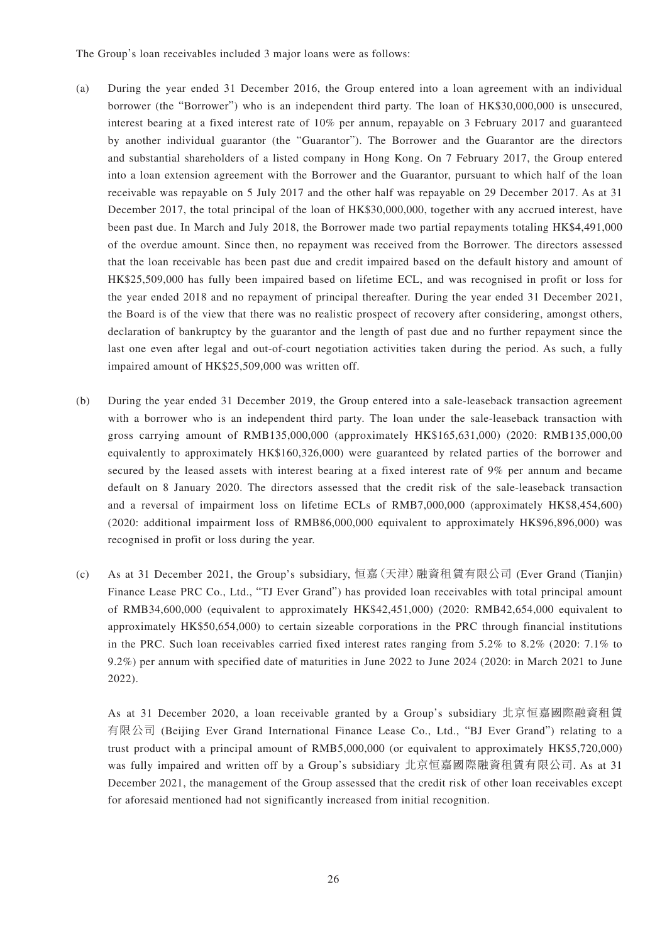The Group's loan receivables included 3 major loans were as follows:

- (a) During the year ended 31 December 2016, the Group entered into a loan agreement with an individual borrower (the "Borrower") who is an independent third party. The loan of HK\$30,000,000 is unsecured, interest bearing at a fixed interest rate of 10% per annum, repayable on 3 February 2017 and guaranteed by another individual guarantor (the "Guarantor"). The Borrower and the Guarantor are the directors and substantial shareholders of a listed company in Hong Kong. On 7 February 2017, the Group entered into a loan extension agreement with the Borrower and the Guarantor, pursuant to which half of the loan receivable was repayable on 5 July 2017 and the other half was repayable on 29 December 2017. As at 31 December 2017, the total principal of the loan of HK\$30,000,000, together with any accrued interest, have been past due. In March and July 2018, the Borrower made two partial repayments totaling HK\$4,491,000 of the overdue amount. Since then, no repayment was received from the Borrower. The directors assessed that the loan receivable has been past due and credit impaired based on the default history and amount of HK\$25,509,000 has fully been impaired based on lifetime ECL, and was recognised in profit or loss for the year ended 2018 and no repayment of principal thereafter. During the year ended 31 December 2021, the Board is of the view that there was no realistic prospect of recovery after considering, amongst others, declaration of bankruptcy by the guarantor and the length of past due and no further repayment since the last one even after legal and out-of-court negotiation activities taken during the period. As such, a fully impaired amount of HK\$25,509,000 was written off.
- (b) During the year ended 31 December 2019, the Group entered into a sale-leaseback transaction agreement with a borrower who is an independent third party. The loan under the sale-leaseback transaction with gross carrying amount of RMB135,000,000 (approximately HK\$165,631,000) (2020: RMB135,000,00 equivalently to approximately HK\$160,326,000) were guaranteed by related parties of the borrower and secured by the leased assets with interest bearing at a fixed interest rate of 9% per annum and became default on 8 January 2020. The directors assessed that the credit risk of the sale-leaseback transaction and a reversal of impairment loss on lifetime ECLs of RMB7,000,000 (approximately HK\$8,454,600) (2020: additional impairment loss of RMB86,000,000 equivalent to approximately HK\$96,896,000) was recognised in profit or loss during the year.
- (c) As at 31 December 2021, the Group's subsidiary, 恒嘉(天津)融資租賃有限公司 (Ever Grand (Tianjin) Finance Lease PRC Co., Ltd., "TJ Ever Grand") has provided loan receivables with total principal amount of RMB34,600,000 (equivalent to approximately HK\$42,451,000) (2020: RMB42,654,000 equivalent to approximately HK\$50,654,000) to certain sizeable corporations in the PRC through financial institutions in the PRC. Such loan receivables carried fixed interest rates ranging from 5.2% to 8.2% (2020: 7.1% to 9.2%) per annum with specified date of maturities in June 2022 to June 2024 (2020: in March 2021 to June 2022).

As at 31 December 2020, a loan receivable granted by a Group's subsidiary 北京恒嘉國際融資租賃 有限公司 (Beijing Ever Grand International Finance Lease Co., Ltd., "BJ Ever Grand") relating to a trust product with a principal amount of RMB5,000,000 (or equivalent to approximately HK\$5,720,000) was fully impaired and written off by a Group's subsidiary 北京恒嘉國際融資租賃有限公司. As at 31 December 2021, the management of the Group assessed that the credit risk of other loan receivables except for aforesaid mentioned had not significantly increased from initial recognition.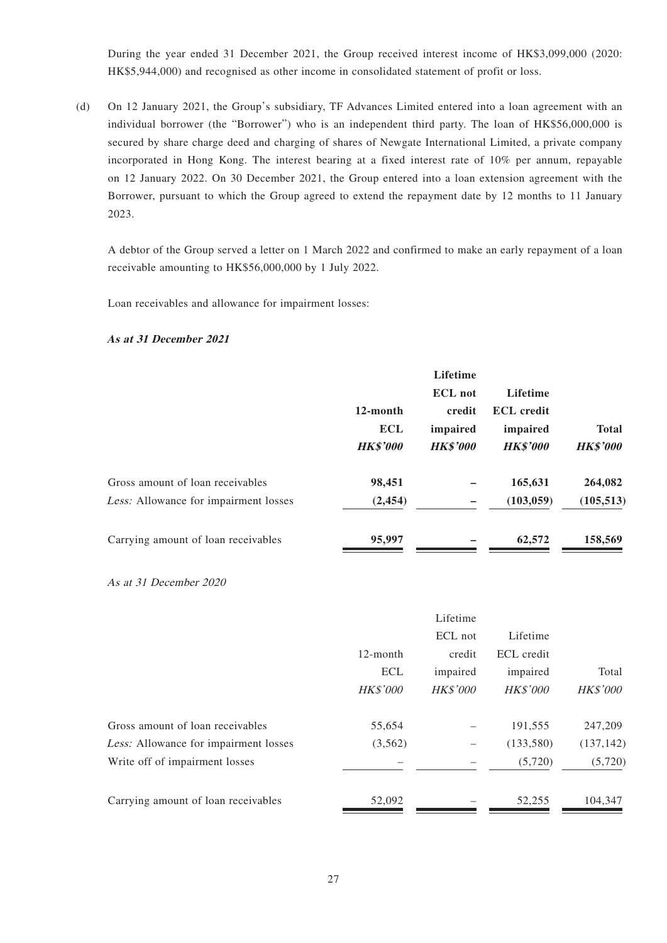During the year ended 31 December 2021, the Group received interest income of HK\$3,099,000 (2020: HK\$5,944,000) and recognised as other income in consolidated statement of profit or loss.

(d) On 12 January 2021, the Group's subsidiary, TF Advances Limited entered into a loan agreement with an individual borrower (the "Borrower") who is an independent third party. The loan of HK\$56,000,000 is secured by share charge deed and charging of shares of Newgate International Limited, a private company incorporated in Hong Kong. The interest bearing at a fixed interest rate of 10% per annum, repayable on 12 January 2022. On 30 December 2021, the Group entered into a loan extension agreement with the Borrower, pursuant to which the Group agreed to extend the repayment date by 12 months to 11 January 2023.

A debtor of the Group served a letter on 1 March 2022 and confirmed to make an early repayment of a loan receivable amounting to HK\$56,000,000 by 1 July 2022.

Loan receivables and allowance for impairment losses:

#### **As at 31 December 2021**

|                                              |                 | <b>Lifetime</b> |                   |                 |
|----------------------------------------------|-----------------|-----------------|-------------------|-----------------|
|                                              |                 | <b>ECL</b> not  | <b>Lifetime</b>   |                 |
|                                              | 12-month        | credit          | <b>ECL</b> credit |                 |
|                                              | <b>ECL</b>      | impaired        | impaired          | <b>Total</b>    |
|                                              | <b>HK\$'000</b> | <b>HK\$'000</b> | <b>HK\$'000</b>   | <b>HK\$'000</b> |
| Gross amount of loan receivables             | 98,451          |                 | 165,631           | 264,082         |
| <i>Less:</i> Allowance for impairment losses | (2, 454)        |                 | (103, 059)        | (105, 513)      |
| Carrying amount of loan receivables          | 95,997          |                 | 62,572            | 158,569         |

As at 31 December 2020

|                                       |                 | Lifetime        |                 |                 |
|---------------------------------------|-----------------|-----------------|-----------------|-----------------|
|                                       |                 | ECL not         | Lifetime        |                 |
|                                       | $12$ -month     | credit          | ECL credit      |                 |
|                                       | <b>ECL</b>      | impaired        | impaired        | Total           |
|                                       | <b>HK\$'000</b> | <b>HK\$'000</b> | <b>HK\$'000</b> | <b>HK\$'000</b> |
| Gross amount of loan receivables      | 55,654          |                 | 191,555         | 247,209         |
| Less: Allowance for impairment losses | (3,562)         |                 | (133,580)       | (137, 142)      |
| Write off of impairment losses        |                 |                 | (5,720)         | (5,720)         |
| Carrying amount of loan receivables   | 52,092          |                 | 52,255          | 104,347         |
|                                       |                 |                 |                 |                 |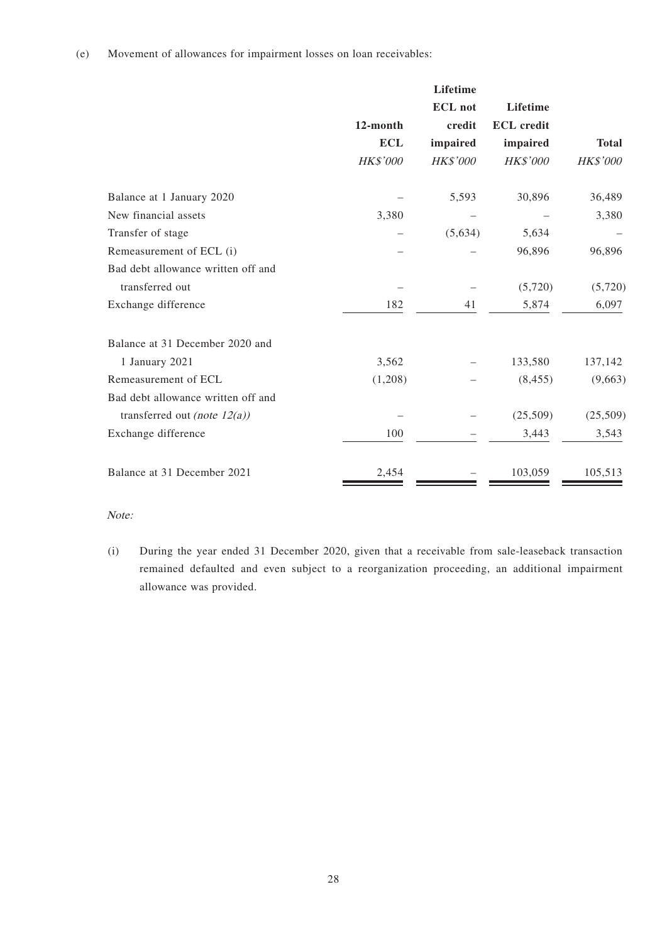|                                    |                 | Lifetime        |                   |              |
|------------------------------------|-----------------|-----------------|-------------------|--------------|
|                                    |                 | <b>ECL</b> not  | Lifetime          |              |
|                                    | 12-month        | credit          | <b>ECL</b> credit |              |
|                                    | <b>ECL</b>      | impaired        | impaired          | <b>Total</b> |
|                                    | <b>HK\$'000</b> | <b>HK\$'000</b> | <b>HK\$'000</b>   | HK\$'000     |
| Balance at 1 January 2020          |                 | 5,593           | 30,896            | 36,489       |
| New financial assets               | 3,380           |                 |                   | 3,380        |
| Transfer of stage                  |                 | (5,634)         | 5,634             |              |
| Remeasurement of ECL (i)           |                 |                 | 96,896            | 96,896       |
| Bad debt allowance written off and |                 |                 |                   |              |
| transferred out                    |                 |                 | (5,720)           | (5,720)      |
| Exchange difference                | 182             | 41              | 5,874             | 6,097        |
| Balance at 31 December 2020 and    |                 |                 |                   |              |
| 1 January 2021                     | 3,562           |                 | 133,580           | 137,142      |
| Remeasurement of ECL               | (1,208)         |                 | (8, 455)          | (9,663)      |
| Bad debt allowance written off and |                 |                 |                   |              |
| transferred out (note $12(a)$ )    |                 |                 | (25,509)          | (25,509)     |
| Exchange difference                | 100             |                 | 3,443             | 3,543        |
| Balance at 31 December 2021        | 2,454           |                 | 103,059           | 105,513      |

### Note:

(i) During the year ended 31 December 2020, given that a receivable from sale-leaseback transaction remained defaulted and even subject to a reorganization proceeding, an additional impairment allowance was provided.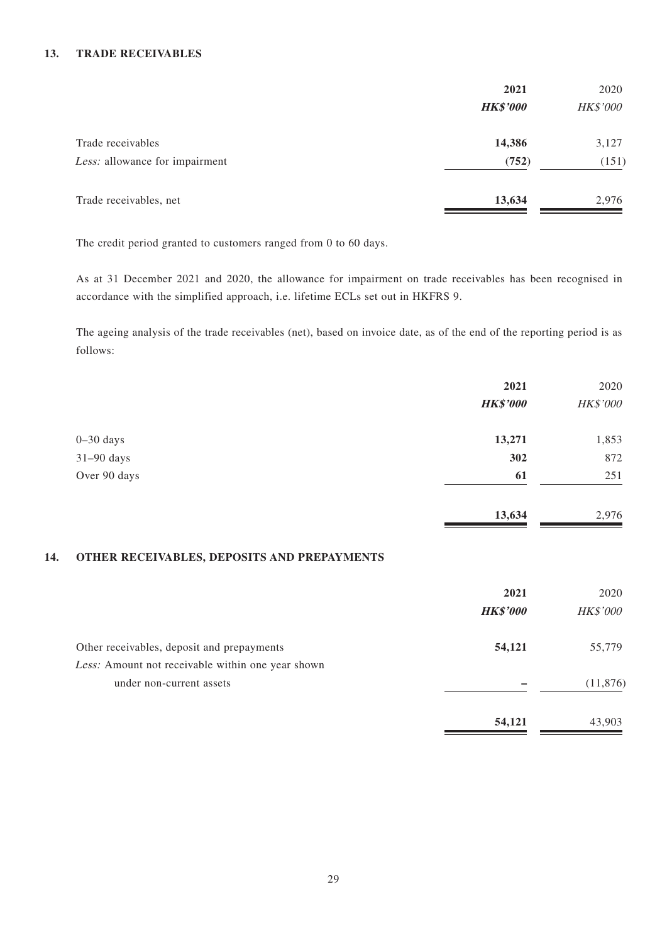### **13. TRADE RECEIVABLES**

|                                | 2021            | 2020            |
|--------------------------------|-----------------|-----------------|
|                                | <b>HK\$'000</b> | <b>HK\$'000</b> |
| Trade receivables              | 14,386          | 3,127           |
| Less: allowance for impairment | (752)           | (151)           |
| Trade receivables, net         | 13,634          | 2,976           |

The credit period granted to customers ranged from 0 to 60 days.

As at 31 December 2021 and 2020, the allowance for impairment on trade receivables has been recognised in accordance with the simplified approach, i.e. lifetime ECLs set out in HKFRS 9.

The ageing analysis of the trade receivables (net), based on invoice date, as of the end of the reporting period is as follows:

|                                                    | 2021            | 2020     |
|----------------------------------------------------|-----------------|----------|
|                                                    | <b>HK\$'000</b> | HK\$'000 |
| $0 - 30$ days                                      | 13,271          | 1,853    |
| $31-90$ days                                       | 302             | 872      |
| Over 90 days                                       | 61              | 251      |
|                                                    | 13,634          | 2,976    |
| <b>OTHER RECEIVABLES, DEPOSITS AND PREPAYMENTS</b> |                 |          |

#### **14. OTHER RECEIVABLES, DEPOSITS AND PREPAYMENTS**

|                                                                               | 2021            | 2020            |
|-------------------------------------------------------------------------------|-----------------|-----------------|
|                                                                               | <b>HK\$'000</b> | <b>HK\$'000</b> |
| Other receivables, deposit and prepayments                                    | 54,121          | 55,779          |
| Less: Amount not receivable within one year shown<br>under non-current assets |                 | (11, 876)       |
|                                                                               | 54,121          | 43,903          |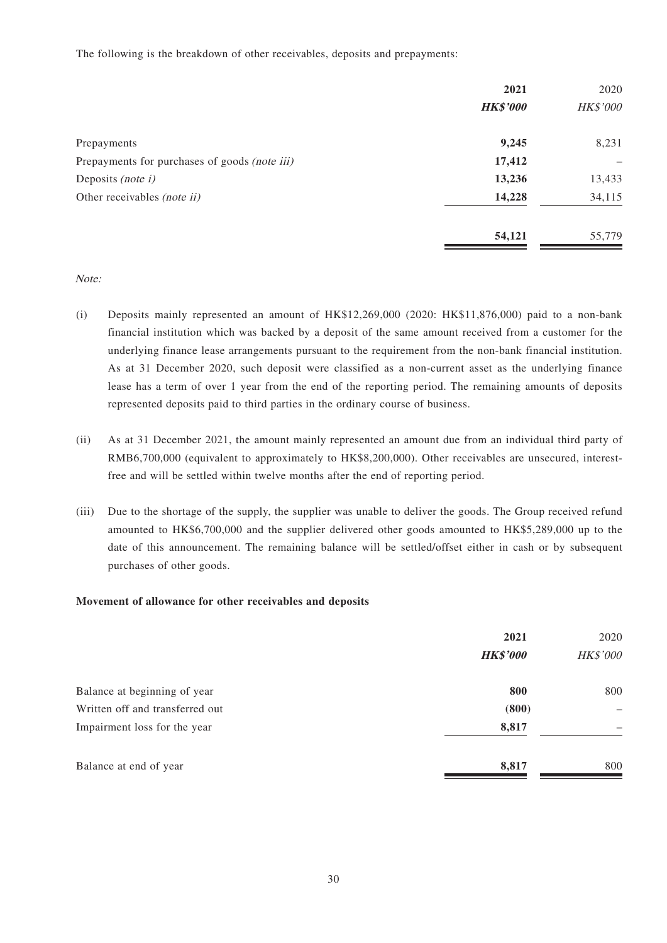The following is the breakdown of other receivables, deposits and prepayments:

|                                               | 2021            | 2020            |
|-----------------------------------------------|-----------------|-----------------|
|                                               | <b>HK\$'000</b> | <b>HK\$'000</b> |
| Prepayments                                   | 9,245           | 8,231           |
| Prepayments for purchases of goods (note iii) | 17,412          |                 |
| Deposits (note $i$ )                          | 13,236          | 13,433          |
| Other receivables <i>(note ii)</i>            | 14,228          | 34,115          |
|                                               | 54,121          | 55,779          |

### Note:

- (i) Deposits mainly represented an amount of HK\$12,269,000 (2020: HK\$11,876,000) paid to a non-bank financial institution which was backed by a deposit of the same amount received from a customer for the underlying finance lease arrangements pursuant to the requirement from the non-bank financial institution. As at 31 December 2020, such deposit were classified as a non-current asset as the underlying finance lease has a term of over 1 year from the end of the reporting period. The remaining amounts of deposits represented deposits paid to third parties in the ordinary course of business.
- (ii) As at 31 December 2021, the amount mainly represented an amount due from an individual third party of RMB6,700,000 (equivalent to approximately to HK\$8,200,000). Other receivables are unsecured, interestfree and will be settled within twelve months after the end of reporting period.
- (iii) Due to the shortage of the supply, the supplier was unable to deliver the goods. The Group received refund amounted to HK\$6,700,000 and the supplier delivered other goods amounted to HK\$5,289,000 up to the date of this announcement. The remaining balance will be settled/offset either in cash or by subsequent purchases of other goods.

#### **Movement of allowance for other receivables and deposits**

|                                 | 2021            | 2020              |
|---------------------------------|-----------------|-------------------|
|                                 | <b>HK\$'000</b> | HK\$'000          |
| Balance at beginning of year    | 800             | 800               |
| Written off and transferred out | (800)           | $\qquad \qquad -$ |
| Impairment loss for the year    | 8,817           |                   |
| Balance at end of year          | 8,817           | 800               |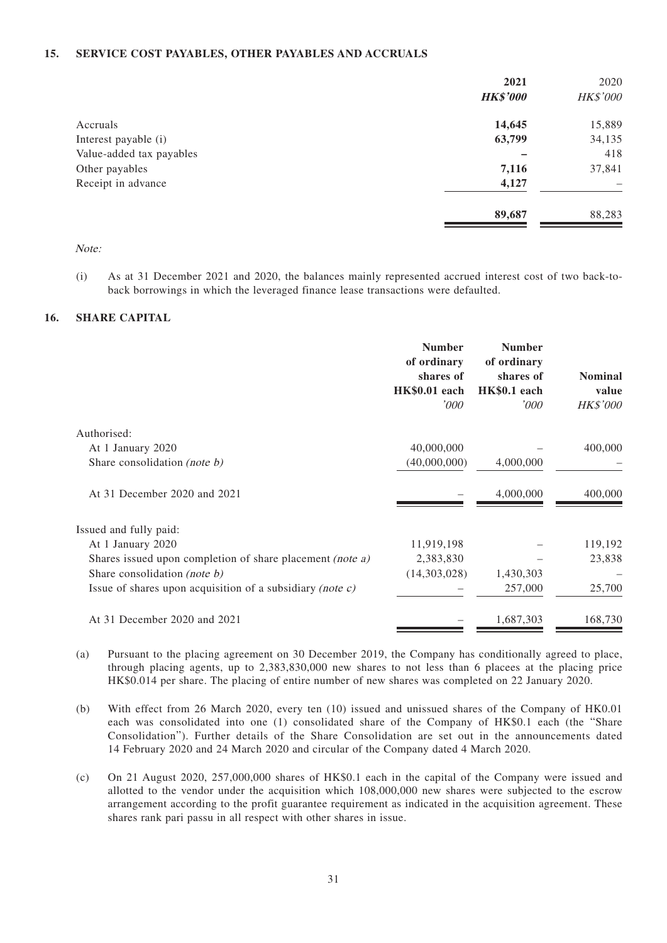#### **15. SERVICE COST PAYABLES, OTHER PAYABLES AND ACCRUALS**

|                          | 2021            | 2020     |
|--------------------------|-----------------|----------|
|                          | <b>HK\$'000</b> | HK\$'000 |
| Accruals                 | 14,645          | 15,889   |
| Interest payable (i)     | 63,799          | 34,135   |
| Value-added tax payables |                 | 418      |
| Other payables           | 7,116           | 37,841   |
| Receipt in advance       | 4,127           | -        |
|                          | 89,687          | 88,283   |

Note:

(i) As at 31 December 2021 and 2020, the balances mainly represented accrued interest cost of two back-toback borrowings in which the leveraged finance lease transactions were defaulted.

#### **16. SHARE CAPITAL**

|                                                              | <b>Number</b><br>of ordinary<br>shares of<br><b>HK\$0.01</b> each | <b>Number</b><br>of ordinary<br>shares of<br>HK\$0.1 each | <b>Nominal</b><br>value |
|--------------------------------------------------------------|-------------------------------------------------------------------|-----------------------------------------------------------|-------------------------|
|                                                              | '000                                                              | '000                                                      | <b>HK\$'000</b>         |
| Authorised:                                                  |                                                                   |                                                           |                         |
| At 1 January 2020                                            | 40,000,000                                                        |                                                           | 400,000                 |
| Share consolidation (note b)                                 | (40,000,000)                                                      | 4,000,000                                                 |                         |
| At 31 December 2020 and 2021                                 |                                                                   | 4,000,000                                                 | 400,000                 |
| Issued and fully paid:                                       |                                                                   |                                                           |                         |
| At 1 January 2020                                            | 11,919,198                                                        |                                                           | 119,192                 |
| Shares issued upon completion of share placement (note a)    | 2,383,830                                                         |                                                           | 23,838                  |
| Share consolidation (note $b$ )                              | (14,303,028)                                                      | 1,430,303                                                 |                         |
| Issue of shares upon acquisition of a subsidiary (note $c$ ) |                                                                   | 257,000                                                   | 25,700                  |
| At 31 December 2020 and 2021                                 |                                                                   | 1,687,303                                                 | 168,730                 |

- (a) Pursuant to the placing agreement on 30 December 2019, the Company has conditionally agreed to place, through placing agents, up to 2,383,830,000 new shares to not less than 6 placees at the placing price HK\$0.014 per share. The placing of entire number of new shares was completed on 22 January 2020.
- (b) With effect from 26 March 2020, every ten (10) issued and unissued shares of the Company of HK0.01 each was consolidated into one (1) consolidated share of the Company of HK\$0.1 each (the "Share Consolidation"). Further details of the Share Consolidation are set out in the announcements dated 14 February 2020 and 24 March 2020 and circular of the Company dated 4 March 2020.
- (c) On 21 August 2020, 257,000,000 shares of HK\$0.1 each in the capital of the Company were issued and allotted to the vendor under the acquisition which 108,000,000 new shares were subjected to the escrow arrangement according to the profit guarantee requirement as indicated in the acquisition agreement. These shares rank pari passu in all respect with other shares in issue.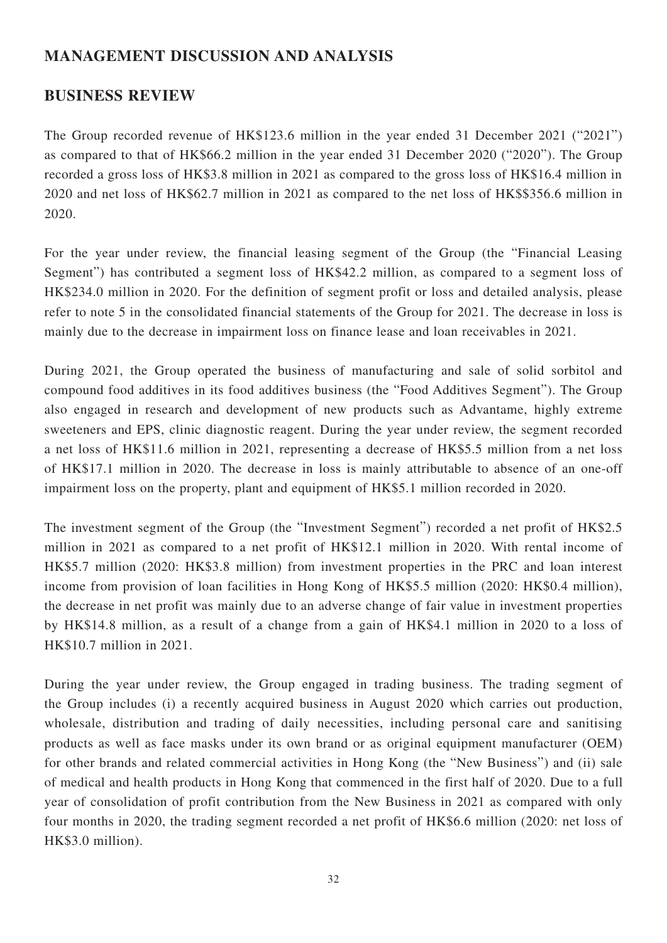# **MANAGEMENT DISCUSSION AND ANALYSIS**

# **BUSINESS REVIEW**

The Group recorded revenue of HK\$123.6 million in the year ended 31 December 2021 ("2021") as compared to that of HK\$66.2 million in the year ended 31 December 2020 ("2020"). The Group recorded a gross loss of HK\$3.8 million in 2021 as compared to the gross loss of HK\$16.4 million in 2020 and net loss of HK\$62.7 million in 2021 as compared to the net loss of HK\$\$356.6 million in 2020.

For the year under review, the financial leasing segment of the Group (the "Financial Leasing Segment") has contributed a segment loss of HK\$42.2 million, as compared to a segment loss of HK\$234.0 million in 2020. For the definition of segment profit or loss and detailed analysis, please refer to note 5 in the consolidated financial statements of the Group for 2021. The decrease in loss is mainly due to the decrease in impairment loss on finance lease and loan receivables in 2021.

During 2021, the Group operated the business of manufacturing and sale of solid sorbitol and compound food additives in its food additives business (the "Food Additives Segment"). The Group also engaged in research and development of new products such as Advantame, highly extreme sweeteners and EPS, clinic diagnostic reagent. During the year under review, the segment recorded a net loss of HK\$11.6 million in 2021, representing a decrease of HK\$5.5 million from a net loss of HK\$17.1 million in 2020. The decrease in loss is mainly attributable to absence of an one-off impairment loss on the property, plant and equipment of HK\$5.1 million recorded in 2020.

The investment segment of the Group (the "Investment Segment") recorded a net profit of HK\$2.5 million in 2021 as compared to a net profit of HK\$12.1 million in 2020. With rental income of HK\$5.7 million (2020: HK\$3.8 million) from investment properties in the PRC and loan interest income from provision of loan facilities in Hong Kong of HK\$5.5 million (2020: HK\$0.4 million), the decrease in net profit was mainly due to an adverse change of fair value in investment properties by HK\$14.8 million, as a result of a change from a gain of HK\$4.1 million in 2020 to a loss of HK\$10.7 million in 2021.

During the year under review, the Group engaged in trading business. The trading segment of the Group includes (i) a recently acquired business in August 2020 which carries out production, wholesale, distribution and trading of daily necessities, including personal care and sanitising products as well as face masks under its own brand or as original equipment manufacturer (OEM) for other brands and related commercial activities in Hong Kong (the "New Business") and (ii) sale of medical and health products in Hong Kong that commenced in the first half of 2020. Due to a full year of consolidation of profit contribution from the New Business in 2021 as compared with only four months in 2020, the trading segment recorded a net profit of HK\$6.6 million (2020: net loss of HK\$3.0 million).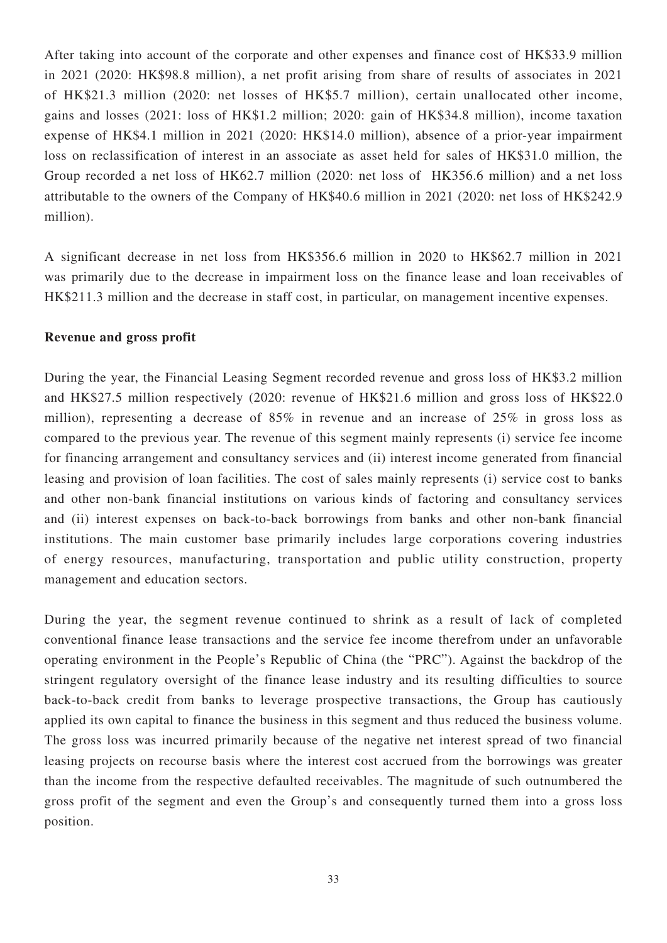After taking into account of the corporate and other expenses and finance cost of HK\$33.9 million in 2021 (2020: HK\$98.8 million), a net profit arising from share of results of associates in 2021 of HK\$21.3 million (2020: net losses of HK\$5.7 million), certain unallocated other income, gains and losses (2021: loss of HK\$1.2 million; 2020: gain of HK\$34.8 million), income taxation expense of HK\$4.1 million in 2021 (2020: HK\$14.0 million), absence of a prior-year impairment loss on reclassification of interest in an associate as asset held for sales of HK\$31.0 million, the Group recorded a net loss of HK62.7 million (2020: net loss of HK356.6 million) and a net loss attributable to the owners of the Company of HK\$40.6 million in 2021 (2020: net loss of HK\$242.9 million).

A significant decrease in net loss from HK\$356.6 million in 2020 to HK\$62.7 million in 2021 was primarily due to the decrease in impairment loss on the finance lease and loan receivables of HK\$211.3 million and the decrease in staff cost, in particular, on management incentive expenses.

### **Revenue and gross profit**

During the year, the Financial Leasing Segment recorded revenue and gross loss of HK\$3.2 million and HK\$27.5 million respectively (2020: revenue of HK\$21.6 million and gross loss of HK\$22.0 million), representing a decrease of 85% in revenue and an increase of 25% in gross loss as compared to the previous year. The revenue of this segment mainly represents (i) service fee income for financing arrangement and consultancy services and (ii) interest income generated from financial leasing and provision of loan facilities. The cost of sales mainly represents (i) service cost to banks and other non-bank financial institutions on various kinds of factoring and consultancy services and (ii) interest expenses on back-to-back borrowings from banks and other non-bank financial institutions. The main customer base primarily includes large corporations covering industries of energy resources, manufacturing, transportation and public utility construction, property management and education sectors.

During the year, the segment revenue continued to shrink as a result of lack of completed conventional finance lease transactions and the service fee income therefrom under an unfavorable operating environment in the People's Republic of China (the "PRC"). Against the backdrop of the stringent regulatory oversight of the finance lease industry and its resulting difficulties to source back-to-back credit from banks to leverage prospective transactions, the Group has cautiously applied its own capital to finance the business in this segment and thus reduced the business volume. The gross loss was incurred primarily because of the negative net interest spread of two financial leasing projects on recourse basis where the interest cost accrued from the borrowings was greater than the income from the respective defaulted receivables. The magnitude of such outnumbered the gross profit of the segment and even the Group's and consequently turned them into a gross loss position.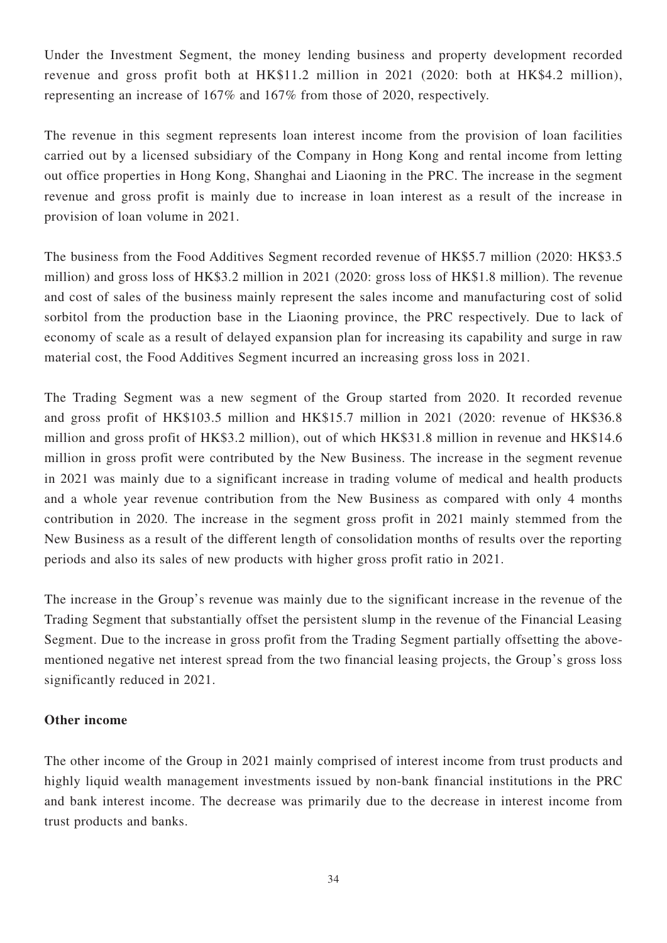Under the Investment Segment, the money lending business and property development recorded revenue and gross profit both at HK\$11.2 million in 2021 (2020: both at HK\$4.2 million), representing an increase of 167% and 167% from those of 2020, respectively.

The revenue in this segment represents loan interest income from the provision of loan facilities carried out by a licensed subsidiary of the Company in Hong Kong and rental income from letting out office properties in Hong Kong, Shanghai and Liaoning in the PRC. The increase in the segment revenue and gross profit is mainly due to increase in loan interest as a result of the increase in provision of loan volume in 2021.

The business from the Food Additives Segment recorded revenue of HK\$5.7 million (2020: HK\$3.5 million) and gross loss of HK\$3.2 million in 2021 (2020: gross loss of HK\$1.8 million). The revenue and cost of sales of the business mainly represent the sales income and manufacturing cost of solid sorbitol from the production base in the Liaoning province, the PRC respectively. Due to lack of economy of scale as a result of delayed expansion plan for increasing its capability and surge in raw material cost, the Food Additives Segment incurred an increasing gross loss in 2021.

The Trading Segment was a new segment of the Group started from 2020. It recorded revenue and gross profit of HK\$103.5 million and HK\$15.7 million in 2021 (2020: revenue of HK\$36.8 million and gross profit of HK\$3.2 million), out of which HK\$31.8 million in revenue and HK\$14.6 million in gross profit were contributed by the New Business. The increase in the segment revenue in 2021 was mainly due to a significant increase in trading volume of medical and health products and a whole year revenue contribution from the New Business as compared with only 4 months contribution in 2020. The increase in the segment gross profit in 2021 mainly stemmed from the New Business as a result of the different length of consolidation months of results over the reporting periods and also its sales of new products with higher gross profit ratio in 2021.

The increase in the Group's revenue was mainly due to the significant increase in the revenue of the Trading Segment that substantially offset the persistent slump in the revenue of the Financial Leasing Segment. Due to the increase in gross profit from the Trading Segment partially offsetting the abovementioned negative net interest spread from the two financial leasing projects, the Group's gross loss significantly reduced in 2021.

## **Other income**

The other income of the Group in 2021 mainly comprised of interest income from trust products and highly liquid wealth management investments issued by non-bank financial institutions in the PRC and bank interest income. The decrease was primarily due to the decrease in interest income from trust products and banks.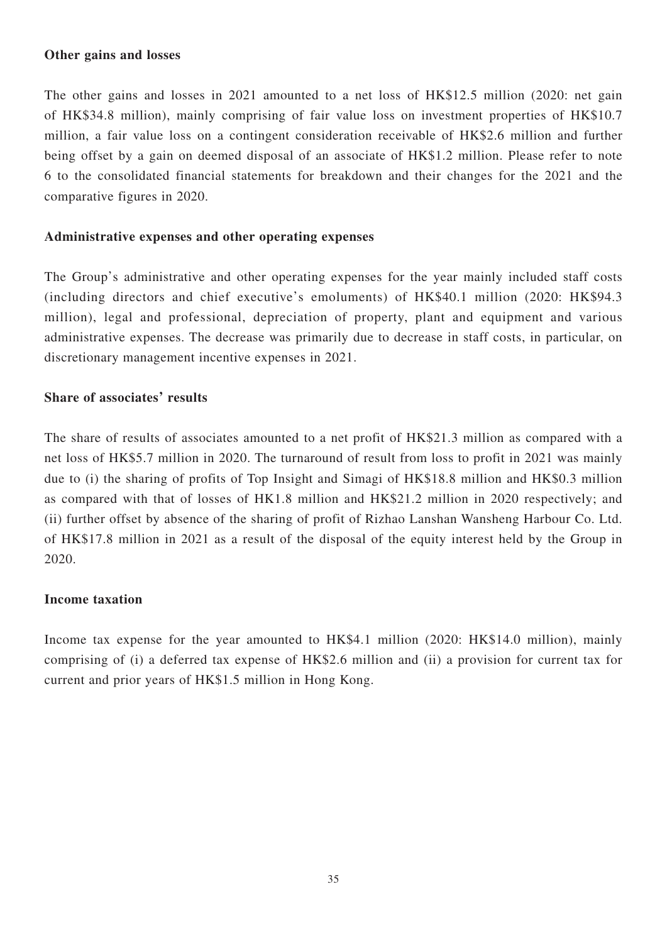### **Other gains and losses**

The other gains and losses in 2021 amounted to a net loss of HK\$12.5 million (2020: net gain of HK\$34.8 million), mainly comprising of fair value loss on investment properties of HK\$10.7 million, a fair value loss on a contingent consideration receivable of HK\$2.6 million and further being offset by a gain on deemed disposal of an associate of HK\$1.2 million. Please refer to note 6 to the consolidated financial statements for breakdown and their changes for the 2021 and the comparative figures in 2020.

### **Administrative expenses and other operating expenses**

The Group's administrative and other operating expenses for the year mainly included staff costs (including directors and chief executive's emoluments) of HK\$40.1 million (2020: HK\$94.3 million), legal and professional, depreciation of property, plant and equipment and various administrative expenses. The decrease was primarily due to decrease in staff costs, in particular, on discretionary management incentive expenses in 2021.

## **Share of associates' results**

The share of results of associates amounted to a net profit of HK\$21.3 million as compared with a net loss of HK\$5.7 million in 2020. The turnaround of result from loss to profit in 2021 was mainly due to (i) the sharing of profits of Top Insight and Simagi of HK\$18.8 million and HK\$0.3 million as compared with that of losses of HK1.8 million and HK\$21.2 million in 2020 respectively; and (ii) further offset by absence of the sharing of profit of Rizhao Lanshan Wansheng Harbour Co. Ltd. of HK\$17.8 million in 2021 as a result of the disposal of the equity interest held by the Group in 2020.

## **Income taxation**

Income tax expense for the year amounted to HK\$4.1 million (2020: HK\$14.0 million), mainly comprising of (i) a deferred tax expense of HK\$2.6 million and (ii) a provision for current tax for current and prior years of HK\$1.5 million in Hong Kong.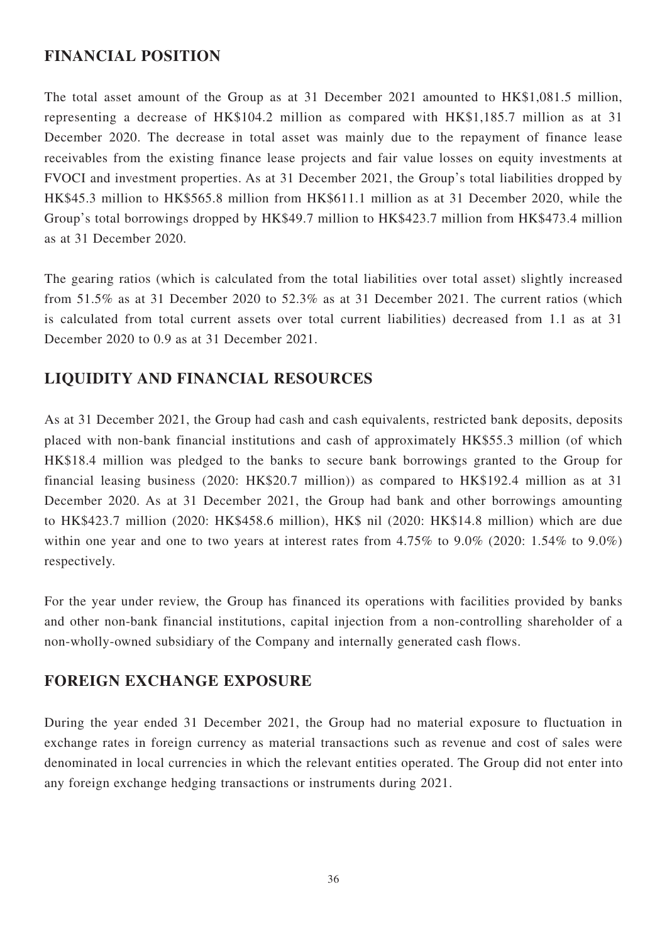# **FINANCIAL POSITION**

The total asset amount of the Group as at 31 December 2021 amounted to HK\$1,081.5 million, representing a decrease of HK\$104.2 million as compared with HK\$1,185.7 million as at 31 December 2020. The decrease in total asset was mainly due to the repayment of finance lease receivables from the existing finance lease projects and fair value losses on equity investments at FVOCI and investment properties. As at 31 December 2021, the Group's total liabilities dropped by HK\$45.3 million to HK\$565.8 million from HK\$611.1 million as at 31 December 2020, while the Group's total borrowings dropped by HK\$49.7 million to HK\$423.7 million from HK\$473.4 million as at 31 December 2020.

The gearing ratios (which is calculated from the total liabilities over total asset) slightly increased from 51.5% as at 31 December 2020 to 52.3% as at 31 December 2021. The current ratios (which is calculated from total current assets over total current liabilities) decreased from 1.1 as at 31 December 2020 to 0.9 as at 31 December 2021.

# **LIQUIDITY AND FINANCIAL RESOURCES**

As at 31 December 2021, the Group had cash and cash equivalents, restricted bank deposits, deposits placed with non-bank financial institutions and cash of approximately HK\$55.3 million (of which HK\$18.4 million was pledged to the banks to secure bank borrowings granted to the Group for financial leasing business (2020: HK\$20.7 million)) as compared to HK\$192.4 million as at 31 December 2020. As at 31 December 2021, the Group had bank and other borrowings amounting to HK\$423.7 million (2020: HK\$458.6 million), HK\$ nil (2020: HK\$14.8 million) which are due within one year and one to two years at interest rates from 4.75% to 9.0% (2020: 1.54% to 9.0%) respectively.

For the year under review, the Group has financed its operations with facilities provided by banks and other non-bank financial institutions, capital injection from a non-controlling shareholder of a non-wholly-owned subsidiary of the Company and internally generated cash flows.

# **FOREIGN EXCHANGE EXPOSURE**

During the year ended 31 December 2021, the Group had no material exposure to fluctuation in exchange rates in foreign currency as material transactions such as revenue and cost of sales were denominated in local currencies in which the relevant entities operated. The Group did not enter into any foreign exchange hedging transactions or instruments during 2021.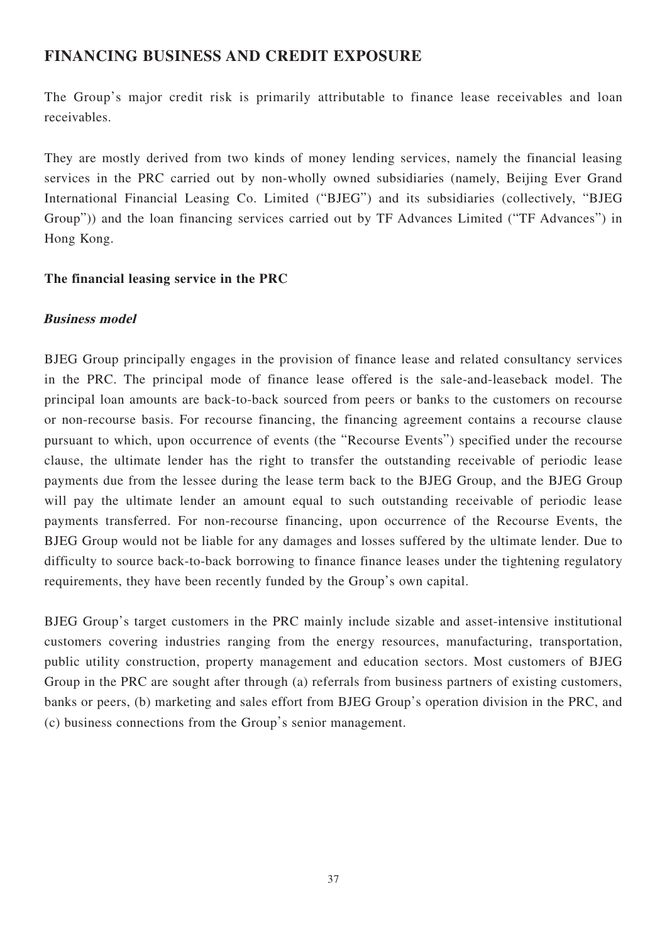# **FINANCING BUSINESS AND CREDIT EXPOSURE**

The Group's major credit risk is primarily attributable to finance lease receivables and loan receivables.

They are mostly derived from two kinds of money lending services, namely the financial leasing services in the PRC carried out by non-wholly owned subsidiaries (namely, Beijing Ever Grand International Financial Leasing Co. Limited ("BJEG") and its subsidiaries (collectively, "BJEG Group")) and the loan financing services carried out by TF Advances Limited ("TF Advances") in Hong Kong.

## **The financial leasing service in the PRC**

## **Business model**

BJEG Group principally engages in the provision of finance lease and related consultancy services in the PRC. The principal mode of finance lease offered is the sale-and-leaseback model. The principal loan amounts are back-to-back sourced from peers or banks to the customers on recourse or non-recourse basis. For recourse financing, the financing agreement contains a recourse clause pursuant to which, upon occurrence of events (the "Recourse Events") specified under the recourse clause, the ultimate lender has the right to transfer the outstanding receivable of periodic lease payments due from the lessee during the lease term back to the BJEG Group, and the BJEG Group will pay the ultimate lender an amount equal to such outstanding receivable of periodic lease payments transferred. For non-recourse financing, upon occurrence of the Recourse Events, the BJEG Group would not be liable for any damages and losses suffered by the ultimate lender. Due to difficulty to source back-to-back borrowing to finance finance leases under the tightening regulatory requirements, they have been recently funded by the Group's own capital.

BJEG Group's target customers in the PRC mainly include sizable and asset-intensive institutional customers covering industries ranging from the energy resources, manufacturing, transportation, public utility construction, property management and education sectors. Most customers of BJEG Group in the PRC are sought after through (a) referrals from business partners of existing customers, banks or peers, (b) marketing and sales effort from BJEG Group's operation division in the PRC, and (c) business connections from the Group's senior management.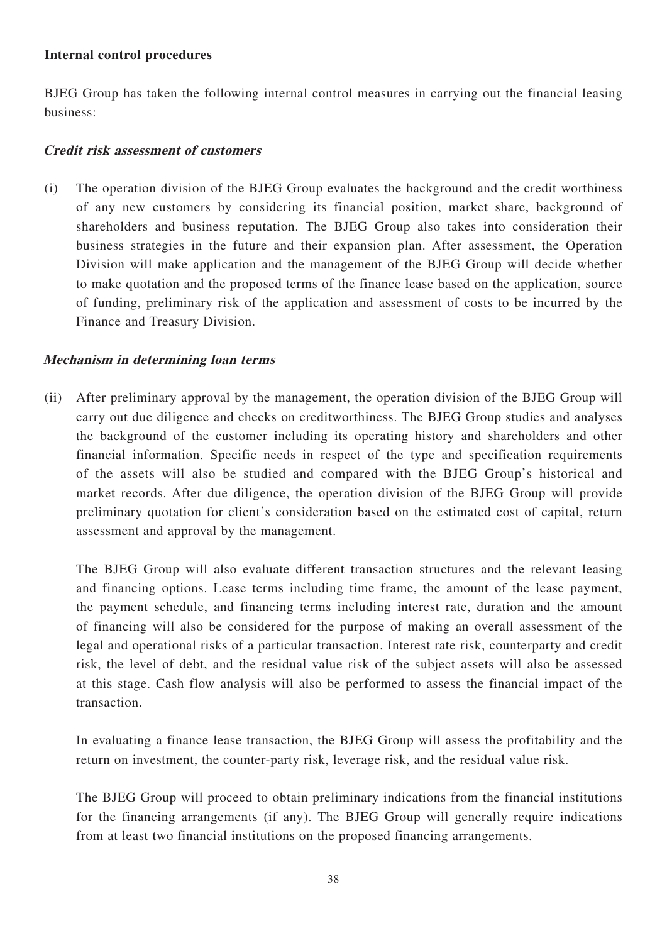## **Internal control procedures**

BJEG Group has taken the following internal control measures in carrying out the financial leasing business:

## **Credit risk assessment of customers**

(i) The operation division of the BJEG Group evaluates the background and the credit worthiness of any new customers by considering its financial position, market share, background of shareholders and business reputation. The BJEG Group also takes into consideration their business strategies in the future and their expansion plan. After assessment, the Operation Division will make application and the management of the BJEG Group will decide whether to make quotation and the proposed terms of the finance lease based on the application, source of funding, preliminary risk of the application and assessment of costs to be incurred by the Finance and Treasury Division.

## **Mechanism in determining loan terms**

(ii) After preliminary approval by the management, the operation division of the BJEG Group will carry out due diligence and checks on creditworthiness. The BJEG Group studies and analyses the background of the customer including its operating history and shareholders and other financial information. Specific needs in respect of the type and specification requirements of the assets will also be studied and compared with the BJEG Group's historical and market records. After due diligence, the operation division of the BJEG Group will provide preliminary quotation for client's consideration based on the estimated cost of capital, return assessment and approval by the management.

The BJEG Group will also evaluate different transaction structures and the relevant leasing and financing options. Lease terms including time frame, the amount of the lease payment, the payment schedule, and financing terms including interest rate, duration and the amount of financing will also be considered for the purpose of making an overall assessment of the legal and operational risks of a particular transaction. Interest rate risk, counterparty and credit risk, the level of debt, and the residual value risk of the subject assets will also be assessed at this stage. Cash flow analysis will also be performed to assess the financial impact of the transaction.

In evaluating a finance lease transaction, the BJEG Group will assess the profitability and the return on investment, the counter-party risk, leverage risk, and the residual value risk.

The BJEG Group will proceed to obtain preliminary indications from the financial institutions for the financing arrangements (if any). The BJEG Group will generally require indications from at least two financial institutions on the proposed financing arrangements.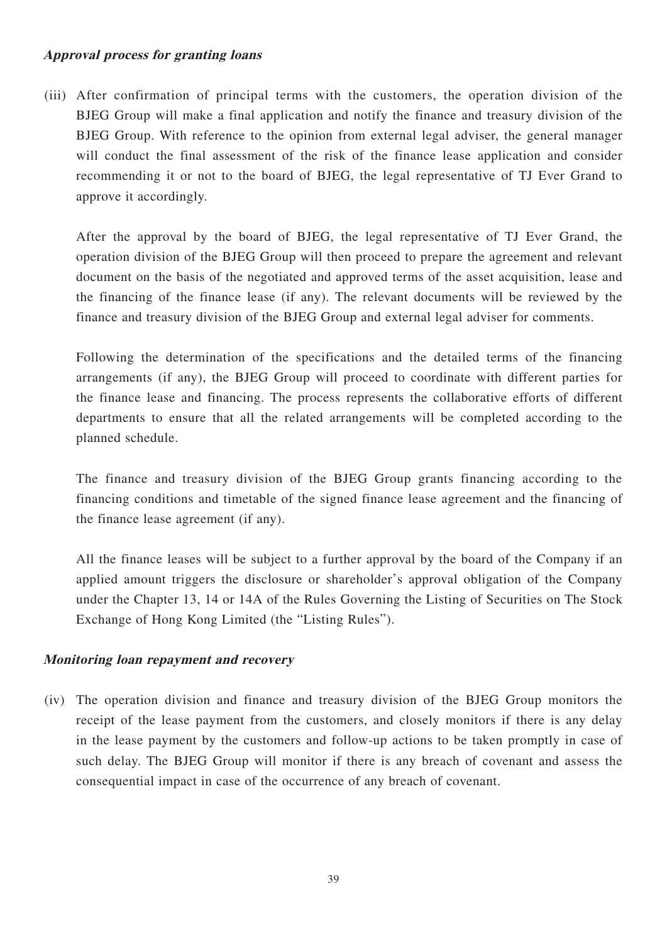## **Approval process for granting loans**

(iii) After confirmation of principal terms with the customers, the operation division of the BJEG Group will make a final application and notify the finance and treasury division of the BJEG Group. With reference to the opinion from external legal adviser, the general manager will conduct the final assessment of the risk of the finance lease application and consider recommending it or not to the board of BJEG, the legal representative of TJ Ever Grand to approve it accordingly.

After the approval by the board of BJEG, the legal representative of TJ Ever Grand, the operation division of the BJEG Group will then proceed to prepare the agreement and relevant document on the basis of the negotiated and approved terms of the asset acquisition, lease and the financing of the finance lease (if any). The relevant documents will be reviewed by the finance and treasury division of the BJEG Group and external legal adviser for comments.

Following the determination of the specifications and the detailed terms of the financing arrangements (if any), the BJEG Group will proceed to coordinate with different parties for the finance lease and financing. The process represents the collaborative efforts of different departments to ensure that all the related arrangements will be completed according to the planned schedule.

The finance and treasury division of the BJEG Group grants financing according to the financing conditions and timetable of the signed finance lease agreement and the financing of the finance lease agreement (if any).

All the finance leases will be subject to a further approval by the board of the Company if an applied amount triggers the disclosure or shareholder's approval obligation of the Company under the Chapter 13, 14 or 14A of the Rules Governing the Listing of Securities on The Stock Exchange of Hong Kong Limited (the "Listing Rules").

### **Monitoring loan repayment and recovery**

(iv) The operation division and finance and treasury division of the BJEG Group monitors the receipt of the lease payment from the customers, and closely monitors if there is any delay in the lease payment by the customers and follow-up actions to be taken promptly in case of such delay. The BJEG Group will monitor if there is any breach of covenant and assess the consequential impact in case of the occurrence of any breach of covenant.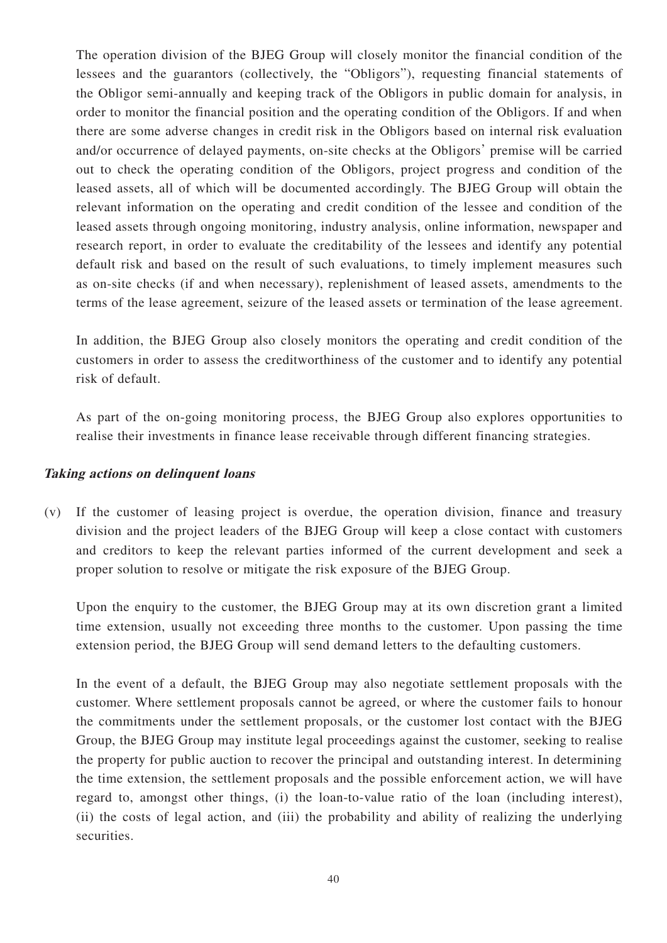The operation division of the BJEG Group will closely monitor the financial condition of the lessees and the guarantors (collectively, the "Obligors"), requesting financial statements of the Obligor semi-annually and keeping track of the Obligors in public domain for analysis, in order to monitor the financial position and the operating condition of the Obligors. If and when there are some adverse changes in credit risk in the Obligors based on internal risk evaluation and/or occurrence of delayed payments, on-site checks at the Obligors' premise will be carried out to check the operating condition of the Obligors, project progress and condition of the leased assets, all of which will be documented accordingly. The BJEG Group will obtain the relevant information on the operating and credit condition of the lessee and condition of the leased assets through ongoing monitoring, industry analysis, online information, newspaper and research report, in order to evaluate the creditability of the lessees and identify any potential default risk and based on the result of such evaluations, to timely implement measures such as on-site checks (if and when necessary), replenishment of leased assets, amendments to the terms of the lease agreement, seizure of the leased assets or termination of the lease agreement.

In addition, the BJEG Group also closely monitors the operating and credit condition of the customers in order to assess the creditworthiness of the customer and to identify any potential risk of default.

As part of the on-going monitoring process, the BJEG Group also explores opportunities to realise their investments in finance lease receivable through different financing strategies.

### **Taking actions on delinquent loans**

(v) If the customer of leasing project is overdue, the operation division, finance and treasury division and the project leaders of the BJEG Group will keep a close contact with customers and creditors to keep the relevant parties informed of the current development and seek a proper solution to resolve or mitigate the risk exposure of the BJEG Group.

Upon the enquiry to the customer, the BJEG Group may at its own discretion grant a limited time extension, usually not exceeding three months to the customer. Upon passing the time extension period, the BJEG Group will send demand letters to the defaulting customers.

In the event of a default, the BJEG Group may also negotiate settlement proposals with the customer. Where settlement proposals cannot be agreed, or where the customer fails to honour the commitments under the settlement proposals, or the customer lost contact with the BJEG Group, the BJEG Group may institute legal proceedings against the customer, seeking to realise the property for public auction to recover the principal and outstanding interest. In determining the time extension, the settlement proposals and the possible enforcement action, we will have regard to, amongst other things, (i) the loan-to-value ratio of the loan (including interest), (ii) the costs of legal action, and (iii) the probability and ability of realizing the underlying securities.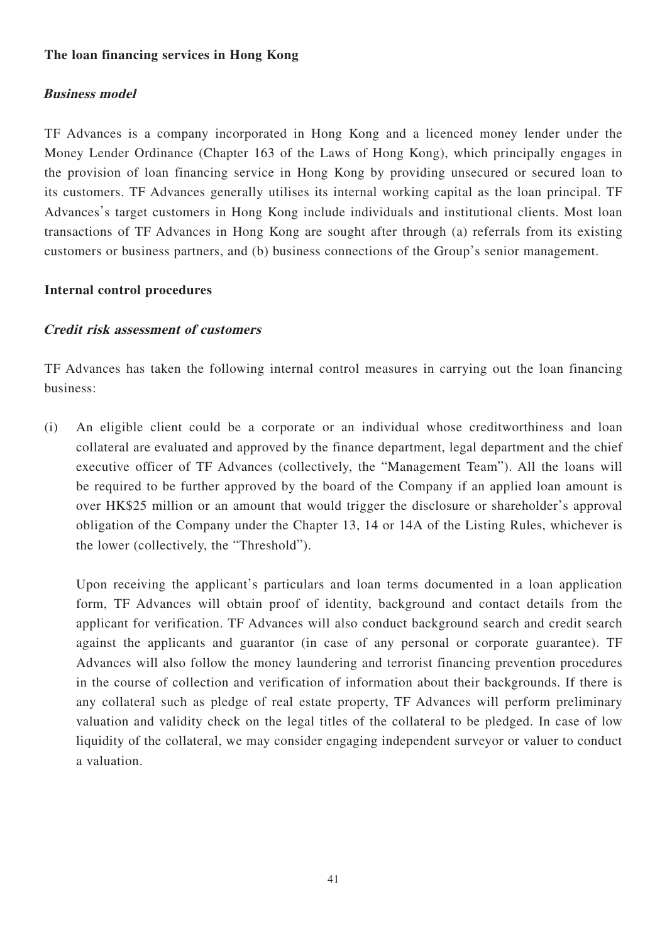## **The loan financing services in Hong Kong**

## **Business model**

TF Advances is a company incorporated in Hong Kong and a licenced money lender under the Money Lender Ordinance (Chapter 163 of the Laws of Hong Kong), which principally engages in the provision of loan financing service in Hong Kong by providing unsecured or secured loan to its customers. TF Advances generally utilises its internal working capital as the loan principal. TF Advances's target customers in Hong Kong include individuals and institutional clients. Most loan transactions of TF Advances in Hong Kong are sought after through (a) referrals from its existing customers or business partners, and (b) business connections of the Group's senior management.

## **Internal control procedures**

## **Credit risk assessment of customers**

TF Advances has taken the following internal control measures in carrying out the loan financing business:

(i) An eligible client could be a corporate or an individual whose creditworthiness and loan collateral are evaluated and approved by the finance department, legal department and the chief executive officer of TF Advances (collectively, the "Management Team"). All the loans will be required to be further approved by the board of the Company if an applied loan amount is over HK\$25 million or an amount that would trigger the disclosure or shareholder's approval obligation of the Company under the Chapter 13, 14 or 14A of the Listing Rules, whichever is the lower (collectively, the "Threshold").

Upon receiving the applicant's particulars and loan terms documented in a loan application form, TF Advances will obtain proof of identity, background and contact details from the applicant for verification. TF Advances will also conduct background search and credit search against the applicants and guarantor (in case of any personal or corporate guarantee). TF Advances will also follow the money laundering and terrorist financing prevention procedures in the course of collection and verification of information about their backgrounds. If there is any collateral such as pledge of real estate property, TF Advances will perform preliminary valuation and validity check on the legal titles of the collateral to be pledged. In case of low liquidity of the collateral, we may consider engaging independent surveyor or valuer to conduct a valuation.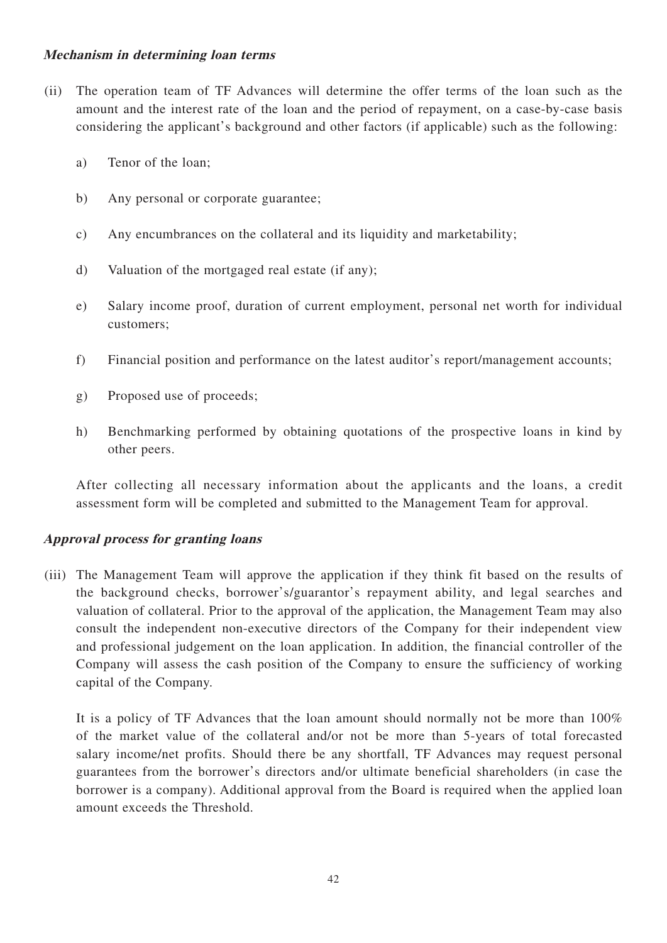## **Mechanism in determining loan terms**

- (ii) The operation team of TF Advances will determine the offer terms of the loan such as the amount and the interest rate of the loan and the period of repayment, on a case-by-case basis considering the applicant's background and other factors (if applicable) such as the following:
	- a) Tenor of the loan;
	- b) Any personal or corporate guarantee;
	- c) Any encumbrances on the collateral and its liquidity and marketability;
	- d) Valuation of the mortgaged real estate (if any);
	- e) Salary income proof, duration of current employment, personal net worth for individual customers;
	- f) Financial position and performance on the latest auditor's report/management accounts;
	- g) Proposed use of proceeds;
	- h) Benchmarking performed by obtaining quotations of the prospective loans in kind by other peers.

After collecting all necessary information about the applicants and the loans, a credit assessment form will be completed and submitted to the Management Team for approval.

### **Approval process for granting loans**

(iii) The Management Team will approve the application if they think fit based on the results of the background checks, borrower's/guarantor's repayment ability, and legal searches and valuation of collateral. Prior to the approval of the application, the Management Team may also consult the independent non-executive directors of the Company for their independent view and professional judgement on the loan application. In addition, the financial controller of the Company will assess the cash position of the Company to ensure the sufficiency of working capital of the Company.

It is a policy of TF Advances that the loan amount should normally not be more than 100% of the market value of the collateral and/or not be more than 5-years of total forecasted salary income/net profits. Should there be any shortfall, TF Advances may request personal guarantees from the borrower's directors and/or ultimate beneficial shareholders (in case the borrower is a company). Additional approval from the Board is required when the applied loan amount exceeds the Threshold.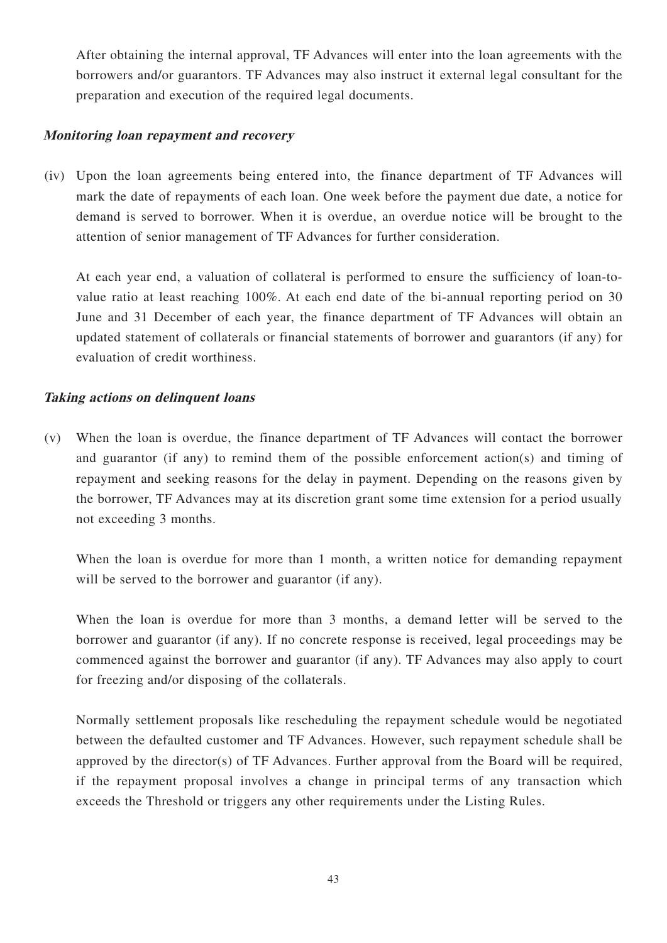After obtaining the internal approval, TF Advances will enter into the loan agreements with the borrowers and/or guarantors. TF Advances may also instruct it external legal consultant for the preparation and execution of the required legal documents.

### **Monitoring loan repayment and recovery**

(iv) Upon the loan agreements being entered into, the finance department of TF Advances will mark the date of repayments of each loan. One week before the payment due date, a notice for demand is served to borrower. When it is overdue, an overdue notice will be brought to the attention of senior management of TF Advances for further consideration.

At each year end, a valuation of collateral is performed to ensure the sufficiency of loan-tovalue ratio at least reaching 100%. At each end date of the bi-annual reporting period on 30 June and 31 December of each year, the finance department of TF Advances will obtain an updated statement of collaterals or financial statements of borrower and guarantors (if any) for evaluation of credit worthiness.

## **Taking actions on delinquent loans**

(v) When the loan is overdue, the finance department of TF Advances will contact the borrower and guarantor (if any) to remind them of the possible enforcement action(s) and timing of repayment and seeking reasons for the delay in payment. Depending on the reasons given by the borrower, TF Advances may at its discretion grant some time extension for a period usually not exceeding 3 months.

When the loan is overdue for more than 1 month, a written notice for demanding repayment will be served to the borrower and guarantor (if any).

When the loan is overdue for more than 3 months, a demand letter will be served to the borrower and guarantor (if any). If no concrete response is received, legal proceedings may be commenced against the borrower and guarantor (if any). TF Advances may also apply to court for freezing and/or disposing of the collaterals.

Normally settlement proposals like rescheduling the repayment schedule would be negotiated between the defaulted customer and TF Advances. However, such repayment schedule shall be approved by the director(s) of TF Advances. Further approval from the Board will be required, if the repayment proposal involves a change in principal terms of any transaction which exceeds the Threshold or triggers any other requirements under the Listing Rules.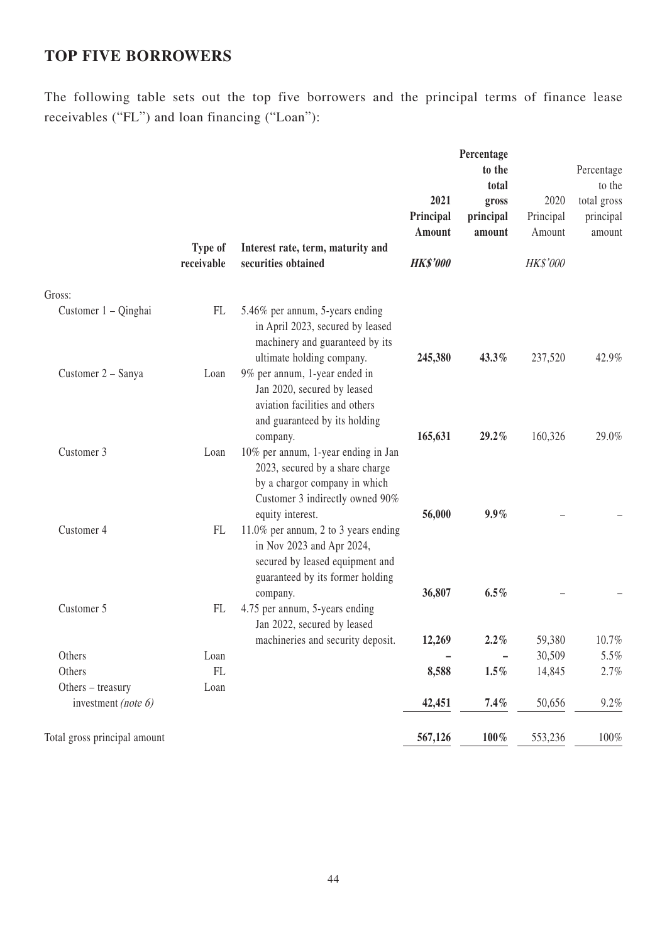# **TOP FIVE BORROWERS**

The following table sets out the top five borrowers and the principal terms of finance lease receivables ("FL") and loan financing ("Loan"):

|                                             | Type of<br>receivable      | Interest rate, term, maturity and<br>securities obtained                                                                                                     | 2021<br>Principal<br>Amount<br><b>HK\$'000</b> | Percentage<br>to the<br>total<br>gross<br>principal<br>amount | 2020<br>Principal<br>Amount<br><b>HK\$'000</b> | Percentage<br>to the<br>total gross<br>principal<br>amount |
|---------------------------------------------|----------------------------|--------------------------------------------------------------------------------------------------------------------------------------------------------------|------------------------------------------------|---------------------------------------------------------------|------------------------------------------------|------------------------------------------------------------|
| Gross:                                      |                            |                                                                                                                                                              |                                                |                                                               |                                                |                                                            |
| Customer 1 – Qinghai                        | FL                         | 5.46% per annum, 5-years ending<br>in April 2023, secured by leased<br>machinery and guaranteed by its<br>ultimate holding company.                          | 245,380                                        | 43.3%                                                         | 237,520                                        | 42.9%                                                      |
| Customer 2 - Sanya                          | Loan                       | 9% per annum, 1-year ended in<br>Jan 2020, secured by leased<br>aviation facilities and others<br>and guaranteed by its holding<br>company.                  | 165,631                                        | 29.2%                                                         | 160,326                                        | 29.0%                                                      |
| Customer 3                                  | Loan                       | 10% per annum, 1-year ending in Jan<br>2023, secured by a share charge<br>by a chargor company in which<br>Customer 3 indirectly owned 90%                   |                                                |                                                               |                                                |                                                            |
| Customer 4                                  | FL                         | equity interest.<br>11.0% per annum, 2 to 3 years ending<br>in Nov 2023 and Apr 2024,<br>secured by leased equipment and<br>guaranteed by its former holding | 56,000                                         | $9.9\%$                                                       |                                                |                                                            |
| Customer 5                                  | FL                         | company.<br>4.75 per annum, 5-years ending<br>Jan 2022, secured by leased                                                                                    | 36,807                                         | $6.5\%$                                                       |                                                |                                                            |
|                                             |                            | machineries and security deposit.                                                                                                                            | 12,269                                         | 2.2%                                                          | 59,380                                         | 10.7%                                                      |
| Others                                      | Loan                       |                                                                                                                                                              |                                                | $\overline{\phantom{0}}$                                      | 30,509                                         | 5.5%                                                       |
| Others                                      | $\mathop{\rm FL}\nolimits$ |                                                                                                                                                              | 8,588                                          | $1.5\%$                                                       | 14,845                                         | 2.7%                                                       |
| Others - treasury<br>investment (note $6$ ) | Loan                       |                                                                                                                                                              | 42,451                                         | 7.4%                                                          | 50,656                                         | 9.2%                                                       |
| Total gross principal amount                |                            |                                                                                                                                                              | 567,126                                        | $100\,\%$                                                     | 553,236                                        | $100\%$                                                    |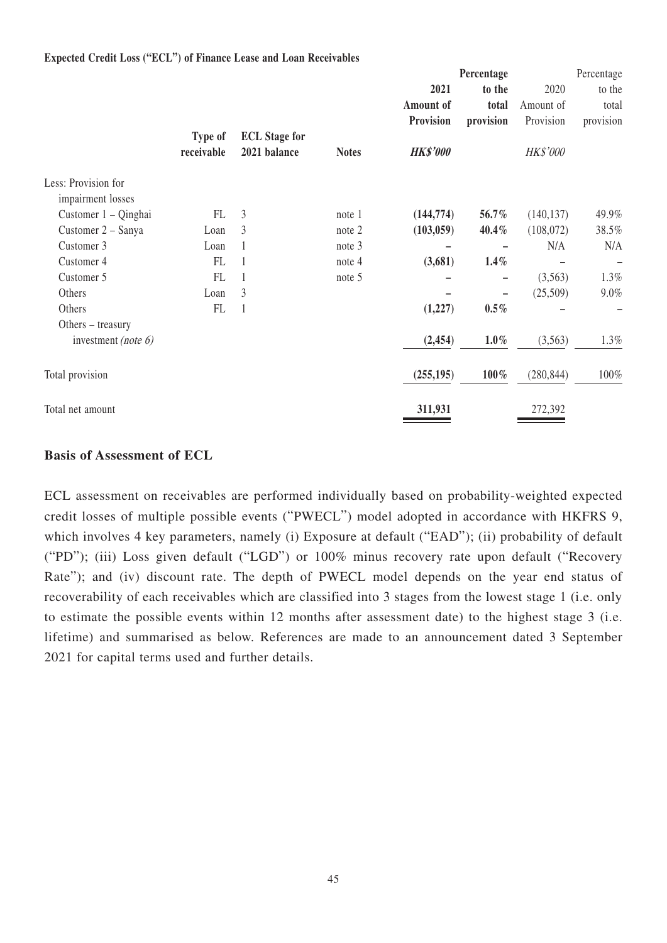|                                          |            |                      |              |                 | Percentage |            | Percentage |
|------------------------------------------|------------|----------------------|--------------|-----------------|------------|------------|------------|
|                                          |            |                      |              | 2021            | to the     | 2020       | to the     |
|                                          |            |                      |              | Amount of       | total      | Amount of  | total      |
|                                          |            |                      |              | Provision       | provision  | Provision  | provision  |
|                                          | Type of    | <b>ECL</b> Stage for |              |                 |            |            |            |
|                                          | receivable | 2021 balance         | <b>Notes</b> | <b>HK\$'000</b> |            | HK\$'000   |            |
| Less: Provision for<br>impairment losses |            |                      |              |                 |            |            |            |
| Customer 1 – Qinghai                     | FL         | 3                    | note 1       | (144, 774)      | 56.7%      | (140, 137) | 49.9%      |
| Customer 2 – Sanya                       | Loan       | 3                    | note 2       | (103, 059)      | 40.4%      | (108,072)  | 38.5%      |
| Customer 3                               | Loan       |                      | note 3       |                 |            | N/A        | N/A        |
| Customer 4                               | FL         |                      | note 4       | (3,681)         | 1.4%       |            |            |
| Customer 5                               | FL         |                      | note 5       |                 | -          | (3,563)    | 1.3%       |
| Others                                   | Loan       | 3                    |              |                 |            | (25,509)   | $9.0\%$    |
| Others                                   | FL         | $\mathbf{1}$         |              | (1,227)         | $0.5\%$    |            |            |
| Others $-$ treasury                      |            |                      |              |                 |            |            |            |
| investment (note $6$ )                   |            |                      |              | (2, 454)        | $1.0\%$    | (3, 563)   | 1.3%       |
| Total provision                          |            |                      |              | (255, 195)      | $100\%$    | (280, 844) | 100%       |
| Total net amount                         |            |                      |              | 311,931         |            | 272,392    |            |

### **Expected Credit Loss ("ECL") of Finance Lease and Loan Receivables**

### **Basis of Assessment of ECL**

ECL assessment on receivables are performed individually based on probability-weighted expected credit losses of multiple possible events ("PWECL") model adopted in accordance with HKFRS 9, which involves 4 key parameters, namely (i) Exposure at default ("EAD"); (ii) probability of default ("PD"); (iii) Loss given default ("LGD") or 100% minus recovery rate upon default ("Recovery Rate"); and (iv) discount rate. The depth of PWECL model depends on the year end status of recoverability of each receivables which are classified into 3 stages from the lowest stage 1 (i.e. only to estimate the possible events within 12 months after assessment date) to the highest stage 3 (i.e. lifetime) and summarised as below. References are made to an announcement dated 3 September 2021 for capital terms used and further details.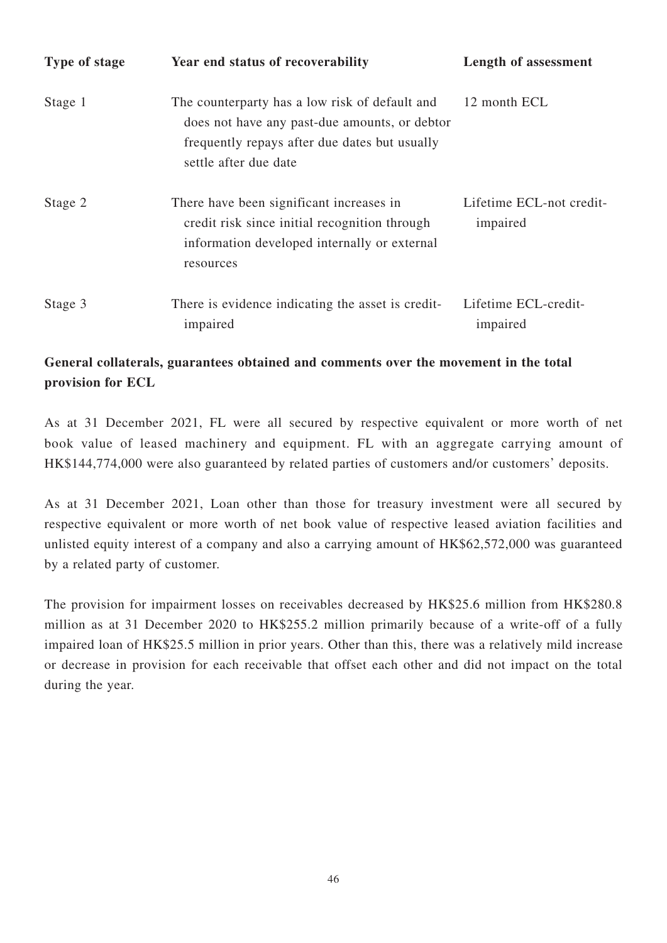| Type of stage | Year end status of recoverability                                                                                                                                         | <b>Length of assessment</b>          |
|---------------|---------------------------------------------------------------------------------------------------------------------------------------------------------------------------|--------------------------------------|
| Stage 1       | The counterparty has a low risk of default and<br>does not have any past-due amounts, or debtor<br>frequently repays after due dates but usually<br>settle after due date | 12 month ECL                         |
| Stage 2       | There have been significant increases in<br>credit risk since initial recognition through<br>information developed internally or external<br>resources                    | Lifetime ECL-not credit-<br>impaired |
| Stage 3       | There is evidence indicating the asset is credit-<br>impaired                                                                                                             | Lifetime ECL-credit-<br>impaired     |

# **General collaterals, guarantees obtained and comments over the movement in the total provision for ECL**

As at 31 December 2021, FL were all secured by respective equivalent or more worth of net book value of leased machinery and equipment. FL with an aggregate carrying amount of HK\$144,774,000 were also guaranteed by related parties of customers and/or customers' deposits.

As at 31 December 2021, Loan other than those for treasury investment were all secured by respective equivalent or more worth of net book value of respective leased aviation facilities and unlisted equity interest of a company and also a carrying amount of HK\$62,572,000 was guaranteed by a related party of customer.

The provision for impairment losses on receivables decreased by HK\$25.6 million from HK\$280.8 million as at 31 December 2020 to HK\$255.2 million primarily because of a write-off of a fully impaired loan of HK\$25.5 million in prior years. Other than this, there was a relatively mild increase or decrease in provision for each receivable that offset each other and did not impact on the total during the year.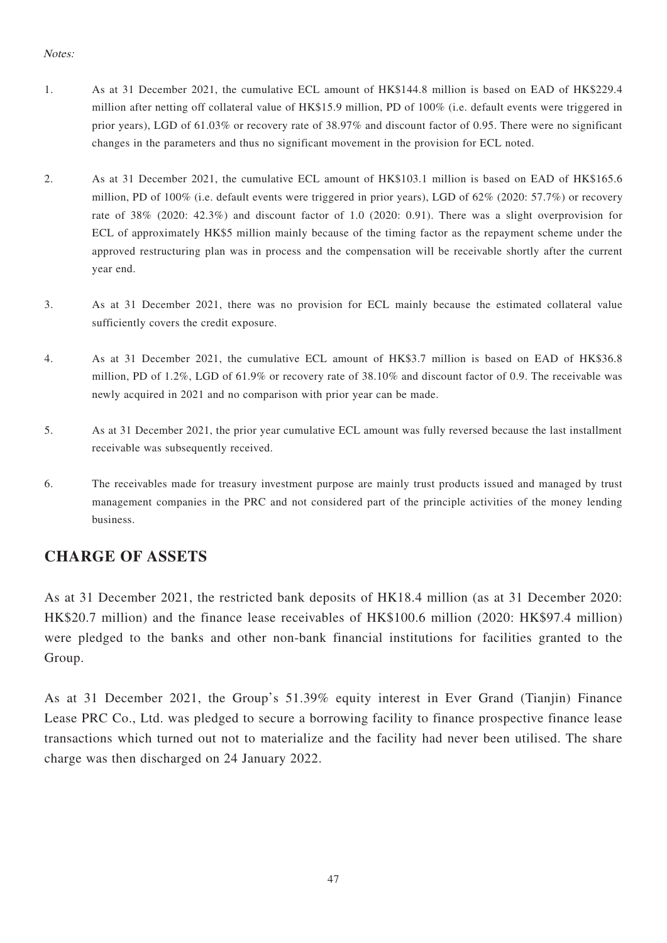### Notes:

- 1. As at 31 December 2021, the cumulative ECL amount of HK\$144.8 million is based on EAD of HK\$229.4 million after netting off collateral value of HK\$15.9 million, PD of 100% (i.e. default events were triggered in prior years), LGD of 61.03% or recovery rate of 38.97% and discount factor of 0.95. There were no significant changes in the parameters and thus no significant movement in the provision for ECL noted.
- 2. As at 31 December 2021, the cumulative ECL amount of HK\$103.1 million is based on EAD of HK\$165.6 million, PD of 100% (i.e. default events were triggered in prior years), LGD of 62% (2020: 57.7%) or recovery rate of 38% (2020: 42.3%) and discount factor of 1.0 (2020: 0.91). There was a slight overprovision for ECL of approximately HK\$5 million mainly because of the timing factor as the repayment scheme under the approved restructuring plan was in process and the compensation will be receivable shortly after the current year end.
- 3. As at 31 December 2021, there was no provision for ECL mainly because the estimated collateral value sufficiently covers the credit exposure.
- 4. As at 31 December 2021, the cumulative ECL amount of HK\$3.7 million is based on EAD of HK\$36.8 million, PD of 1.2%, LGD of 61.9% or recovery rate of 38.10% and discount factor of 0.9. The receivable was newly acquired in 2021 and no comparison with prior year can be made.
- 5. As at 31 December 2021, the prior year cumulative ECL amount was fully reversed because the last installment receivable was subsequently received.
- 6. The receivables made for treasury investment purpose are mainly trust products issued and managed by trust management companies in the PRC and not considered part of the principle activities of the money lending business.

# **CHARGE OF ASSETS**

As at 31 December 2021, the restricted bank deposits of HK18.4 million (as at 31 December 2020: HK\$20.7 million) and the finance lease receivables of HK\$100.6 million (2020: HK\$97.4 million) were pledged to the banks and other non-bank financial institutions for facilities granted to the Group.

As at 31 December 2021, the Group's 51.39% equity interest in Ever Grand (Tianjin) Finance Lease PRC Co., Ltd. was pledged to secure a borrowing facility to finance prospective finance lease transactions which turned out not to materialize and the facility had never been utilised. The share charge was then discharged on 24 January 2022.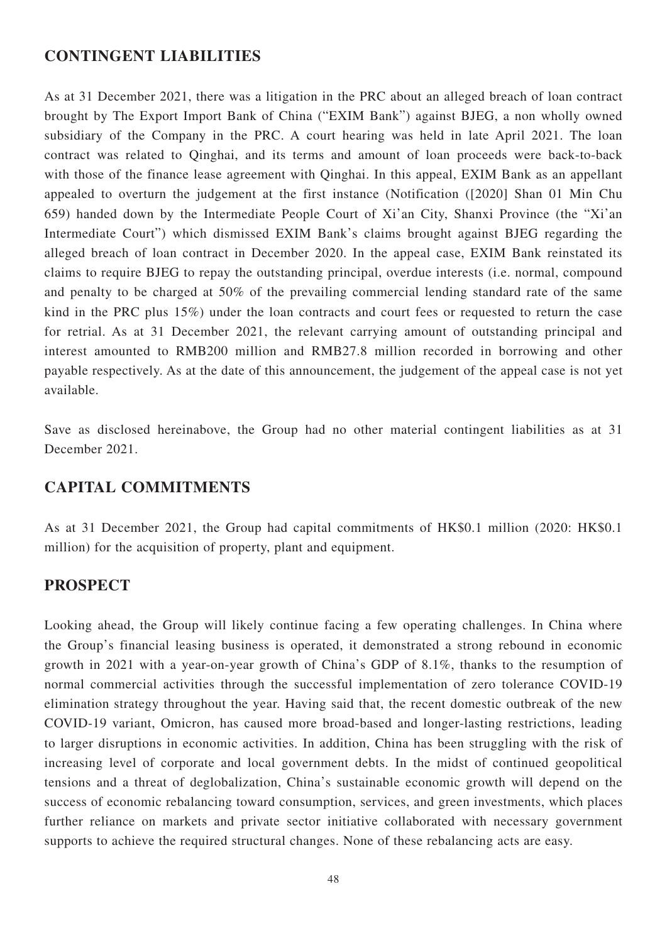## **CONTINGENT LIABILITIES**

As at 31 December 2021, there was a litigation in the PRC about an alleged breach of loan contract brought by The Export Import Bank of China ("EXIM Bank") against BJEG, a non wholly owned subsidiary of the Company in the PRC. A court hearing was held in late April 2021. The loan contract was related to Qinghai, and its terms and amount of loan proceeds were back-to-back with those of the finance lease agreement with Qinghai. In this appeal, EXIM Bank as an appellant appealed to overturn the judgement at the first instance (Notification ([2020] Shan 01 Min Chu 659) handed down by the Intermediate People Court of Xi'an City, Shanxi Province (the "Xi'an Intermediate Court") which dismissed EXIM Bank's claims brought against BJEG regarding the alleged breach of loan contract in December 2020. In the appeal case, EXIM Bank reinstated its claims to require BJEG to repay the outstanding principal, overdue interests (i.e. normal, compound and penalty to be charged at 50% of the prevailing commercial lending standard rate of the same kind in the PRC plus 15%) under the loan contracts and court fees or requested to return the case for retrial. As at 31 December 2021, the relevant carrying amount of outstanding principal and interest amounted to RMB200 million and RMB27.8 million recorded in borrowing and other payable respectively. As at the date of this announcement, the judgement of the appeal case is not yet available.

Save as disclosed hereinabove, the Group had no other material contingent liabilities as at 31 December 2021.

## **CAPITAL COMMITMENTS**

As at 31 December 2021, the Group had capital commitments of HK\$0.1 million (2020: HK\$0.1 million) for the acquisition of property, plant and equipment.

## **PROSPECT**

Looking ahead, the Group will likely continue facing a few operating challenges. In China where the Group's financial leasing business is operated, it demonstrated a strong rebound in economic growth in 2021 with a year-on-year growth of China's GDP of 8.1%, thanks to the resumption of normal commercial activities through the successful implementation of zero tolerance COVID-19 elimination strategy throughout the year. Having said that, the recent domestic outbreak of the new COVID-19 variant, Omicron, has caused more broad-based and longer-lasting restrictions, leading to larger disruptions in economic activities. In addition, China has been struggling with the risk of increasing level of corporate and local government debts. In the midst of continued geopolitical tensions and a threat of deglobalization, China's sustainable economic growth will depend on the success of economic rebalancing toward consumption, services, and green investments, which places further reliance on markets and private sector initiative collaborated with necessary government supports to achieve the required structural changes. None of these rebalancing acts are easy.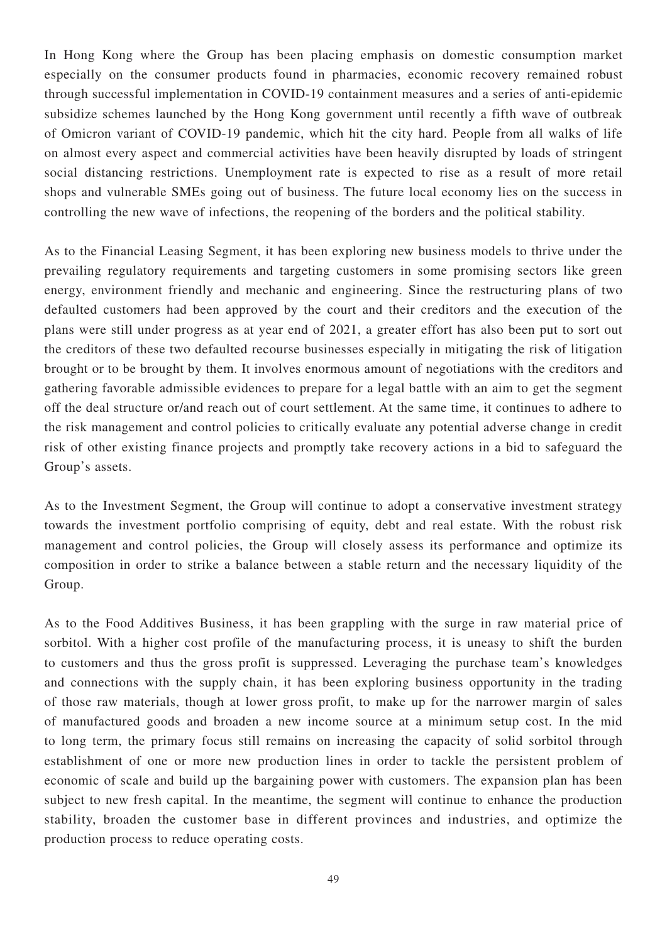In Hong Kong where the Group has been placing emphasis on domestic consumption market especially on the consumer products found in pharmacies, economic recovery remained robust through successful implementation in COVID-19 containment measures and a series of anti-epidemic subsidize schemes launched by the Hong Kong government until recently a fifth wave of outbreak of Omicron variant of COVID-19 pandemic, which hit the city hard. People from all walks of life on almost every aspect and commercial activities have been heavily disrupted by loads of stringent social distancing restrictions. Unemployment rate is expected to rise as a result of more retail shops and vulnerable SMEs going out of business. The future local economy lies on the success in controlling the new wave of infections, the reopening of the borders and the political stability.

As to the Financial Leasing Segment, it has been exploring new business models to thrive under the prevailing regulatory requirements and targeting customers in some promising sectors like green energy, environment friendly and mechanic and engineering. Since the restructuring plans of two defaulted customers had been approved by the court and their creditors and the execution of the plans were still under progress as at year end of 2021, a greater effort has also been put to sort out the creditors of these two defaulted recourse businesses especially in mitigating the risk of litigation brought or to be brought by them. It involves enormous amount of negotiations with the creditors and gathering favorable admissible evidences to prepare for a legal battle with an aim to get the segment off the deal structure or/and reach out of court settlement. At the same time, it continues to adhere to the risk management and control policies to critically evaluate any potential adverse change in credit risk of other existing finance projects and promptly take recovery actions in a bid to safeguard the Group's assets.

As to the Investment Segment, the Group will continue to adopt a conservative investment strategy towards the investment portfolio comprising of equity, debt and real estate. With the robust risk management and control policies, the Group will closely assess its performance and optimize its composition in order to strike a balance between a stable return and the necessary liquidity of the Group.

As to the Food Additives Business, it has been grappling with the surge in raw material price of sorbitol. With a higher cost profile of the manufacturing process, it is uneasy to shift the burden to customers and thus the gross profit is suppressed. Leveraging the purchase team's knowledges and connections with the supply chain, it has been exploring business opportunity in the trading of those raw materials, though at lower gross profit, to make up for the narrower margin of sales of manufactured goods and broaden a new income source at a minimum setup cost. In the mid to long term, the primary focus still remains on increasing the capacity of solid sorbitol through establishment of one or more new production lines in order to tackle the persistent problem of economic of scale and build up the bargaining power with customers. The expansion plan has been subject to new fresh capital. In the meantime, the segment will continue to enhance the production stability, broaden the customer base in different provinces and industries, and optimize the production process to reduce operating costs.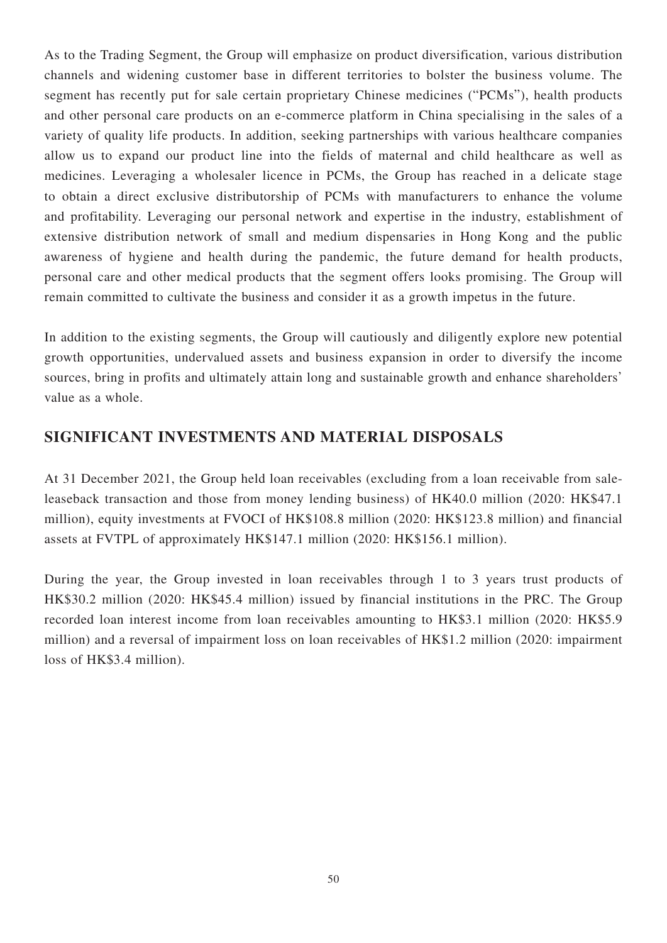As to the Trading Segment, the Group will emphasize on product diversification, various distribution channels and widening customer base in different territories to bolster the business volume. The segment has recently put for sale certain proprietary Chinese medicines ("PCMs"), health products and other personal care products on an e-commerce platform in China specialising in the sales of a variety of quality life products. In addition, seeking partnerships with various healthcare companies allow us to expand our product line into the fields of maternal and child healthcare as well as medicines. Leveraging a wholesaler licence in PCMs, the Group has reached in a delicate stage to obtain a direct exclusive distributorship of PCMs with manufacturers to enhance the volume and profitability. Leveraging our personal network and expertise in the industry, establishment of extensive distribution network of small and medium dispensaries in Hong Kong and the public awareness of hygiene and health during the pandemic, the future demand for health products, personal care and other medical products that the segment offers looks promising. The Group will remain committed to cultivate the business and consider it as a growth impetus in the future.

In addition to the existing segments, the Group will cautiously and diligently explore new potential growth opportunities, undervalued assets and business expansion in order to diversify the income sources, bring in profits and ultimately attain long and sustainable growth and enhance shareholders' value as a whole.

# **SIGNIFICANT INVESTMENTS AND MATERIAL DISPOSALS**

At 31 December 2021, the Group held loan receivables (excluding from a loan receivable from saleleaseback transaction and those from money lending business) of HK40.0 million (2020: HK\$47.1 million), equity investments at FVOCI of HK\$108.8 million (2020: HK\$123.8 million) and financial assets at FVTPL of approximately HK\$147.1 million (2020: HK\$156.1 million).

During the year, the Group invested in loan receivables through 1 to 3 years trust products of HK\$30.2 million (2020: HK\$45.4 million) issued by financial institutions in the PRC. The Group recorded loan interest income from loan receivables amounting to HK\$3.1 million (2020: HK\$5.9 million) and a reversal of impairment loss on loan receivables of HK\$1.2 million (2020: impairment loss of HK\$3.4 million).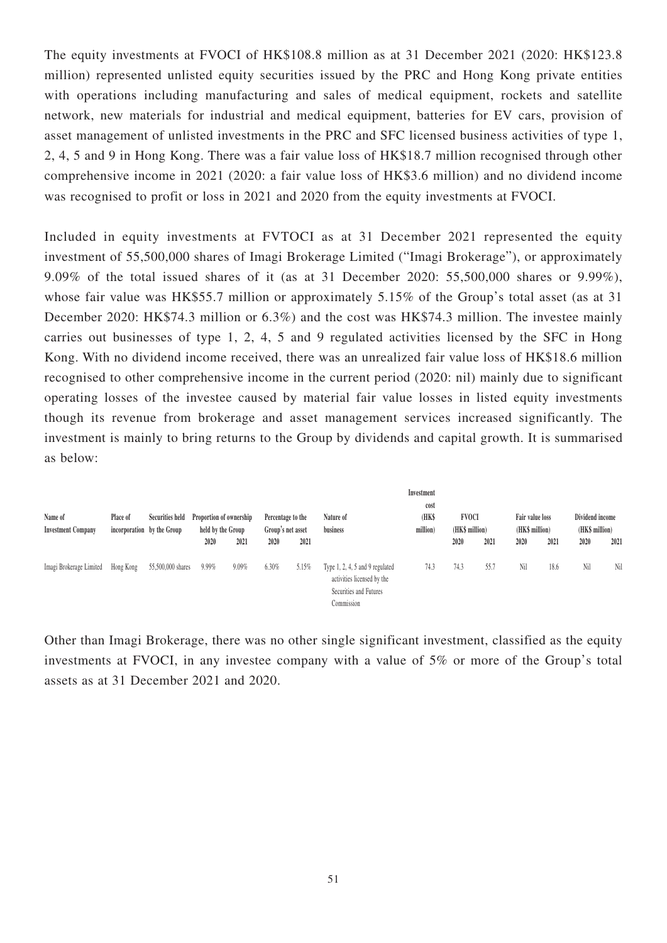The equity investments at FVOCI of HK\$108.8 million as at 31 December 2021 (2020: HK\$123.8 million) represented unlisted equity securities issued by the PRC and Hong Kong private entities with operations including manufacturing and sales of medical equipment, rockets and satellite network, new materials for industrial and medical equipment, batteries for EV cars, provision of asset management of unlisted investments in the PRC and SFC licensed business activities of type 1, 2, 4, 5 and 9 in Hong Kong. There was a fair value loss of HK\$18.7 million recognised through other comprehensive income in 2021 (2020: a fair value loss of HK\$3.6 million) and no dividend income was recognised to profit or loss in 2021 and 2020 from the equity investments at FVOCI.

Included in equity investments at FVTOCI as at 31 December 2021 represented the equity investment of 55,500,000 shares of Imagi Brokerage Limited ("Imagi Brokerage"), or approximately 9.09% of the total issued shares of it (as at 31 December 2020: 55,500,000 shares or 9.99%), whose fair value was HK\$55.7 million or approximately 5.15% of the Group's total asset (as at 31 December 2020: HK\$74.3 million or 6.3%) and the cost was HK\$74.3 million. The investee mainly carries out businesses of type 1, 2, 4, 5 and 9 regulated activities licensed by the SFC in Hong Kong. With no dividend income received, there was an unrealized fair value loss of HK\$18.6 million recognised to other comprehensive income in the current period (2020: nil) mainly due to significant operating losses of the investee caused by material fair value losses in listed equity investments though its revenue from brokerage and asset management services increased significantly. The investment is mainly to bring returns to the Group by dividends and capital growth. It is summarised as below:

| Name of<br><b>Investment Company</b> | Place of<br>incorporation by the Group |                   | <b>Securities held</b> | Proportion of ownership<br>held by the Group |       | Percentage to the<br>Group's net asset |                                                                                                           | Nature of<br>business | Investment<br>cost<br>(HK\$<br>million) | <b>FVOCI</b><br>(HK\$ million) |      | Fair value loss<br>(HK\$ million) |      | Dividend income<br>(HK\$ million) |  |
|--------------------------------------|----------------------------------------|-------------------|------------------------|----------------------------------------------|-------|----------------------------------------|-----------------------------------------------------------------------------------------------------------|-----------------------|-----------------------------------------|--------------------------------|------|-----------------------------------|------|-----------------------------------|--|
|                                      |                                        |                   | 2020                   | 2021                                         | 2020  | 2021                                   |                                                                                                           |                       | 2020                                    | 2021                           | 2020 | 2021                              | 2020 | 2021                              |  |
| Imagi Brokerage Limited              | Hong Kong                              | 55,500,000 shares | 9.99%                  | 9.09%                                        | 6.30% | 5.15%                                  | Type $1, 2, 4, 5$ and $9$ regulated<br>activities licensed by the<br>Securities and Futures<br>Commission | 74.3                  | 74.3                                    | 55.7                           | Nil  | 18.6                              | Nil  | Nil                               |  |

Other than Imagi Brokerage, there was no other single significant investment, classified as the equity investments at FVOCI, in any investee company with a value of 5% or more of the Group's total assets as at 31 December 2021 and 2020.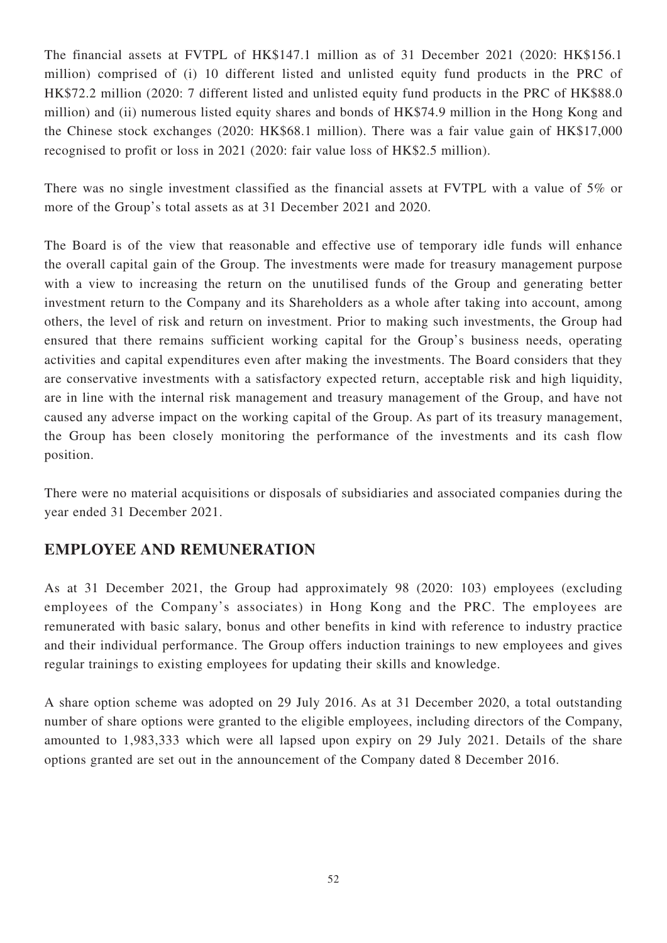The financial assets at FVTPL of HK\$147.1 million as of 31 December 2021 (2020: HK\$156.1 million) comprised of (i) 10 different listed and unlisted equity fund products in the PRC of HK\$72.2 million (2020: 7 different listed and unlisted equity fund products in the PRC of HK\$88.0 million) and (ii) numerous listed equity shares and bonds of HK\$74.9 million in the Hong Kong and the Chinese stock exchanges (2020: HK\$68.1 million). There was a fair value gain of HK\$17,000 recognised to profit or loss in 2021 (2020: fair value loss of HK\$2.5 million).

There was no single investment classified as the financial assets at FVTPL with a value of 5% or more of the Group's total assets as at 31 December 2021 and 2020.

The Board is of the view that reasonable and effective use of temporary idle funds will enhance the overall capital gain of the Group. The investments were made for treasury management purpose with a view to increasing the return on the unutilised funds of the Group and generating better investment return to the Company and its Shareholders as a whole after taking into account, among others, the level of risk and return on investment. Prior to making such investments, the Group had ensured that there remains sufficient working capital for the Group's business needs, operating activities and capital expenditures even after making the investments. The Board considers that they are conservative investments with a satisfactory expected return, acceptable risk and high liquidity, are in line with the internal risk management and treasury management of the Group, and have not caused any adverse impact on the working capital of the Group. As part of its treasury management, the Group has been closely monitoring the performance of the investments and its cash flow position.

There were no material acquisitions or disposals of subsidiaries and associated companies during the year ended 31 December 2021.

# **EMPLOYEE AND REMUNERATION**

As at 31 December 2021, the Group had approximately 98 (2020: 103) employees (excluding employees of the Company's associates) in Hong Kong and the PRC. The employees are remunerated with basic salary, bonus and other benefits in kind with reference to industry practice and their individual performance. The Group offers induction trainings to new employees and gives regular trainings to existing employees for updating their skills and knowledge.

A share option scheme was adopted on 29 July 2016. As at 31 December 2020, a total outstanding number of share options were granted to the eligible employees, including directors of the Company, amounted to 1,983,333 which were all lapsed upon expiry on 29 July 2021. Details of the share options granted are set out in the announcement of the Company dated 8 December 2016.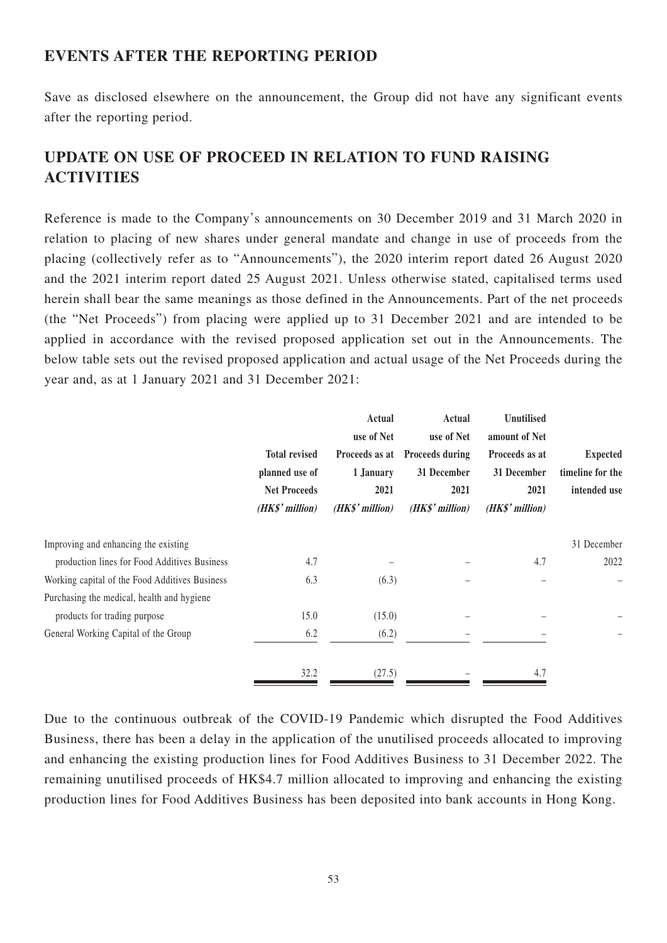# **EVENTS AFTER THE REPORTING PERIOD**

Save as disclosed elsewhere on the announcement, the Group did not have any significant events after the reporting period.

# **UPDATE ON USE OF PROCEED IN RELATION TO FUND RAISING ACTIVITIES**

Reference is made to the Company's announcements on 30 December 2019 and 31 March 2020 in relation to placing of new shares under general mandate and change in use of proceeds from the placing (collectively refer as to "Announcements"), the 2020 interim report dated 26 August 2020 and the 2021 interim report dated 25 August 2021. Unless otherwise stated, capitalised terms used herein shall bear the same meanings as those defined in the Announcements. Part of the net proceeds (the "Net Proceeds") from placing were applied up to 31 December 2021 and are intended to be applied in accordance with the revised proposed application set out in the Announcements. The below table sets out the revised proposed application and actual usage of the Net Proceeds during the year and, as at 1 January 2021 and 31 December 2021:

|                                                | <b>Total revised</b><br>planned use of<br><b>Net Proceeds</b><br>(HK\$' million) | Actual<br>use of Net<br>Proceeds as at<br>1 January<br>2021<br>(HK\$' million) | Actual<br>use of Net<br><b>Proceeds during</b><br>31 December<br>2021<br>(HK\$' million) | Unutilised<br>amount of Net<br>Proceeds as at<br>31 December<br>2021<br>(HK\$' million) | <b>Expected</b><br>timeline for the<br>intended use |
|------------------------------------------------|----------------------------------------------------------------------------------|--------------------------------------------------------------------------------|------------------------------------------------------------------------------------------|-----------------------------------------------------------------------------------------|-----------------------------------------------------|
| Improving and enhancing the existing           |                                                                                  |                                                                                |                                                                                          |                                                                                         | 31 December                                         |
| production lines for Food Additives Business   | 4.7                                                                              |                                                                                |                                                                                          | 4.7                                                                                     | 2022                                                |
| Working capital of the Food Additives Business | 6.3                                                                              | (6.3)                                                                          |                                                                                          |                                                                                         | -                                                   |
| Purchasing the medical, health and hygiene     |                                                                                  |                                                                                |                                                                                          |                                                                                         |                                                     |
| products for trading purpose                   | 15.0                                                                             | (15.0)                                                                         |                                                                                          |                                                                                         |                                                     |
| General Working Capital of the Group           | 6.2                                                                              | (6.2)                                                                          |                                                                                          |                                                                                         |                                                     |
|                                                | 32.2                                                                             | (27.5)                                                                         |                                                                                          | 4.7                                                                                     |                                                     |

Due to the continuous outbreak of the COVID-19 Pandemic which disrupted the Food Additives Business, there has been a delay in the application of the unutilised proceeds allocated to improving and enhancing the existing production lines for Food Additives Business to 31 December 2022. The remaining unutilised proceeds of HK\$4.7 million allocated to improving and enhancing the existing production lines for Food Additives Business has been deposited into bank accounts in Hong Kong.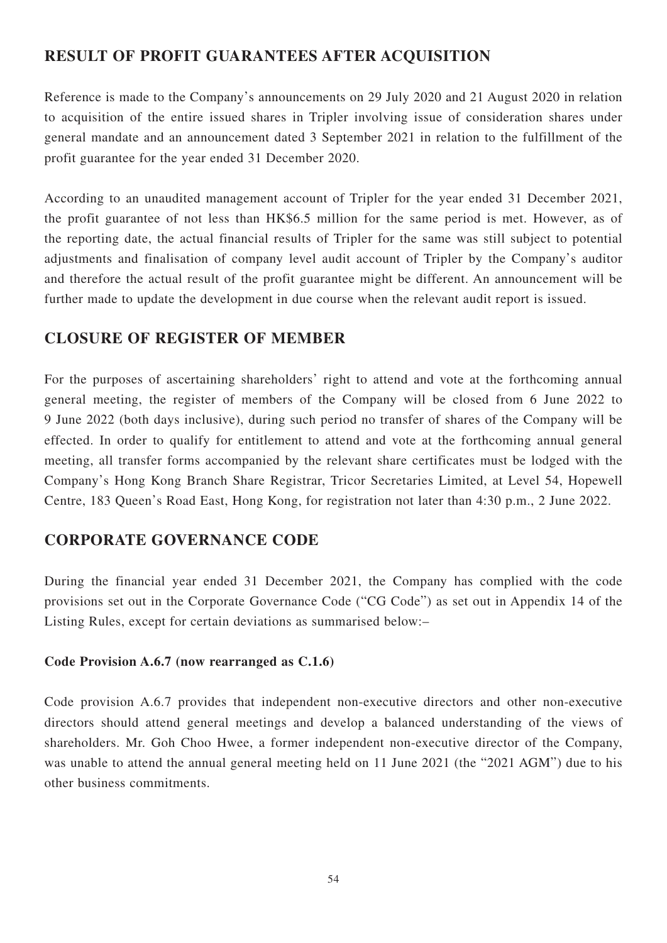# **RESULT OF PROFIT GUARANTEES AFTER ACQUISITION**

Reference is made to the Company's announcements on 29 July 2020 and 21 August 2020 in relation to acquisition of the entire issued shares in Tripler involving issue of consideration shares under general mandate and an announcement dated 3 September 2021 in relation to the fulfillment of the profit guarantee for the year ended 31 December 2020.

According to an unaudited management account of Tripler for the year ended 31 December 2021, the profit guarantee of not less than HK\$6.5 million for the same period is met. However, as of the reporting date, the actual financial results of Tripler for the same was still subject to potential adjustments and finalisation of company level audit account of Tripler by the Company's auditor and therefore the actual result of the profit guarantee might be different. An announcement will be further made to update the development in due course when the relevant audit report is issued.

## **CLOSURE OF REGISTER OF MEMBER**

For the purposes of ascertaining shareholders' right to attend and vote at the forthcoming annual general meeting, the register of members of the Company will be closed from 6 June 2022 to 9 June 2022 (both days inclusive), during such period no transfer of shares of the Company will be effected. In order to qualify for entitlement to attend and vote at the forthcoming annual general meeting, all transfer forms accompanied by the relevant share certificates must be lodged with the Company's Hong Kong Branch Share Registrar, Tricor Secretaries Limited, at Level 54, Hopewell Centre, 183 Queen's Road East, Hong Kong, for registration not later than 4:30 p.m., 2 June 2022.

# **CORPORATE GOVERNANCE CODE**

During the financial year ended 31 December 2021, the Company has complied with the code provisions set out in the Corporate Governance Code ("CG Code") as set out in Appendix 14 of the Listing Rules, except for certain deviations as summarised below:–

## **Code Provision A.6.7 (now rearranged as C.1.6)**

Code provision A.6.7 provides that independent non-executive directors and other non-executive directors should attend general meetings and develop a balanced understanding of the views of shareholders. Mr. Goh Choo Hwee, a former independent non-executive director of the Company, was unable to attend the annual general meeting held on 11 June 2021 (the "2021 AGM") due to his other business commitments.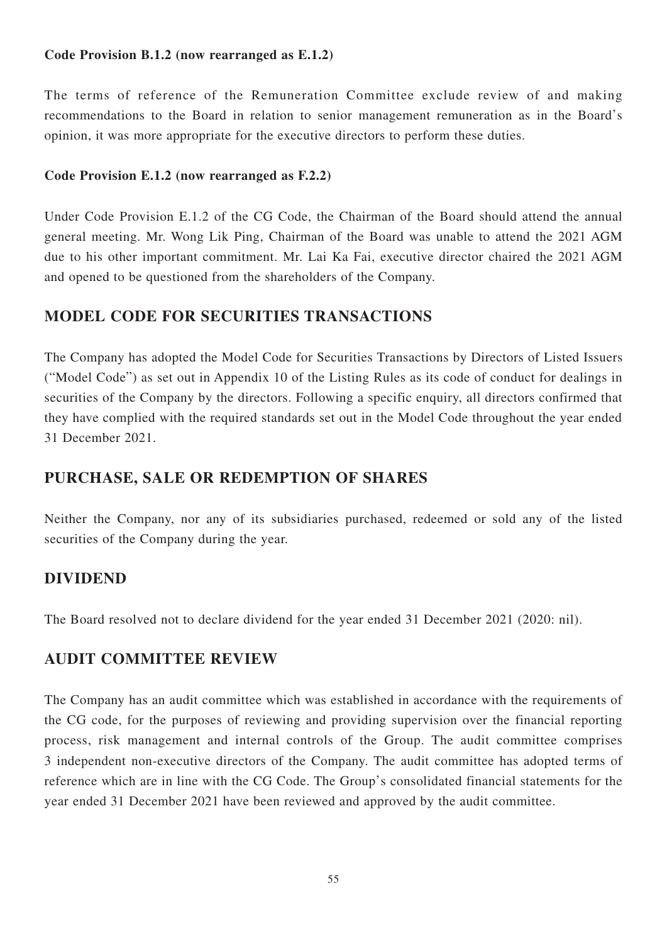## **Code Provision B.1.2 (now rearranged as E.1.2)**

The terms of reference of the Remuneration Committee exclude review of and making recommendations to the Board in relation to senior management remuneration as in the Board's opinion, it was more appropriate for the executive directors to perform these duties.

### **Code Provision E.1.2 (now rearranged as F.2.2)**

Under Code Provision E.1.2 of the CG Code, the Chairman of the Board should attend the annual general meeting. Mr. Wong Lik Ping, Chairman of the Board was unable to attend the 2021 AGM due to his other important commitment. Mr. Lai Ka Fai, executive director chaired the 2021 AGM and opened to be questioned from the shareholders of the Company.

## **MODEL CODE FOR SECURITIES TRANSACTIONS**

The Company has adopted the Model Code for Securities Transactions by Directors of Listed Issuers ("Model Code") as set out in Appendix 10 of the Listing Rules as its code of conduct for dealings in securities of the Company by the directors. Following a specific enquiry, all directors confirmed that they have complied with the required standards set out in the Model Code throughout the year ended 31 December 2021.

## **PURCHASE, SALE OR REDEMPTION OF SHARES**

Neither the Company, nor any of its subsidiaries purchased, redeemed or sold any of the listed securities of the Company during the year.

## **DIVIDEND**

The Board resolved not to declare dividend for the year ended 31 December 2021 (2020: nil).

## **AUDIT COMMITTEE REVIEW**

The Company has an audit committee which was established in accordance with the requirements of the CG code, for the purposes of reviewing and providing supervision over the financial reporting process, risk management and internal controls of the Group. The audit committee comprises 3 independent non-executive directors of the Company. The audit committee has adopted terms of reference which are in line with the CG Code. The Group's consolidated financial statements for the year ended 31 December 2021 have been reviewed and approved by the audit committee.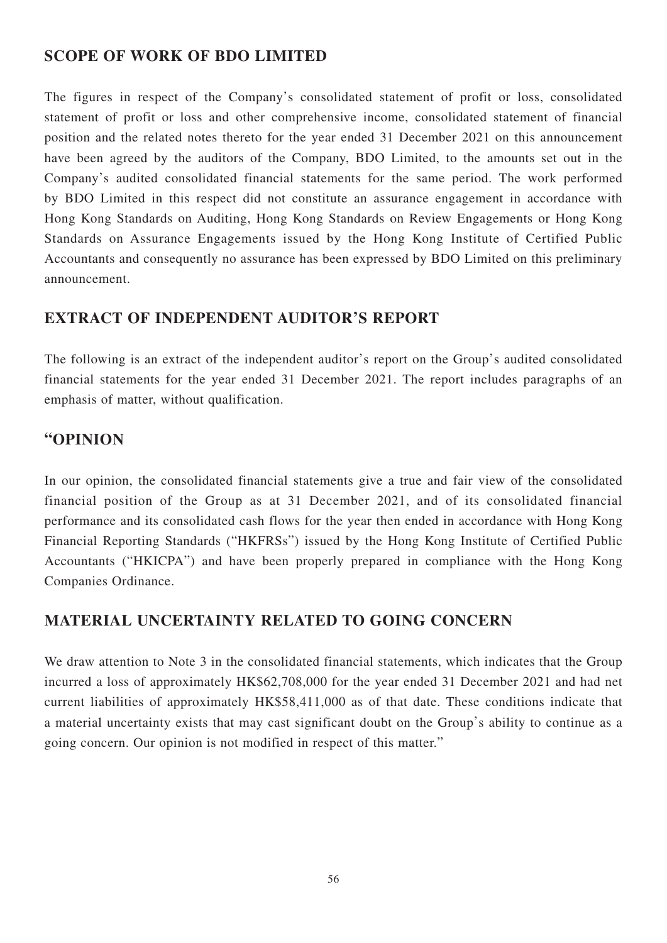# **SCOPE OF WORK OF BDO LIMITED**

The figures in respect of the Company's consolidated statement of profit or loss, consolidated statement of profit or loss and other comprehensive income, consolidated statement of financial position and the related notes thereto for the year ended 31 December 2021 on this announcement have been agreed by the auditors of the Company, BDO Limited, to the amounts set out in the Company's audited consolidated financial statements for the same period. The work performed by BDO Limited in this respect did not constitute an assurance engagement in accordance with Hong Kong Standards on Auditing, Hong Kong Standards on Review Engagements or Hong Kong Standards on Assurance Engagements issued by the Hong Kong Institute of Certified Public Accountants and consequently no assurance has been expressed by BDO Limited on this preliminary announcement.

# **EXTRACT OF INDEPENDENT AUDITOR'S REPORT**

The following is an extract of the independent auditor's report on the Group's audited consolidated financial statements for the year ended 31 December 2021. The report includes paragraphs of an emphasis of matter, without qualification.

## **"OPINION**

In our opinion, the consolidated financial statements give a true and fair view of the consolidated financial position of the Group as at 31 December 2021, and of its consolidated financial performance and its consolidated cash flows for the year then ended in accordance with Hong Kong Financial Reporting Standards ("HKFRSs") issued by the Hong Kong Institute of Certified Public Accountants ("HKICPA") and have been properly prepared in compliance with the Hong Kong Companies Ordinance.

# **MATERIAL UNCERTAINTY RELATED TO GOING CONCERN**

We draw attention to Note 3 in the consolidated financial statements, which indicates that the Group incurred a loss of approximately HK\$62,708,000 for the year ended 31 December 2021 and had net current liabilities of approximately HK\$58,411,000 as of that date. These conditions indicate that a material uncertainty exists that may cast significant doubt on the Group's ability to continue as a going concern. Our opinion is not modified in respect of this matter."